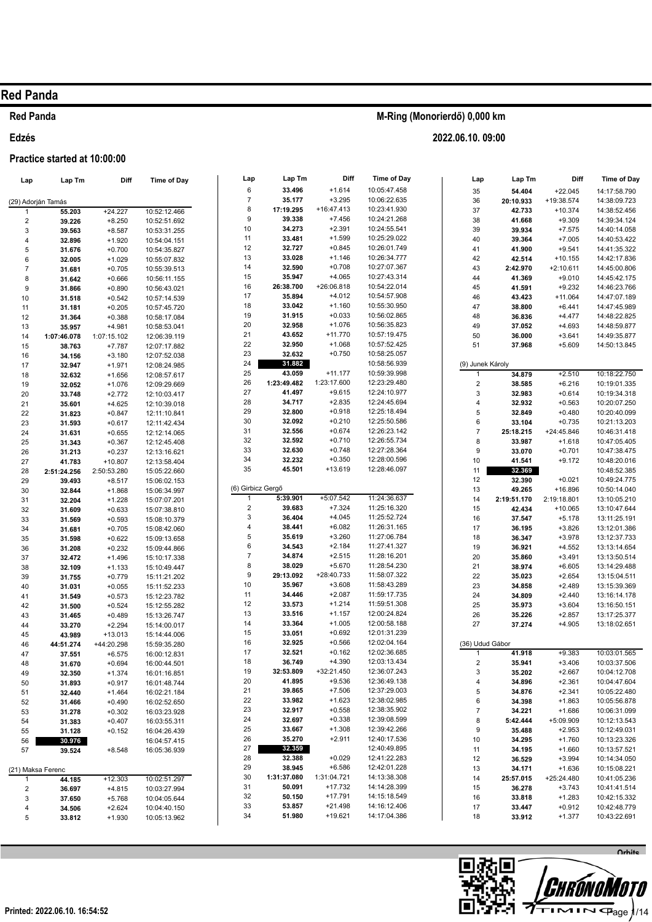#### **Red Panda**

#### Edzés

#### Practice started at 10:00:00

| Lap                     | Lap Tm      | Diff        | <b>Time of Day</b> |             |
|-------------------------|-------------|-------------|--------------------|-------------|
|                         |             |             |                    |             |
| (29) Adorján Tamás<br>1 |             |             |                    |             |
|                         | 55.203      | +24.227     | 10:52:12.466       |             |
| 2                       | 39.226      | $+8.250$    | 10:52:51.692       | 1           |
| 3                       | 39.563      | $+8.587$    | 10:53:31.255       |             |
| 4                       | 32.896      | $+1.920$    | 10:54:04.151       | 1           |
| 5                       | 31.676      | $+0.700$    | 10:54:35.827       | 1           |
| 6                       | 32.005      | $+1.029$    | 10:55:07.832       | 1           |
| $\overline{7}$          | 31.681      | $+0.705$    | 10:55:39.513       | 1           |
| 8                       | 31.642      | $+0.666$    | 10:56:11.155       | 1           |
| 9                       | 31.866      | $+0.890$    | 10:56:43.021       | 1           |
| 10                      | 31.518      | $+0.542$    | 10:57:14.539       | 1           |
| 11                      | 31.181      | $+0.205$    | 10:57:45.720       | 1           |
| 12                      | 31.364      | $+0.388$    | 10:58:17.084       | 2           |
| 13                      | 35.957      | +4.981      | 10:58:53.041       | 2           |
| 14                      | 1:07:46.078 | 1:07:15.102 | 12:06:39.119       | 2           |
| 15                      | 38.763      | +7.787      | 12:07:17.882       |             |
| 16                      | 34.156      | $+3.180$    | 12:07:52.038       | 2           |
| 17                      | 32.947      | $+1.971$    | 12:08:24.985       | 2           |
| 18                      | 32.632      | $+1.656$    | 12:08:57.617       | 2<br>2      |
| 19                      | 32.052      | $+1.076$    | 12:09:29.669       |             |
| 20                      | 33.748      | $+2.772$    | 12:10:03.417       | 2           |
| 21                      | 35.601      | $+4.625$    | 12:10:39.018       | 2           |
| 22                      | 31.823      | $+0.847$    | 12:11:10.841       | 2           |
| 23                      | 31.593      | $+0.617$    | 12:11:42.434       | З           |
| 24                      | 31.631      | $+0.655$    | 12:12:14.065       | З           |
| 25                      | 31.343      | $+0.367$    | 12:12:45.408       | G           |
| 26                      | 31.213      | $+0.237$    | 12:13:16.621       | З           |
| 27                      | 41.783      | $+10.807$   | 12:13:58.404       | З           |
| 28                      | 2:51:24.256 | 2:50:53.280 | 15:05:22.660       | з           |
| 29                      | 39.493      | $+8.517$    | 15:06:02.153       |             |
| 30                      | 32.844      | $+1.868$    | 15:06:34.997       | (6) G       |
| 31                      | 32.204      | +1.228      | 15:07:07.201       |             |
| 32                      | 31.609      | $+0.633$    | 15:07:38.810       |             |
| 33                      | 31.569      | $+0.593$    | 15:08:10.379       |             |
| 34                      | 31.681      | $+0.705$    | 15:08:42.060       |             |
| 35                      | 31.598      | $+0.622$    | 15:09:13.658       |             |
| 36                      | 31.208      | $+0.232$    | 15:09:44.866       |             |
| 37                      | 32.472      | $+1.496$    | 15:10:17.338       |             |
| 38                      | 32.109      | $+1.133$    | 15:10:49.447       |             |
| 39                      | 31.755      | $+0.779$    | 15:11:21.202       |             |
| 40                      | 31.031      | $+0.055$    | 15:11:52.233       | 1           |
| 41                      | 31.549      | $+0.573$    | 15:12:23.782       |             |
| 42                      | 31.500      | $+0.524$    | 15:12:55.282       | 1           |
| 43                      | 31.465      | $+0.489$    | 15:13:26.747       | 1           |
| 44                      | 33.270      | $+2.294$    | 15:14:00.017       | 1           |
| 45                      | 43.989      | +13.013     | 15:14:44.006       | 1           |
| 46                      | 44:51.274   | +44:20.298  | 15:59:35.280       | 1           |
| 47                      | 37.551      | $+6.575$    | 16:00:12.831       | 1           |
| 48                      | 31.670      | $+0.694$    | 16:00:44.501       | 1           |
| 49                      | 32.350      | $+1.374$    | 16:01:16.851       | 1           |
| 50                      | 31.893      | $+0.917$    | 16:01:48.744       | 2           |
| 51                      | 32.440      | $+1.464$    | 16:02:21.184       | 2           |
| 52                      | 31.466      | $+0.490$    | 16:02:52.650       | $\tilde{z}$ |
| 53                      | 31.278      | $+0.302$    | 16:03:23.928       | 2           |
| 54                      | 31.383      | $+0.407$    | 16:03:55.311       | 2           |
| 55                      | 31.128      | $+0.152$    | 16:04:26.439       | 2           |
| 56                      | 30.976      |             | 16:04:57.415       | 2           |
| 57                      | 39.524      | $+8.548$    | 16:05:36.939       | 2           |
|                         |             |             |                    | 2           |
| (21) Maksa Ferenc       |             |             |                    | 2           |
| 1                       | 44.185      | $+12.303$   | 10:02:51.297       | 3           |
| 2                       | 36.697      | $+4.815$    | 10:03:27.994       | З           |
| 3                       | 37.650      | $+5.768$    | 10:04:05.644       | 3           |
| 4                       | 34.506      | $+2.624$    | 10:04:40.150       | З           |
|                         |             |             |                    | З           |

| Lap            | Lap Tm                      | Diff                     | <b>Time of Day</b>           |
|----------------|-----------------------------|--------------------------|------------------------------|
| 6              | 33.496                      | $+1.614$                 | 10:05:47.458                 |
| $\overline{7}$ | 35.177                      | $+3.295$                 | 10:06:22.635                 |
| 8              | 17:19.295                   | $+16:47.413$             | 10:23:41.930                 |
| 9              | 39.338                      | $+7.456$                 | 10:24:21.268                 |
| 10             | 34.273                      | $+2.391$                 | 10:24:55.541                 |
| 11<br>12       | 33.481                      | $+1.599$<br>$+0.845$     | 10:25:29.022<br>10:26:01.749 |
| 13             | 32.727<br>33.028            | $+1.146$                 | 10:26:34.777                 |
| 14             | 32.590                      | $+0.708$                 | 10:27:07.367                 |
| 15             | 35.947                      | $+4.065$                 | 10:27:43.314                 |
| 16             | 26:38.700                   | +26:06.818               | 10:54:22.014                 |
| 17             | 35.894                      | $+4.012$                 | 10:54:57.908                 |
| 18             | 33.042                      | $+1.160$                 | 10:55:30.950                 |
| 19             | 31.915                      | $+0.033$                 | 10:56:02.865                 |
| 20             | 32.958                      | $+1.076$                 | 10:56:35.823                 |
| 21             | 43.652                      | $+11.770$                | 10:57:19.475                 |
| 22             | 32.950                      | $+1.068$                 | 10:57:52.425                 |
| 23             | 32.632                      | $+0.750$                 | 10:58:25.057                 |
| 24             | 31.882                      |                          | 10:58:56.939                 |
| 25<br>26       | 43.059<br>1:23:49.482       | $+11.177$<br>1:23:17.600 | 10:59:39.998<br>12:23:29.480 |
| 27             | 41.497                      | $+9.615$                 | 12:24:10.977                 |
| 28             | 34.717                      | $+2.835$                 | 12:24:45.694                 |
| 29             | 32.800                      | $+0.918$                 | 12:25:18.494                 |
| 30             | 32.092                      | $+0.210$                 | 12:25:50.586                 |
| 31             | 32.556                      | $+0.674$                 | 12:26:23.142                 |
| 32             | 32.592                      | $+0.710$                 | 12:26:55.734                 |
| 33             | 32.630                      | $+0.748$                 | 12:27:28.364                 |
| 34             | 32.232                      | $+0.350$                 | 12:28:00.596                 |
| 35             | 45.501                      | $+13.619$                | 12:28:46.097                 |
|                |                             |                          |                              |
| 1              | ) Girbicz Gergő<br>5:39.901 | +5:07.542                | 11:24:36.637                 |
| 2              | 39.683                      | $+7.324$                 | 11:25:16.320                 |
| 3              | 36.404                      | $+4.045$                 | 11:25:52.724                 |
| 4              | 38.441                      | $+6.082$                 | 11:26:31.165                 |
| 5              | 35.619                      | $+3.260$                 | 11:27:06.784                 |
| 6              | 34.543                      | $+2.184$                 | 11:27:41.327                 |
| 7              | 34.874                      | $+2.515$                 | 11:28:16.201                 |
| 8              | 38.029                      | $+5.670$                 | 11:28:54.230                 |
| 9              | 29:13.092                   | +28:40.733               | 11:58:07.322                 |
| 10             | 35.967                      | $+3.608$                 | 11:58:43.289                 |
| 11             | 34.446                      | $+2.087$                 | 11:59:17.735                 |
| 12<br>13       | 33.573<br>33.516            | $+1.214$<br>$+1.157$     | 11:59:51.308<br>12:00:24.824 |
| 14             | 33.364                      | $+1.005$                 | 12:00:58.188                 |
| 15             | 33.051                      | $+0.692$                 | 12:01:31.239                 |
| 16             | 32.925                      | $+0.566$                 | 12:02:04.164                 |
| 17             | 32.521                      | $+0.162$                 | 12:02:36.685                 |
| 18             | 36.749                      | $+4.390$                 | 12:03:13.434                 |
| 19             | 32:53.809                   | +32:21.450               | 12:36:07.243                 |
| 20             | 41.895                      | $+9.536$                 | 12:36:49.138                 |
| 21             | 39.865                      | $+7.506$                 | 12:37:29.003                 |
| 22             | 33.982                      | $+1.623$                 | 12:38:02.985                 |
| 23             | 32.917                      | $+0.558$                 | 12:38:35.902                 |
| 24<br>25       | 32.697<br>33.667            | $+0.338$<br>$+1.308$     | 12:39:08.599<br>12:39:42.266 |
| 26             | 35.270                      | $+2.911$                 | 12:40:17.536                 |
| 27             | 32.359                      |                          | 12:40:49.895                 |
| 28             | 32.388                      | $+0.029$                 | 12:41:22.283                 |
| 29             | 38.945                      | $+6.586$                 | 12:42:01.228                 |
| 30             | 1:31:37.080                 | 1:31:04.721              | 14:13:38.308                 |
| 31             | 50.091                      | $+17.732$                | 14:14:28.399                 |
| 32             | 50.150                      | $+17.791$                | 14:15:18.549                 |
| 33             | 53.857                      | $+21.498$                | 14:16:12.406                 |
| 34             | 51.980                      | +19.621                  | 14:17:04.386                 |

| 35               | 54.404      | $+22.045$   | 14:17:58.790 |
|------------------|-------------|-------------|--------------|
| 36               | 20:10.933   | +19:38.574  | 14:38:09.723 |
| 37               | 42.733      | $+10.374$   | 14:38:52.456 |
| 38               | 41.668      | $+9.309$    | 14:39:34.124 |
| 39               | 39.934      | $+7.575$    | 14:40:14.058 |
| 40               | 39.364      | $+7.005$    | 14:40:53.422 |
| 41               | 41.900      | $+9.541$    | 14:41:35.322 |
| 42               | 42.514      | $+10.155$   | 14:42:17.836 |
| 43               | 2:42.970    | $+2:10.611$ | 14:45:00.806 |
| 44               | 41.369      | $+9.010$    | 14:45:42.175 |
| 45               | 41.591      | $+9.232$    | 14:46:23.766 |
| 46               | 43.423      | $+11.064$   | 14:47:07.189 |
| 47               | 38.800      | $+6.441$    | 14:47:45.989 |
| 48               | 36.836      | $+4.477$    | 14:48:22.825 |
| 49               | 37.052      | $+4.693$    | 14:48:59.877 |
| 50               | 36.000      | $+3.641$    | 14:49:35.877 |
| 51               | 37.968      | $+5.609$    | 14:50:13.845 |
|                  |             |             |              |
| (9) Junek Károly |             |             |              |
| 1                | 34.879      | $+2.510$    | 10:18:22.750 |
| 2                | 38.585      | $+6.216$    | 10:19:01.335 |
| 3                | 32.983      | $+0.614$    | 10:19:34.318 |
| 4                | 32.932      | $+0.563$    | 10:20:07.250 |
| 5                | 32.849      | $+0.480$    | 10:20:40.099 |
| 6                | 33.104      | $+0.735$    | 10:21:13.203 |
| 7                | 25:18.215   | +24:45.846  | 10:46:31.418 |
| 8                | 33.987      | $+1.618$    | 10:47:05.405 |
| 9                | 33.070      | $+0.701$    | 10:47:38.475 |
| 10               | 41.541      | $+9.172$    | 10:48:20.016 |
| 11               | 32.369      |             | 10:48:52.385 |
| 12               | 32.390      | $+0.021$    | 10:49:24.775 |
| 13               | 49.265      | $+16.896$   | 10:50:14.040 |
| 14               | 2:19:51.170 | 2:19:18.801 | 13:10:05.210 |
| 15               | 42.434      | $+10.065$   | 13:10:47.644 |
| 16               | 37.547      | $+5.178$    | 13:11:25.191 |
| 17               | 36.195      | $+3.826$    | 13:12:01.386 |
| 18               | 36.347      | $+3.978$    | 13:12:37.733 |
| 19               | 36.921      | $+4.552$    | 13:13:14.654 |
| 20               | 35.860      | $+3.491$    | 13:13:50.514 |
| 21               | 38.974      | $+6.605$    | 13:14:29.488 |
| 22               | 35.023      | $+2.654$    | 13:15:04.511 |
| 23               | 34.858      | $+2.489$    | 13:15:39.369 |
| 24               | 34.809      | $+2.440$    | 13:16:14.178 |
| 25               | 35.973      | $+3.604$    | 13:16:50.151 |
| 26               | 35.226      | $+2.857$    | 13:17:25.377 |
| 27               | 37.274      | $+4.905$    | 13:18:02.651 |
|                  |             |             |              |
| (36) Udud Gábor  |             |             |              |
| 1                | 41.918      | $+9.383$    | 10:03:01.565 |
| 2                | 35.941      | $+3.406$    | 10:03:37.506 |
| 3                | 35.202      | $+2.667$    | 10:04:12.708 |
| 4                | 34.896      | $+2.361$    | 10:04:47.604 |
| 5                | 34.876      | $+2.341$    | 10:05:22.480 |
| 6                | 34.398      | $+1.863$    | 10:05:56.878 |
| 7                | 34.221      | $+1.686$    | 10:06:31.099 |
| 8                | 5:42.444    | +5:09.909   | 10:12:13.543 |

Time of Day

Diff



 $+2953$ 

 $+1.760$ 

 $+1.660$ 

 $+3.994$ 

 $+1.636$ 

 $+3.743$ 

 $+1.283$ 

 $+0.912$ 

 $+1.377$ 

+25:24.480

10:12:49.031

10:13:23.326

10:13:57.521

10:14:34.050

10:15:08.221

10:41:05.236

10:41:41.514

10:42:15.332

10:42:48.779

10:43:22.691

 $\mathsf{q}$ 

 $10$ 

 $11$ 

 $12$ 

 $13$ 

 $14$  $15$ 

 $16\,$ 

 $17\,$ 

 $18$ 

35.488

34.295

34.195

36.529

34.171

36.278

33.818

33.447

33.912

25:57.015

### M-Ring (Monorierdő) 0,000 km

2022.06.10.09:00

Lap

Lap Tm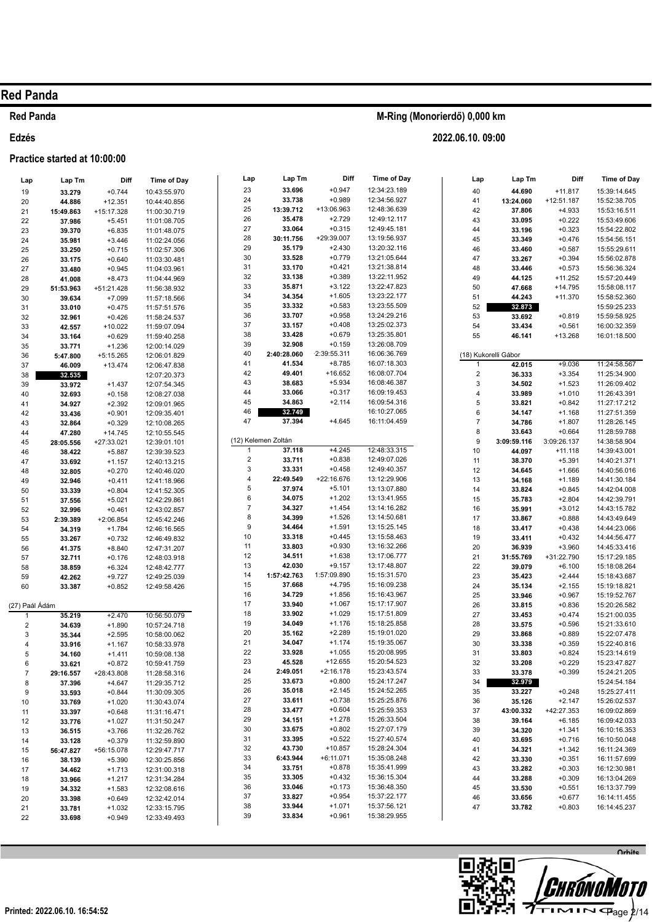#### **Red Panda**

#### Edzés

#### Practice started at 10:00:00  $\mathbf{r}$

| Lap                 | ∟apım            | זוט         | ⊪ime of Day  |
|---------------------|------------------|-------------|--------------|
| 19                  | 33.279           | $+0.744$    | 10:43:55.970 |
| 20                  | 44.886           | $+12.351$   | 10:44:40.856 |
| 21                  | 15:49.863        | +15:17.328  | 11:00:30.719 |
| 22                  | 37.986           | $+5.451$    | 11:01:08.705 |
| 23                  | 39.370           | $+6.835$    | 11:01:48.075 |
| 24                  | 35.981           | $+3.446$    | 11:02:24.056 |
| 25                  | 33.250           | $+0.715$    | 11:02:57.306 |
| 26                  | 33.175           | $+0.640$    | 11:03:30.481 |
| 27                  | 33.480           | $+0.945$    | 11:04:03.961 |
| 28                  | 41.008           | $+8.473$    | 11:04:44.969 |
| 29                  | 51:53.963        | +51:21.428  | 11:56:38.932 |
| 30                  | 39.634           | $+7.099$    | 11:57:18.566 |
| 31                  | 33.010           | $+0.475$    | 11:57:51.576 |
| 32                  | 32.961           | $+0.426$    | 11:58:24.537 |
| 33                  | 42.557           | $+10.022$   | 11:59:07.094 |
| 34                  | 33.164           | $+0.629$    | 11:59:40.258 |
| 35                  | 33.771           | $+1.236$    | 12:00:14.029 |
| 36                  | 5:47.800         | $+5:15.265$ | 12:06:01.829 |
| 37                  | 46.009           | $+13.474$   | 12:06:47.838 |
| 38                  | 32.535           |             | 12:07:20.373 |
| 39                  | 33.972           | +1.437      | 12:07:54.345 |
| 40                  | 32.693           | $+0.158$    | 12:08:27.038 |
| 41                  | 34.927           | $+2.392$    | 12:09:01.965 |
| 42                  | 33.436           | $+0.901$    | 12:09:35.401 |
| 43                  | 32.864           | $+0.329$    | 12:10:08.265 |
| 44                  | 47.280           | $+14.745$   | 12:10:55.545 |
| 45                  | 28:05.556        | +27:33.021  | 12:39:01.101 |
| 46                  | 38.422           | $+5.887$    | 12:39:39.523 |
| 47                  | 33.692           | $+1.157$    | 12:40:13.215 |
| 48                  | 32.805           | $+0.270$    | 12:40:46.020 |
| 49                  | 32.946           | $+0.411$    | 12:41:18.966 |
| 50                  | 33.339           | $+0.804$    | 12:41:52.305 |
|                     |                  |             | 12:42:29.861 |
| 51                  | 37.556           | $+5.021$    |              |
| 52                  | 32.996           | $+0.461$    | 12:43:02.857 |
| 53                  | 2:39.389         | +2:06.854   | 12:45:42.246 |
| 54                  | 34.319           | $+1.784$    | 12:46:16.565 |
| 55                  | 33.267           | $+0.732$    | 12:46:49.832 |
| 56                  | 41.375           | $+8.840$    | 12:47:31.207 |
| 57                  | 32.711           | $+0.176$    | 12:48:03.918 |
| 58                  | 38.859           | $+6.324$    | 12:48:42.777 |
| 59                  | 42.262           | $+9.727$    | 12:49:25.039 |
| 60                  | 33.387           | $+0.852$    | 12:49:58.426 |
|                     |                  |             |              |
| (27) Paál Ádám<br>1 | 35.219           | $+2.470$    | 10:56:50.079 |
| 2                   |                  | $+1.890$    | 10:57:24.718 |
|                     | 34.639<br>35.344 |             |              |
| 3<br>4              | 33.916           | $+2.595$    | 10:58:00.062 |
|                     |                  | $+1.167$    | 10:58:33.978 |
| 5                   | 34.160           | $+1.411$    | 10:59:08.138 |
| 6                   | 33.621           | $+0.872$    | 10:59:41.759 |
| 7                   | 29:16.557        | +28:43.808  | 11:28:58.316 |
| 8                   | 37.396           | +4.647      | 11:29:35.712 |
| 9                   | 33.593           | $+0.844$    | 11:30:09.305 |
| 10                  | 33.769           | $+1.020$    | 11:30:43.074 |
| 11                  | 33.397           | $+0.648$    | 11:31:16.471 |
| 12                  | 33.776           | $+1.027$    | 11:31:50.247 |
| 13                  | 36.515           | $+3.766$    | 11:32:26.762 |
| 14                  | 33.128           | $+0.379$    | 11:32:59.890 |
| 15                  | 56:47.827        | +56:15.078  | 12:29:47.717 |
| 16                  | 38.139           | $+5.390$    | 12:30:25.856 |
| 17                  | 34.462           | $+1.713$    | 12:31:00.318 |
| 18                  | 33.966           | $+1.217$    | 12:31:34.284 |
| 19                  | 34.332           | $+1.583$    | 12:32:08.616 |
| 20                  | 33.398           | $+0.649$    | 12:32:42.014 |
| 21                  | 33.781           | $+1.032$    | 12:33:15.795 |
| 22                  | 33.698           | $+0.949$    | 12:33:49.493 |

| M-Ring (Monorierdő) 0,000 km |  |
|------------------------------|--|
|                              |  |

Lap Tm

33.696

33.738

35,478

33.064

35.179

33.528

33.170

33.138 35.871

34.354

33.332

33.707

33.157

33.428

32.908

41.534

49.401

38 683

33.066

34.863

37.394

37.118

33.711

33.331

37.974

34.075

34.327

34.399

34 464

33.318

33.803

34.511

42.030

37.668 34.729

33.940

33.902

34.049

35.162

34.047

33.928

45.528

33.673

35.018

33.611

33.477

34.151

33.675

33.395

43.730

33.751

33.305

33.046

33.827

33.944

33.834

6:43.944

2:49.051

1:57:42.763

22:49.549

32.749

2:40:28.060

13:39.712

30:11.756

Lap

23

24

25

26

27

 $28$ 

29

30

31

32

33

34

35

36

 $37\,$ 

38 39

40

 $41$ 

 $42$ 

 $43$ 

 $44$ 

45

46

47

 $\overline{1}$ 

 $\overline{2}$ 

3

 $\overline{A}$ 

5  $\boldsymbol{6}$ 

 $\overline{7}$ 

 $\mathbf{g}$ 

 $\mathsf{Q}$ 

 $10$ 

 $11$ 

 $12$ 

13

14

 $15$ 

16

 $17$ 

 $18$ 

19

 $20$ 

 $21$  $22$ 

23

 $24$ 

25

26

27

28

29

30

 $31$ 32

33

34

35 36

37

38

39

(12) Kelemen Zoltán

Diff

 $+0.947$ 

 $+0.989$ 

 $+2.729$ 

 $+0.315$ 

 $+2.430$ 

 $+0.779$ 

 $+0.421$ 

 $+0.389$ 

 $+3.122$ 

 $+1.605$ 

 $+0.583$ 

 $+0.958$ 

 $+0.408$ 

 $+0.679$ 

 $+0.159$ 

 $+8.785$ 

 $+16652$ 

 $+5934$ 

 $+0.317$ 

 $+2.114$ 

 $+4.645$ 

 $+4.245$ 

 $+0.838$ 

 $+0.458$ 

 $+5.101$ 

 $+1.202$ 

 $+1.454$ 

 $+1.526$ 

 $+1.591$ 

 $+0.445$ 

 $+0.930$ 

 $+1.638$ 

 $+9.157$ 

 $+4.795$ 

 $+1.856$ 

 $+1.067$ 

 $+1.029$ 

 $+1.176$ 

 $+2.289$ 

 $+1.174$ 

 $+1.055$ 

 $+12.655$ 

 $+0.800$ 

 $+2.145$ 

 $+0.738$ 

 $+0.604$ 

 $+1.278$ 

 $+0.802$ 

 $+0.522$ 

 $+10.857$ 

 $+0.878$ 

 $+0.432$ 

 $+0.173$ 

 $+0.954$ 

 $+1.071$ 

 $+0.961$ 

 $+6:11.071$ 

 $+2:16.178$ 

1:57:09.890

 $+22:16.676$ 

2:39:55.311

+13:06.963

 $+29.39$  007

Time of Day

12:34:23.189

12:34:56.927

12:48:36.639

12:49:12.117

12:49:45 181

13:10:56.037

13:20:32.116

13:21:05.644

13:21:38.814

13:22:11.952

13:22:47.823

13:23:22.177

 $13.23.55509$ 

13:24:29.216

13:25:02.373

13:25:35.801

13:26:08.709

16:06:36.769

16:07:18.303

16:08:07.704

16:08:46.387

16:09:19.453

16:09:54.316

16:10:27.065

16:11:04.459

12:48:33.315

12:49:07.026

12:49:40.357

13:12:29.906

13:13:07.880

13:13:41.955

13:14:16.282

13:14:50.681

13:15:25.145

13:15:58.463

13:16:32.266

13:17:06.777

13:17:48.807

15:15:31.570

15:16:09 238

15:16:43.967

15:17:17.907

15:17:51.809

15:18:25.858

15:19:01.020

15:19:35.067

15:20:08.995

15:20:54.523

15.23.43.574

15:24:17.247

15:24:52.265

15:25:25.876

15:25:59.353

15:26:33.504

15:27:07.179

15:27:40.574

15:28:24.304

15:35:08.248

15:35:41.999

15:36:15.304

15:36:48.350

15:37:22.177

15:37:56.121

15:38:29.955

| Lap                  | Lap Tm           | Diff                   | Time of Day                  |
|----------------------|------------------|------------------------|------------------------------|
| 40                   | 44.690           | +11.817                | 15:39:14.645                 |
| 41                   | 13:24.060        | +12:51.187             | 15:52:38.705                 |
| 42                   | 37.806           | $+4.933$               | 15:53:16.511                 |
| 43                   | 33.095           | $+0.222$               | 15:53:49.606                 |
| 44                   | 33.196           | $+0.323$               | 15:54:22.802                 |
| 45                   | 33.349           | $+0.476$               | 15:54:56.151                 |
| 46                   | 33.460           | $+0.587$               | 15:55:29.611                 |
| 47                   | 33.267           | $+0.394$               | 15:56:02.878                 |
| 48                   | 33.446           | $+0.573$               | 15:56:36.324                 |
| 49<br>50             | 44.125<br>47.668 | +11.252<br>+14.795     | 15:57:20.449<br>15:58:08.117 |
| 51                   | 44.243           | $+11.370$              | 15:58:52.360                 |
| 52                   | 32.873           |                        | 15:59:25.233                 |
| 53                   | 33.692           | $+0.819$               | 15:59:58.925                 |
| 54                   | 33.434           | $+0.561$               | 16:00:32.359                 |
| 55                   | 46.141           | +13.268                | 16:01:18.500                 |
|                      |                  |                        |                              |
| (18) Kukorelli Gábor |                  |                        |                              |
| 1                    | 42.015           | $+9.036$               | 11:24:58.567                 |
| 2                    | 36.333           | $+3.354$               | 11:25:34.900                 |
| 3                    | 34.502           | $+1.523$               | 11:26:09.402                 |
| 4                    | 33.989           | $+1.010$               | 11:26:43.391                 |
| 5                    | 33.821           | $+0.842$               | 11:27:17.212                 |
| 6                    | 34.147           | $+1.168$               | 11:27:51.359                 |
| 7<br>8               | 34.786<br>33.643 | +1.807<br>$+0.664$     | 11:28:26.145<br>11:28:59.788 |
| 9                    | 3:09:59.116      | 3:09:26.137            | 14:38:58.904                 |
| 10                   | 44.097           | $+11.118$              | 14:39:43.001                 |
| 11                   | 38.370           | $+5.391$               | 14:40:21.371                 |
| 12                   | 34.645           | $+1.666$               | 14:40:56.016                 |
| 13                   | 34.168           | $+1.189$               | 14:41:30.184                 |
| 14                   | 33.824           | $+0.845$               | 14:42:04.008                 |
| 15                   | 35.783           | $+2.804$               | 14:42:39.791                 |
| 16                   | 35.991           | $+3.012$               | 14:43:15.782                 |
| 17                   | 33.867           | $+0.888$               | 14:43:49.649                 |
| 18                   | 33.417           | $+0.438$               | 14:44:23.066                 |
| 19                   | 33.411           | $+0.432$               | 14:44:56.477                 |
| 20                   | 36.939           | $+3.960$               | 14:45:33.416                 |
| 21                   | 31:55.769        | +31:22.790             | 15:17:29.185                 |
| 22                   | 39.079           | $+6.100$               | 15:18:08.264                 |
| 23<br>24             | 35.423<br>35.134 | $+2.444$<br>$+2.155$   | 15:18:43.687<br>15:19:18.821 |
| 25                   | 33.946           | $+0.967$               | 15:19:52.767                 |
| 26                   | 33.815           | $+0.836$               | 15:20:26.582                 |
| 27                   | 33.453           | $+0.474$               | 15:21:00.035                 |
| 28                   | 33.575           | $+0.596$               | 15:21:33.610                 |
| 29                   | 33.868           | $+0.889$               | 15:22:07.478                 |
| 30                   | 33.338           | $+0.359$               | 15:22:40.816                 |
| 31                   | 33.803           | $+0.824$               | 15:23:14.619                 |
| 32                   | 33.208           | $+0.229$               | 15:23:47.827                 |
| 33                   | 33.378           | $+0.399$               | 15:24:21.205                 |
| 34                   | 32.979           |                        | 15:24:54.184                 |
| 35                   | 33.227           | $+0.248$               | 15:25:27.411                 |
| 36                   | 35.126           | +2.147                 | 15:26:02.537                 |
| 37                   | 43:00.332        | +42:27.353<br>$+6.185$ | 16:09:02.869<br>16:09:42.033 |
| 38<br>39             | 39.164<br>34.320 | $+1.341$               | 16:10:16.353                 |
| 40                   | 33.695           | $+0.716$               | 16:10:50.048                 |
| 41                   | 34.321           | $+1.342$               | 16:11:24.369                 |
| 42                   | 33.330           | $+0.351$               | 16:11:57.699                 |
| 43                   | 33.282           | $+0.303$               | 16:12:30.981                 |
| 44                   | 33.288           | $+0.309$               | 16:13:04.269                 |
| 45                   | 33.530           | $+0.551$               | 16:13:37.799                 |
| 46                   | 33.656           | $+0.677$               | 16:14:11.455                 |
| 47                   | 33.782           | $+0.803$               | 16:14:45.237                 |

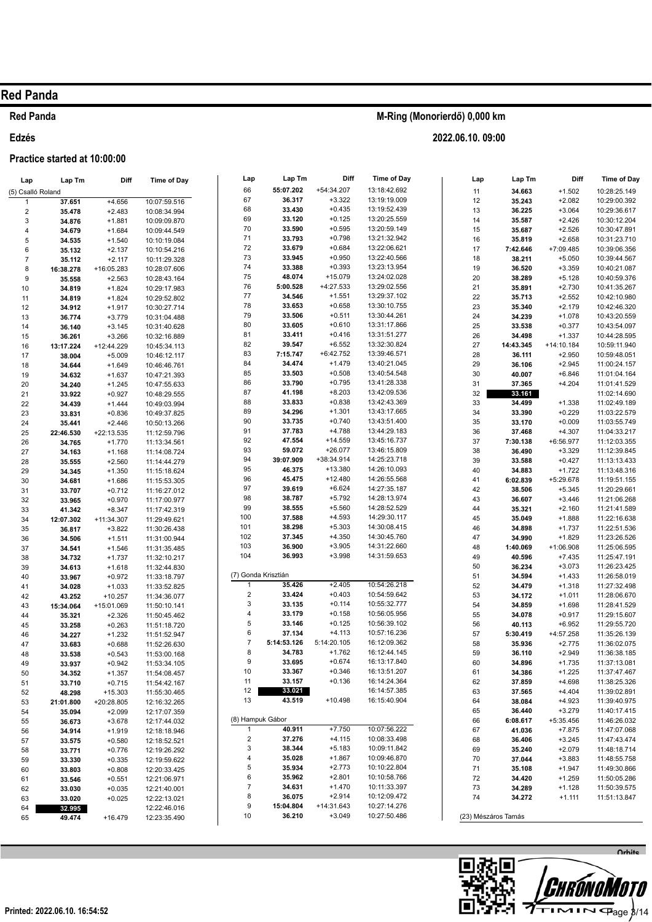## **Red Panda**

#### Edzés

### Practice started at 10:00:00

| Lap                     | Lap Tm           | Diff                  | <b>Time of Day</b>           | Lap                     | Lap Tm              | Diff                 | Time of Day                  | Lap      | Lap Tm              | Diff                 | Time of Day                  |
|-------------------------|------------------|-----------------------|------------------------------|-------------------------|---------------------|----------------------|------------------------------|----------|---------------------|----------------------|------------------------------|
| (5) Csalló Roland       |                  |                       |                              | 66                      | 55:07.202           | +54:34.207           | 13:18:42.692                 | 11       | 34.663              | $+1.502$             | 10:28:25.149                 |
| $\mathbf{1}$            | 37.651           | $+4.656$              | 10:07:59.516                 | 67                      | 36.317              | $+3.322$             | 13:19:19.009                 | 12       | 35.243              | $+2.082$             | 10:29:00.392                 |
| $\overline{\mathbf{c}}$ | 35.478           | $+2.483$              | 10:08:34.994                 | 68                      | 33.430              | $+0.435$             | 13:19:52.439                 | 13       | 36.225              | $+3.064$             | 10:29:36.617                 |
| 3                       | 34.876           | $+1.881$              | 10:09:09.870                 | 69                      | 33.120              | $+0.125$             | 13:20:25.559                 | 14       | 35.587              | $+2.426$             | 10:30:12.204                 |
| $\overline{4}$          | 34.679           | $+1.684$              | 10:09:44.549                 | 70                      | 33.590              | $+0.595$             | 13:20:59.149                 | 15       | 35.687              | $+2.526$             | 10:30:47.891                 |
| 5                       | 34.535           | $+1.540$              | 10:10:19.084                 | 71                      | 33.793              | $+0.798$             | 13:21:32.942                 | 16       | 35.819              | $+2.658$             | 10:31:23.710                 |
| 6                       | 35.132           | $+2.137$              | 10:10:54.216                 | 72                      | 33.679              | $+0.684$             | 13:22:06.621                 | 17       | 7:42.646            | +7:09.485            | 10:39:06.356                 |
| $\overline{7}$          | 35.112           | $+2.117$              | 10:11:29.328                 | 73                      | 33.945              | $+0.950$             | 13:22:40.566                 | 18       | 38.211              | $+5.050$             | 10:39:44.567                 |
| 8                       | 16:38.278        | +16:05.283            | 10:28:07.606                 | 74                      | 33.388              | $+0.393$             | 13:23:13.954                 | 19       | 36.520              | $+3.359$             | 10:40:21.087                 |
| 9                       | 35.558           | $+2.563$              | 10:28:43.164                 | 75                      | 48.074              | $+15.079$            | 13:24:02.028                 | 20       | 38.289              | $+5.128$             | 10:40:59.376                 |
| 10                      | 34.819           | $+1.824$              | 10:29:17.983                 | 76                      | 5:00.528            | +4:27.533            | 13:29:02.556                 | 21       | 35.891              | $+2.730$             | 10:41:35.267                 |
| 11                      | 34.819           | $+1.824$              | 10:29:52.802                 | 77<br>78                | 34.546<br>33.653    | $+1.551$             | 13:29:37.102<br>13:30:10.755 | 22       | 35.713              | $+2.552$             | 10:42:10.980                 |
| 12                      | 34.912           | $+1.917$              | 10:30:27.714                 | 79                      | 33.506              | $+0.658$<br>$+0.511$ | 13:30:44.261                 | 23       | 35.340              | $+2.179$             | 10:42:46.320                 |
| 13                      | 36.774           | $+3.779$              | 10:31:04.488                 | 80                      | 33.605              | $+0.610$             | 13:31:17.866                 | 24<br>25 | 34.239              | $+1.078$<br>$+0.377$ | 10:43:20.559                 |
| 14                      | 36.140           | $+3.145$              | 10:31:40.628                 | 81                      | 33.411              | $+0.416$             | 13:31:51.277                 | 26       | 33.538<br>34.498    | $+1.337$             | 10:43:54.097<br>10:44:28.595 |
| 15                      | 36.261           | $+3.266$              | 10:32:16.889                 | 82                      | 39.547              | $+6.552$             | 13:32:30.824                 | 27       | 14:43.345           | +14:10.184           | 10:59:11.940                 |
| 16                      | 13:17.224        | +12:44.229            | 10:45:34.113                 | 83                      | 7:15.747            | $+6:42.752$          | 13:39:46.571                 | 28       | 36.111              | $+2.950$             | 10:59:48.051                 |
| 17                      | 38.004           | $+5.009$              | 10:46:12.117                 | 84                      | 34.474              | $+1.479$             | 13:40:21.045                 | 29       | 36.106              | $+2.945$             | 11:00:24.157                 |
| 18<br>19                | 34.644<br>34.632 | $+1.649$<br>$+1.637$  | 10:46:46.761<br>10:47:21.393 | 85                      | 33.503              | $+0.508$             | 13:40:54.548                 | 30       | 40.007              | $+6.846$             | 11:01:04.164                 |
| 20                      | 34.240           | $+1.245$              | 10:47:55.633                 | 86                      | 33.790              | $+0.795$             | 13:41:28.338                 | 31       | 37.365              | $+4.204$             | 11:01:41.529                 |
| 21                      | 33.922           | $+0.927$              | 10:48:29.555                 | 87                      | 41.198              | $+8.203$             | 13:42:09.536                 | 32       | 33.161              |                      | 11:02:14.690                 |
| 22                      | 34.439           | $+1.444$              | 10:49:03.994                 | 88                      | 33.833              | $+0.838$             | 13:42:43.369                 | 33       | 34.499              | $+1.338$             | 11:02:49.189                 |
| 23                      | 33.831           | $+0.836$              | 10:49:37.825                 | 89                      | 34.296              | $+1.301$             | 13:43:17.665                 | 34       | 33.390              | $+0.229$             | 11:03:22.579                 |
| 24                      | 35.441           | $+2.446$              | 10:50:13.266                 | 90                      | 33.735              | $+0.740$             | 13:43:51.400                 | 35       | 33.170              | $+0.009$             | 11:03:55.749                 |
| 25                      | 22:46.530        | +22:13.535            | 11:12:59.796                 | 91                      | 37.783              | $+4.788$             | 13:44:29.183                 | 36       | 37.468              | $+4.307$             | 11:04:33.217                 |
| 26                      | 34.765           | $+1.770$              | 11:13:34.561                 | 92                      | 47.554              | $+14.559$            | 13:45:16.737                 | 37       | 7:30.138            | +6:56.977            | 11:12:03.355                 |
| 27                      | 34.163           | $+1.168$              | 11:14:08.724                 | 93                      | 59.072              | $+26.077$            | 13:46:15.809                 | 38       | 36.490              | $+3.329$             | 11:12:39.845                 |
| 28                      | 35.555           | $+2.560$              | 11:14:44.279                 | 94                      | 39:07.909           | +38:34.914           | 14:25:23.718                 | 39       | 33.588              | $+0.427$             | 11:13:13.433                 |
| 29                      | 34.345           | $+1.350$              | 11:15:18.624                 | 95                      | 46.375              | +13.380              | 14:26:10.093                 | 40       | 34.883              | $+1.722$             | 11:13:48.316                 |
| 30                      | 34.681           | $+1.686$              | 11:15:53.305                 | 96                      | 45.475              | $+12.480$            | 14:26:55.568                 | 41       | 6:02.839            | +5:29.678            | 11:19:51.155                 |
| 31                      | 33.707           | $+0.712$              | 11:16:27.012                 | 97                      | 39.619              | $+6.624$             | 14:27:35.187                 | 42       | 38.506              | $+5.345$             | 11:20:29.661                 |
| 32                      | 33.965           | $+0.970$              | 11:17:00.977                 | 98                      | 38.787              | $+5.792$             | 14:28:13.974                 | 43       | 36.607              | $+3.446$             | 11:21:06.268                 |
| 33                      | 41.342           | $+8.347$              | 11:17:42.319                 | 99                      | 38.555              | $+5.560$             | 14:28:52.529                 | 44       | 35.321              | $+2.160$             | 11:21:41.589                 |
| 34                      | 12:07.302        | +11:34.307            | 11:29:49.621                 | 100                     | 37.588              | $+4.593$             | 14:29:30.117                 | 45       | 35.049              | $+1.888$             | 11:22:16.638                 |
| 35                      | 36.817           | $+3.822$              | 11:30:26.438                 | 101                     | 38.298              | $+5.303$             | 14:30:08.415                 | 46       | 34.898              | $+1.737$             | 11:22:51.536                 |
| 36                      | 34.506           | $+1.511$              | 11:31:00.944                 | 102<br>103              | 37.345<br>36.900    | $+4.350$             | 14:30:45.760                 | 47       | 34.990              | $+1.829$             | 11:23:26.526                 |
| 37                      | 34.541           | $+1.546$              | 11:31:35.485                 | 104                     | 36.993              | $+3.905$<br>$+3.998$ | 14:31:22.660<br>14:31:59.653 | 48       | 1:40.069            | +1:06.908            | 11:25:06.595                 |
| 38                      | 34.732           | $+1.737$              | 11:32:10.217                 |                         |                     |                      |                              | 49<br>50 | 40.596              | $+7.435$<br>$+3.073$ | 11:25:47.191                 |
| 39                      | 34.613           | $+1.618$              | 11:32:44.830                 |                         | (7) Gonda Krisztián |                      |                              | 51       | 36.234<br>34.594    | $+1.433$             | 11:26:23.425<br>11:26:58.019 |
| 40                      | 33.967           | $+0.972$              | 11:33:18.797                 | $\mathbf{1}$            | 35.426              | $+2.405$             | 10:54:26.218                 | 52       | 34.479              | $+1.318$             | 11:27:32.498                 |
| 41<br>42                | 34.028<br>43.252 | $+1.033$<br>$+10.257$ | 11:33:52.825<br>11:34:36.077 | $\overline{\mathbf{c}}$ | 33.424              | $+0.403$             | 10:54:59.642                 | 53       | 34.172              | $+1.011$             | 11:28:06.670                 |
| 43                      | 15:34.064        | +15:01.069            | 11:50:10.141                 | 3                       | 33.135              | $+0.114$             | 10:55:32.777                 | 54       | 34.859              | $+1.698$             | 11:28:41.529                 |
| 44                      | 35.321           | $+2.326$              | 11:50:45.462                 | 4                       | 33.179              | $+0.158$             | 10:56:05.956                 | 55       | 34.078              | $+0.917$             | 11:29:15.607                 |
| 45                      | 33.258           | $+0.263$              | 11:51:18.720                 | 5                       | 33.146              | $+0.125$             | 10:56:39.102                 | 56       | 40.113              | $+6.952$             | 11:29:55.720                 |
| 46                      | 34.227           | $+1.232$              | 11:51:52.947                 | 6                       | 37.134              | $+4.113$             | 10:57:16.236                 | 57       | 5:30.419            | +4:57.258            | 11:35:26.139                 |
| 47                      | 33.683           | $+0.688$              | 11:52:26.630                 | $\overline{7}$          | 5:14:53.126         | 5:14:20.105          | 16:12:09.362                 | 58       | 35.936              | $+2.775$             | 11:36:02.075                 |
| 48                      | 33.538           | $+0.543$              | 11:53:00.168                 | 8                       | 34.783              | $+1.762$             | 16:12:44.145                 | 59       | 36.110              | $+2.949$             | 11:36:38.185                 |
| 49                      | 33.937           | $+0.942$              | 11:53:34.105                 | 9                       | 33.695              | $+0.674$             | 16:13:17.840                 | 60       | 34.896              | $+1.735$             | 11:37:13.081                 |
| 50                      | 34.352           | $+1.357$              | 11:54:08.457                 | 10                      | 33.367              | $+0.346$             | 16:13:51.207                 | 61       | 34.386              | $+1.225$             | 11:37:47.467                 |
| 51                      | 33.710           | $+0.715$              | 11:54:42.167                 | 11                      | 33.157              | $+0.136$             | 16:14:24.364                 | 62       | 37.859              | $+4.698$             | 11:38:25.326                 |
| 52                      | 48.298           | $+15.303$             | 11:55:30.465                 | 12                      | 33.021              |                      | 16:14:57.385                 | 63       | 37.565              | $+4.404$             | 11:39:02.891                 |
| 53                      | 21:01.800        | +20:28.805            | 12:16:32.265                 | 13                      | 43.519              | $+10.498$            | 16:15:40.904                 | 64       | 38.084              | $+4.923$             | 11:39:40.975                 |
| 54                      | 35.094           | $+2.099$              | 12:17:07.359                 |                         |                     |                      |                              | 65       | 36.440              | $+3.279$             | 11:40:17.415                 |
| 55                      | 36.673           | $+3.678$              | 12:17:44.032                 |                         | (8) Hampuk Gábor    |                      |                              | 66       | 6:08.617            | +5:35.456            | 11:46:26.032                 |
| 56                      | 34.914           | $+1.919$              | 12:18:18.946                 | $\mathbf{1}$            | 40.911              | $+7.750$             | 10:07:56.222                 | 67       | 41.036              | $+7.875$             | 11:47:07.068                 |
| 57                      | 33.575           | $+0.580$              | 12:18:52.521                 | 2                       | 37.276              | $+4.115$             | 10:08:33.498                 | 68       | 36.406              | $+3.245$             | 11:47:43.474                 |
| 58                      | 33.771           | $+0.776$              | 12:19:26.292                 | 3                       | 38.344              | $+5.183$             | 10:09:11.842                 | 69       | 35.240              | $+2.079$             | 11:48:18.714                 |
| 59                      | 33.330           | $+0.335$              | 12:19:59.622                 | 4                       | 35.028              | $+1.867$             | 10:09:46.870                 | 70       | 37.044              | $+3.883$             | 11:48:55.758                 |
| 60                      | 33.803           | $+0.808$              | 12:20:33.425                 | 5<br>6                  | 35.934<br>35.962    | $+2.773$<br>$+2.801$ | 10:10:22.804<br>10:10:58.766 | 71       | 35.108              | $+1.947$             | 11:49:30.866                 |
| 61                      | 33.546           | $+0.551$              | 12:21:06.971                 | $\overline{7}$          | 34.631              | $+1.470$             | 10:11:33.397                 | 72       | 34.420              | $+1.259$             | 11:50:05.286                 |
| 62                      | 33.030           | $+0.035$              | 12:21:40.001                 | 8                       | 36.075              | $+2.914$             | 10:12:09.472                 | 73<br>74 | 34.289<br>34.272    | $+1.128$             | 11:50:39.575                 |
| 63                      | 33.020           | $+0.025$              | 12:22:13.021                 | 9                       | 15:04.804           | +14:31.643           | 10:27:14.276                 |          |                     | $+1.111$             | 11:51:13.847                 |
| 64                      | 32.995           |                       | 12:22:46.016                 | 10                      | 36.210              | $+3.049$             | 10:27:50.486                 |          | (23) Mészáros Tamás |                      |                              |
| 65                      | 49.474           | $+16.479$             | 12:23:35.490                 |                         |                     |                      |                              |          |                     |                      |                              |

M-Ring (Monorierdő) 0,000 km

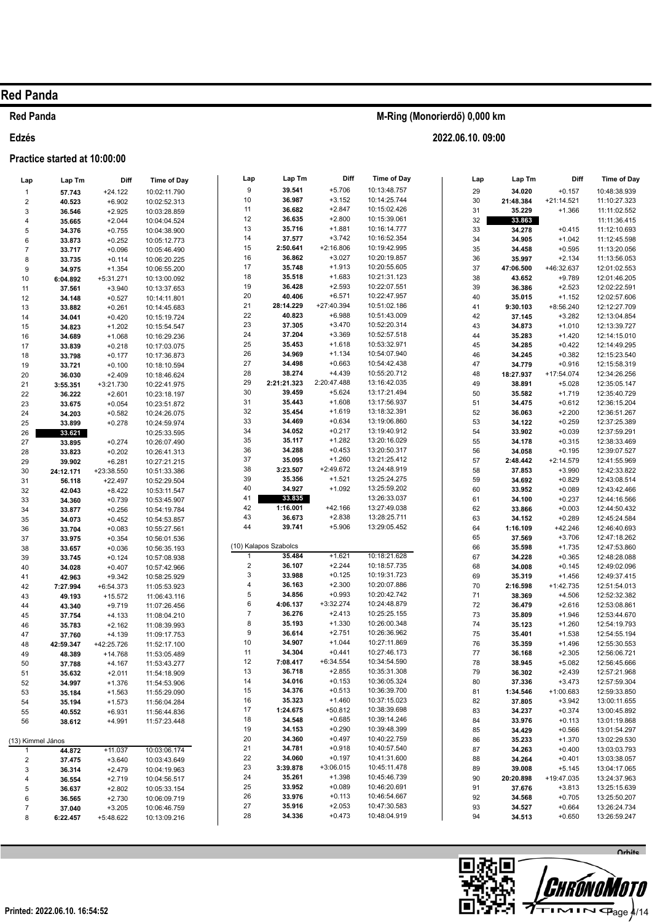### **Red Panda**

### Edzés

### Practice started at 10:00:00

| Lap                     | Lap Tm              | Diff                   | <b>Time of Day</b>           | Lap                     | Lap Tm                | Diff                   | <b>Time of Day</b>           | Lap      | Lap Tm           | Diff                   | <b>Time of Day</b>           |
|-------------------------|---------------------|------------------------|------------------------------|-------------------------|-----------------------|------------------------|------------------------------|----------|------------------|------------------------|------------------------------|
| $\mathbf{1}$            | 57.743              | $+24.122$              | 10:02:11.790                 | $\boldsymbol{9}$        | 39.541                | $+5.706$               | 10:13:48.757                 | 29       | 34.020           | $+0.157$               | 10:48:38.939                 |
| $\boldsymbol{2}$        | 40.523              | $+6.902$               | 10:02:52.313                 | 10                      | 36.987                | $+3.152$               | 10:14:25.744                 | 30       | 21:48.384        | $+21:14.521$           | 11:10:27.323                 |
| 3                       | 36.546              | $+2.925$               | 10:03:28.859                 | 11                      | 36.682                | $+2.847$               | 10:15:02.426                 | 31       | 35.229           | $+1.366$               | 11:11:02.552                 |
| $\overline{\mathbf{4}}$ | 35.665              | $+2.044$               | 10:04:04.524                 | 12                      | 36.635                | $+2.800$               | 10:15:39.061                 | 32       | 33.863           |                        | 11:11:36.415                 |
| 5                       | 34.376              | $+0.755$               | 10:04:38.900                 | 13                      | 35.716                | $+1.881$               | 10:16:14.777                 | 33       | 34.278           | $+0.415$               | 11:12:10.693                 |
| $\,$ 6 $\,$             | 33.873              | $+0.252$               | 10:05:12.773                 | 14                      | 37.577                | $+3.742$               | 10:16:52.354                 | 34       | 34.905           | $+1.042$               | 11:12:45.598                 |
| $\overline{7}$          | 33.717              | $+0.096$               | 10:05:46.490                 | 15                      | 2:50.641              | $+2:16.806$            | 10:19:42.995                 | 35       | 34.458           | $+0.595$               | 11:13:20.056                 |
| 8                       | 33.735              | $+0.114$               | 10:06:20.225                 | 16                      | 36.862                | $+3.027$               | 10:20:19.857                 | 36       | 35.997           | $+2.134$               | 11:13:56.053                 |
| $\boldsymbol{9}$        | 34.975              | $+1.354$               | 10:06:55.200                 | 17                      | 35.748                | $+1.913$               | 10:20:55.605                 | 37       | 47:06.500        | +46:32.637             | 12:01:02.553                 |
| 10                      | 6:04.892            | +5:31.271              | 10:13:00.092                 | 18                      | 35.518                | $+1.683$               | 10:21:31.123                 | 38       | 43.652           | $+9.789$               | 12:01:46.205                 |
| 11                      | 37.561              | $+3.940$               | 10:13:37.653                 | 19                      | 36.428                | $+2.593$               | 10:22:07.551<br>10:22:47.957 | 39       | 36.386           | $+2.523$               | 12:02:22.591                 |
| 12                      | 34.148              | $+0.527$               | 10:14:11.801                 | 20<br>21                | 40.406<br>28:14.229   | $+6.571$<br>+27:40.394 | 10:51:02.186                 | 40       | 35.015           | $+1.152$               | 12:02:57.606                 |
| 13                      | 33.882              | $+0.261$               | 10:14:45.683                 | 22                      | 40.823                | $+6.988$               | 10:51:43.009                 | 41       | 9:30.103         | $+8:56.240$            | 12:12:27.709                 |
| 14                      | 34.041              | $+0.420$               | 10:15:19.724                 | 23                      | 37.305                | $+3.470$               | 10:52:20.314                 | 42<br>43 | 37.145<br>34.873 | $+3.282$<br>$+1.010$   | 12:13:04.854<br>12:13:39.727 |
| 15                      | 34.823<br>34.689    | $+1.202$<br>$+1.068$   | 10:15:54.547<br>10:16:29.236 | 24                      | 37.204                | $+3.369$               | 10:52:57.518                 | 44       | 35.283           | $+1.420$               | 12:14:15.010                 |
| 16<br>17                | 33.839              | $+0.218$               | 10:17:03.075                 | 25                      | 35.453                | $+1.618$               | 10:53:32.971                 | 45       | 34.285           | $+0.422$               | 12:14:49.295                 |
| 18                      | 33.798              | $+0.177$               | 10:17:36.873                 | 26                      | 34.969                | $+1.134$               | 10:54:07.940                 | 46       | 34.245           | $+0.382$               | 12:15:23.540                 |
| 19                      | 33.721              | $+0.100$               | 10:18:10.594                 | 27                      | 34.498                | $+0.663$               | 10:54:42.438                 | 47       | 34.779           | $+0.916$               | 12:15:58.319                 |
| 20                      | 36.030              | $+2.409$               | 10:18:46.624                 | 28                      | 38.274                | $+4.439$               | 10:55:20.712                 | 48       | 18:27.937        | +17:54.074             | 12:34:26.256                 |
| 21                      | 3:55.351            | $+3:21.730$            | 10:22:41.975                 | 29                      | 2:21:21.323           | 2:20:47.488            | 13:16:42.035                 | 49       | 38.891           | $+5.028$               | 12:35:05.147                 |
| 22                      | 36.222              | $+2.601$               | 10:23:18.197                 | 30                      | 39.459                | $+5.624$               | 13:17:21.494                 | 50       | 35.582           | $+1.719$               | 12:35:40.729                 |
| 23                      | 33.675              | $+0.054$               | 10:23:51.872                 | 31                      | 35.443                | $+1.608$               | 13:17:56.937                 | 51       | 34.475           | $+0.612$               | 12:36:15.204                 |
| 24                      | 34.203              | $+0.582$               | 10:24:26.075                 | 32                      | 35.454                | $+1.619$               | 13:18:32.391                 | 52       | 36.063           | $+2.200$               | 12:36:51.267                 |
| 25                      | 33.899              | $+0.278$               | 10:24:59.974                 | 33                      | 34.469                | $+0.634$               | 13:19:06.860                 | 53       | 34.122           | $+0.259$               | 12:37:25.389                 |
| 26                      | 33.621              |                        | 10:25:33.595                 | 34                      | 34.052                | $+0.217$               | 13:19:40.912                 | 54       | 33.902           | $+0.039$               | 12:37:59.291                 |
| 27                      | 33.895              | $+0.274$               | 10:26:07.490                 | 35                      | 35.117                | $+1.282$               | 13:20:16.029                 | 55       | 34.178           | $+0.315$               | 12:38:33.469                 |
| 28                      | 33.823              | $+0.202$               | 10:26:41.313                 | 36                      | 34.288                | $+0.453$               | 13:20:50.317                 | 56       | 34.058           | $+0.195$               | 12:39:07.527                 |
| 29                      | 39.902              | $+6.281$               | 10:27:21.215                 | 37<br>38                | 35.095<br>3:23.507    | $+1.260$<br>+2:49.672  | 13:21:25.412<br>13:24:48.919 | 57       | 2:48.442         | $+2:14.579$            | 12:41:55.969                 |
| 30                      | 24:12.171           | +23:38.550             | 10:51:33.386                 | 39                      | 35.356                | $+1.521$               | 13:25:24.275                 | 58<br>59 | 37.853           | $+3.990$<br>$+0.829$   | 12:42:33.822<br>12:43:08.514 |
| 31                      | 56.118              | $+22.497$              | 10:52:29.504                 | 40                      | 34.927                | $+1.092$               | 13:25:59.202                 | 60       | 34.692<br>33.952 | $+0.089$               | 12:43:42.466                 |
| 32<br>33                | 42.043<br>34.360    | $+8.422$<br>$+0.739$   | 10:53:11.547<br>10:53:45.907 | 41                      | 33.835                |                        | 13:26:33.037                 | 61       | 34.100           | $+0.237$               | 12:44:16.566                 |
| 34                      | 33.877              | $+0.256$               | 10:54:19.784                 | 42                      | 1:16.001              | $+42.166$              | 13:27:49.038                 | 62       | 33.866           | $+0.003$               | 12:44:50.432                 |
| 35                      | 34.073              | $+0.452$               | 10:54:53.857                 | 43                      | 36.673                | $+2.838$               | 13:28:25.711                 | 63       | 34.152           | $+0.289$               | 12:45:24.584                 |
| 36                      | 33.704              | $+0.083$               | 10:55:27.561                 | 44                      | 39.741                | $+5.906$               | 13:29:05.452                 | 64       | 1:16.109         | $+42.246$              | 12:46:40.693                 |
| 37                      | 33.975              | $+0.354$               | 10:56:01.536                 |                         |                       |                        |                              | 65       | 37.569           | $+3.706$               | 12:47:18.262                 |
| 38                      | 33.657              | $+0.036$               | 10:56:35.193                 |                         | (10) Kalapos Szabolcs |                        |                              | 66       | 35.598           | $+1.735$               | 12:47:53.860                 |
| 39                      | 33.745              | $+0.124$               | 10:57:08.938                 |                         | 35.484                | $+1.621$               | 10:18:21.628                 | 67       | 34.228           | $+0.365$               | 12:48:28.088                 |
| 40                      | 34.028              | $+0.407$               | 10:57:42.966                 | $\sqrt{2}$              | 36.107                | $+2.244$               | 10:18:57.735                 | 68       | 34.008           | $+0.145$               | 12:49:02.096                 |
| 41                      | 42.963              | $+9.342$               | 10:58:25.929                 | 3                       | 33.988                | $+0.125$               | 10:19:31.723                 | 69       | 35.319           | $+1.456$               | 12:49:37.415                 |
| 42                      | 7:27.994            | +6:54.373              | 11:05:53.923                 | $\overline{4}$          | 36.163                | $+2.300$               | 10:20:07.886                 | 70       | 2:16.598         | $+1:42.735$            | 12:51:54.013                 |
| 43                      | 49.193              | $+15.572$              | 11:06:43.116                 | 5                       | 34.856                | $+0.993$               | 10:20:42.742                 | 71       | 38.369           | $+4.506$               | 12:52:32.382                 |
| 44                      | 43.340              | $+9.719$               | 11:07:26.456                 | $\,6$<br>$\overline{7}$ | 4:06.137              | $+3:32.274$            | 10:24:48.879                 | 72       | 36.479           | $+2.616$               | 12:53:08.861                 |
| 45                      | 37.754              | $+4.133$               | 11:08:04.210                 | 8                       | 36.276<br>35.193      | $+2.413$<br>$+1.330$   | 10:25:25.155<br>10:26:00.348 | 73       | 35.809           | $+1.946$               | 12:53:44.670                 |
| 46                      | 35.783              | $+2.162$               | 11:08:39.993                 | 9                       | 36.614                | $+2.751$               | 10:26:36.962                 | 74<br>75 | 35.123<br>35.401 | $+1.260$<br>$+1.538$   | 12:54:19.793<br>12:54:55.194 |
| 47                      | 37.760              | $+4.139$<br>+42:25.726 | 11:09:17.753                 | 10                      | 34.907                | $+1.044$               | 10:27:11.869                 | 76       | 35.359           | $+1.496$               | 12:55:30.553                 |
| 48<br>49                | 42:59.347<br>48.389 | $+14.768$              | 11:52:17.100<br>11:53:05.489 | 11                      | 34.304                | $+0.441$               | 10:27:46.173                 | 77       | 36.168           | $+2.305$               | 12:56:06.721                 |
| 50                      | 37.788              | $+4.167$               | 11:53:43.277                 | 12                      | 7:08.417              | $+6:34.554$            | 10:34:54.590                 | 78       | 38.945           | $+5.082$               | 12:56:45.666                 |
| 51                      | 35.632              | $+2.011$               | 11:54:18.909                 | 13                      | 36.718                | $+2.855$               | 10:35:31.308                 | 79       | 36.302           | $+2.439$               | 12:57:21.968                 |
| 52                      | 34.997              | $+1.376$               | 11:54:53.906                 | 14                      | 34.016                | $+0.153$               | 10:36:05.324                 | 80       | 37.336           | $+3.473$               | 12:57:59.304                 |
| 53                      | 35.184              | $+1.563$               | 11:55:29.090                 | 15                      | 34.376                | $+0.513$               | 10:36:39.700                 | 81       | 1:34.546         | +1:00.683              | 12:59:33.850                 |
| 54                      | 35.194              | $+1.573$               | 11:56:04.284                 | 16                      | 35.323                | $+1.460$               | 10:37:15.023                 | 82       | 37.805           | $+3.942$               | 13:00:11.655                 |
| 55                      | 40.552              | $+6.931$               | 11:56:44.836                 | 17                      | 1:24.675              | $+50.812$              | 10:38:39.698                 | 83       | 34.237           | $+0.374$               | 13:00:45.892                 |
| 56                      | 38.612              | $+4.991$               | 11:57:23.448                 | 18                      | 34.548                | $+0.685$               | 10:39:14.246                 | 84       | 33.976           | $+0.113$               | 13:01:19.868                 |
|                         |                     |                        |                              | 19                      | 34.153                | $+0.290$               | 10:39:48.399                 | 85       | 34.429           | $+0.566$               | 13:01:54.297                 |
| (13) Kimmel János       |                     |                        |                              | 20                      | 34.360                | $+0.497$               | 10:40:22.759                 | 86       | 35.233           | $+1.370$               | 13:02:29.530                 |
| 1                       | 44.872              | $+11.037$              | 10:03:06.174                 | 21                      | 34.781                | $+0.918$               | 10:40:57.540                 | 87       | 34.263           | $+0.400$               | 13:03:03.793                 |
| $\overline{c}$          | 37.475              | $+3.640$               | 10:03:43.649                 | 22                      | 34.060                | $+0.197$               | 10:41:31.600                 | 88       | 34.264           | $+0.401$               | 13:03:38.057                 |
| 3                       | 36.314              | $+2.479$               | 10:04:19.963                 | 23<br>24                | 3:39.878<br>35.261    | +3:06.015<br>$+1.398$  | 10:45:11.478<br>10:45:46.739 | 89       | 39.008           | $+5.145$               | 13:04:17.065                 |
| 4                       | 36.554              | $+2.719$               | 10:04:56.517                 | 25                      | 33.952                | $+0.089$               | 10:46:20.691                 | 90<br>91 | 20:20.898        | +19:47.035<br>$+3.813$ | 13:24:37.963                 |
| 5                       | 36.637              | $+2.802$               | 10:05:33.154                 | 26                      | 33.976                | $+0.113$               | 10:46:54.667                 | 92       | 37.676<br>34.568 | $+0.705$               | 13:25:15.639<br>13:25:50.207 |
| 6<br>$\overline{7}$     | 36.565<br>37.040    | $+2.730$<br>$+3.205$   | 10:06:09.719                 | 27                      | 35.916                | $+2.053$               | 10:47:30.583                 | 93       | 34.527           | $+0.664$               | 13:26:24.734                 |
| 8                       | 6:22.457            | +5:48.622              | 10:06:46.759<br>10:13:09.216 | 28                      | 34.336                | $+0.473$               | 10:48:04.919                 | 94       | 34.513           | $+0.650$               | 13:26:59.247                 |
|                         |                     |                        |                              |                         |                       |                        |                              |          |                  |                        |                              |



# M-Ring (Monorierdő) 0,000 km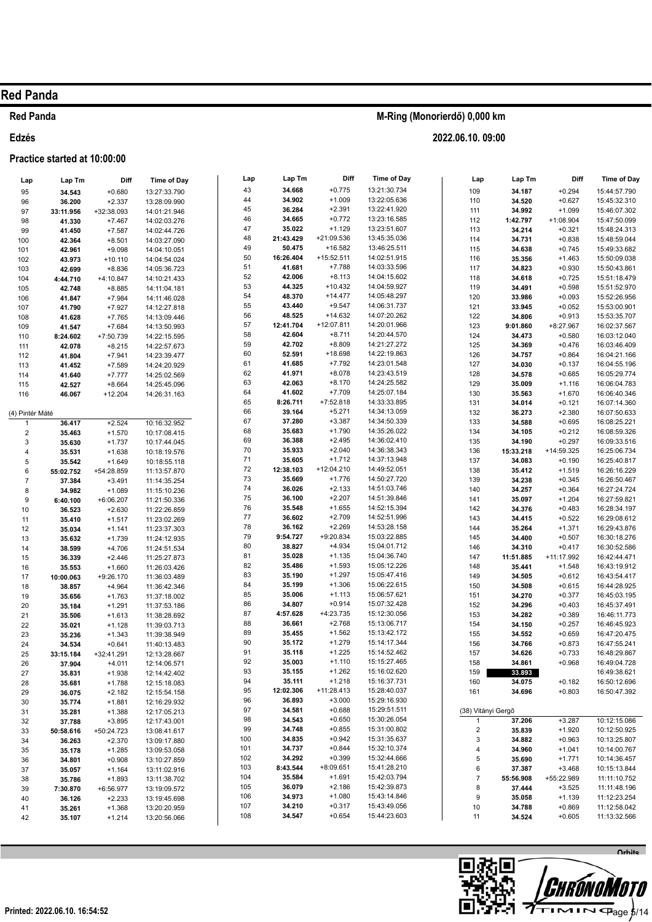### **Red Panda**

Edzés

### Practice started at 10:00:00

| Lap             | Lap Tm              | Diff                   | <b>Time of Day</b>           | Lap | Lap Tm    | Diff         | Time of Day  | Lap                | Lap Tm    | Diff        | <b>Time of Day</b> |
|-----------------|---------------------|------------------------|------------------------------|-----|-----------|--------------|--------------|--------------------|-----------|-------------|--------------------|
| 95              | 34.543              | $+0.680$               | 13:27:33.790                 | 43  | 34.668    | $+0.775$     | 13:21:30.734 | 109                | 34.187    | $+0.294$    | 15:44:57.790       |
| 96              | 36.200              | $+2.337$               | 13:28:09.990                 | 44  | 34.902    | $+1.009$     | 13:22:05.636 | 110                | 34.520    | $+0.627$    | 15:45:32.310       |
| 97              | 33:11.956           | +32:38.093             | 14:01:21.946                 | 45  | 36.284    | $+2.391$     | 13:22:41.920 | 111                | 34.992    | $+1.099$    | 15:46:07.302       |
| 98              | 41.330              | $+7.467$               | 14:02:03.276                 | 46  | 34.665    | $+0.772$     | 13:23:16.585 | 112                | 1:42.797  | $+1:08.904$ | 15:47:50.099       |
| 99              | 41.450              | $+7.587$               | 14:02:44.726                 | 47  | 35.022    | $+1.129$     | 13:23:51.607 | 113                | 34.214    | $+0.321$    | 15:48:24.313       |
| 100             | 42.364              | $+8.501$               | 14:03:27.090                 | 48  | 21:43.429 | +21:09.536   | 13:45:35.036 | 114                | 34.731    | $+0.838$    | 15:48:59.044       |
| 101             | 42.961              | $+9.098$               | 14:04:10.051                 | 49  | 50.475    | $+16.582$    | 13:46:25.511 | 115                | 34.638    | $+0.745$    | 15:49:33.682       |
| 102             | 43.973              | $+10.110$              | 14:04:54.024                 | 50  | 16:26.404 | +15:52.511   | 14:02:51.915 | 116                | 35.356    | $+1.463$    | 15:50:09.038       |
| 103             | 42.699              | $+8.836$               | 14:05:36.723                 | 51  | 41.681    | $+7.788$     | 14:03:33.596 | 117                | 34.823    | $+0.930$    | 15:50:43.861       |
| 104             | 4:44.710            | +4:10.847              | 14:10:21.433                 | 52  | 42.006    | $+8.113$     | 14:04:15.602 | 118                | 34.618    | $+0.725$    | 15:51:18.479       |
| 105             | 42.748              | $+8.885$               | 14:11:04.181                 | 53  | 44.325    | $+10.432$    | 14:04:59.927 | 119                | 34.491    | $+0.598$    | 15:51:52.970       |
| 106             | 41.847              | $+7.984$               | 14:11:46.028                 | 54  | 48.370    | $+14.477$    | 14:05:48.297 | 120                | 33.986    | $+0.093$    | 15:52:26.956       |
| 107             | 41.790              | $+7.927$               | 14:12:27.818                 | 55  | 43.440    | $+9.547$     | 14:06:31.737 | 121                | 33.945    | $+0.052$    | 15:53:00.901       |
| 108             | 41.628              | $+7.765$               | 14:13:09.446                 | 56  | 48.525    | $+14.632$    | 14:07:20.262 | 122                | 34.806    | $+0.913$    | 15:53:35.707       |
| 109             | 41.547              | $+7.684$               | 14:13:50.993                 | 57  | 12:41.704 | +12:07.811   | 14:20:01.966 | 123                | 9:01.860  | $+8:27.967$ | 16:02:37.567       |
| 110             | 8:24.602            | +7:50.739              | 14:22:15.595                 | 58  | 42.604    | $+8.711$     | 14:20:44.570 | 124                | 34.473    | $+0.580$    | 16:03:12.040       |
| 111             | 42.078              | $+8.215$               | 14:22:57.673                 | 59  | 42.702    | $+8.809$     | 14:21:27.272 | 125                | 34.369    | $+0.476$    | 16:03:46.409       |
| 112             | 41.804              | $+7.941$               | 14:23:39.477                 | 60  | 52.591    | +18.698      | 14:22:19.863 | 126                | 34.757    | $+0.864$    | 16:04:21.166       |
| 113             | 41.452              | $+7.589$               | 14:24:20.929                 | 61  | 41.685    | $+7.792$     | 14:23:01.548 | 127                | 34.030    | $+0.137$    | 16:04:55.196       |
| 114             | 41.640              | $+7.777$               | 14:25:02.569                 | 62  | 41.971    | $+8.078$     | 14:23:43.519 | 128                | 34.578    | $+0.685$    | 16:05:29.774       |
| 115             | 42.527              | $+8.664$               | 14:25:45.096                 | 63  | 42.063    | $+8.170$     | 14:24:25.582 | 129                | 35.009    | $+1.116$    | 16:06:04.783       |
| 116             | 46.067              | $+12.204$              | 14:26:31.163                 | 64  | 41.602    | $+7.709$     | 14:25:07.184 | 130                | 35.563    | $+1.670$    | 16:06:40.346       |
|                 |                     |                        |                              | 65  | 8:26.711  | +7:52.818    | 14:33:33.895 | 131                | 34.014    | $+0.121$    | 16:07:14.360       |
| (4) Pintér Máté |                     |                        |                              | 66  | 39.164    | $+5.271$     | 14:34:13.059 | 132                | 36.273    | $+2.380$    | 16:07:50.633       |
| $\mathbf{1}$    | 36.417              | $+2.524$               | 10:16:32.952                 | 67  | 37.280    | $+3.387$     | 14:34:50.339 | 133                | 34.588    | $+0.695$    | 16:08:25.221       |
| $\overline{c}$  | 35.463              | $+1.570$               | 10:17:08.415                 | 68  | 35.683    | $+1.790$     | 14:35:26.022 | 134                | 34.105    | $+0.212$    | 16:08:59.326       |
| 3               | 35.630              | $+1.737$               | 10:17:44.045                 | 69  | 36.388    | $+2.495$     | 14:36:02.410 | 135                | 34.190    | $+0.297$    | 16:09:33.516       |
| 4               | 35.531              | $+1.638$               | 10:18:19.576                 | 70  | 35.933    | $+2.040$     | 14:36:38.343 | 136                | 15:33.218 | +14:59.325  | 16:25:06.734       |
| 5               | 35.542              | $+1.649$               | 10:18:55.118                 | 71  | 35.605    | $+1.712$     | 14:37:13.948 | 137                | 34.083    | $+0.190$    | 16:25:40.817       |
| 6               | 55:02.752           | +54:28.859             | 11:13:57.870                 | 72  | 12:38.103 | +12:04.210   | 14:49:52.051 | 138                | 35.412    | $+1.519$    | 16:26:16.229       |
| $\overline{7}$  | 37.384              | $+3.491$               | 11:14:35.254                 | 73  | 35.669    | $+1.776$     | 14:50:27.720 | 139                | 34.238    | $+0.345$    | 16:26:50.467       |
| 8               | 34.982              | $+1.089$               | 11:15:10.236                 | 74  | 36.026    | $+2.133$     | 14:51:03.746 | 140                | 34.257    | $+0.364$    | 16:27:24.724       |
| 9               | 6:40.100            | +6:06.207              | 11:21:50.336                 | 75  | 36.100    | $+2.207$     | 14:51:39.846 | 141                | 35.097    | $+1.204$    | 16:27:59.821       |
| 10              | 36.523              | $+2.630$               | 11:22:26.859                 | 76  | 35.548    | $+1.655$     | 14:52:15.394 | 142                | 34.376    | $+0.483$    | 16:28:34.197       |
| 11              | 35.410              | $+1.517$               | 11:23:02.269                 | 77  | 36.602    | $+2.709$     | 14:52:51.996 | 143                | 34.415    | $+0.522$    | 16:29:08.612       |
| 12              | 35.034              | $+1.141$               | 11:23:37.303                 | 78  | 36.162    | $+2.269$     | 14:53:28.158 | 144                | 35.264    | $+1.371$    | 16:29:43.876       |
| 13              | 35.632              | $+1.739$               | 11:24:12.935                 | 79  | 9:54.727  | +9:20.834    | 15:03:22.885 | 145                | 34.400    | $+0.507$    | 16:30:18.276       |
| 14              | 38.599              | $+4.706$               | 11:24:51.534                 | 80  | 38.827    | $+4.934$     | 15:04:01.712 | 146                | 34.310    | $+0.417$    | 16:30:52.586       |
| 15              | 36.339              | $+2.446$               | 11:25:27.873                 | 81  | 35.028    | $+1.135$     | 15:04:36.740 | 147                | 11:51.885 | +11:17.992  | 16:42:44.471       |
| 16              | 35.553              | $+1.660$               | 11:26:03.426                 | 82  | 35.486    | $+1.593$     | 15:05:12.226 | 148                | 35.441    | $+1.548$    | 16:43:19.912       |
| 17              | 10:00.063           | $+9:26.170$            | 11:36:03.489                 | 83  | 35.190    | $+1.297$     | 15:05:47.416 | 149                | 34.505    | $+0.612$    | 16:43:54.417       |
| 18              | 38.857              | $+4.964$               | 11:36:42.346                 | 84  | 35.199    | $+1.306$     | 15:06:22.615 | 150                | 34.508    | $+0.615$    | 16:44:28.925       |
| 19              | 35.656              | $+1.763$               | 11:37:18.002                 | 85  | 35.006    | $+1.113$     | 15:06:57.621 | 151                | 34.270    | $+0.377$    | 16:45:03.195       |
| 20              | 35.184              | $+1.291$               | 11:37:53.186                 | 86  | 34.807    | $+0.914$     | 15:07:32.428 | 152                | 34.296    | $+0.403$    | 16:45:37.491       |
| 21              | 35.506              | $+1.613$               | 11:38:28.692                 | 87  | 4:57.628  | +4:23.735    | 15:12:30.056 | 153                | 34.282    | $+0.389$    | 16:46:11.773       |
| 22              | 35.021              | $+1.128$               | 11:39:03.713                 | 88  | 36.661    | $+2.768$     | 15:13:06.717 | 154                | 34.150    | $+0.257$    | 16:46:45.923       |
| 23              | 35.236              | $+1.343$               | 11:39:38.949                 | 89  | 35.455    | $+1.562$     | 15:13:42.172 | 155                | 34.552    | $+0.659$    | 16:47:20.475       |
| 24              | 34.534              | $+0.641$               | 11:40:13.483                 | 90  | 35.172    | $+1.279$     | 15:14:17.344 | 156                | 34.766    | $+0.873$    | 16:47:55.241       |
| 25              | 33:15.184           | +32:41.291             | 12:13:28.667                 | 91  | 35.118    | $+1.225$     | 15:14:52.462 | 157                | 34.626    | $+0.733$    | 16:48:29.867       |
| 26              | 37.904              | $+4.011$               | 12:14:06.571                 | 92  | 35.003    | $+1.110$     | 15:15:27.465 | 158                | 34.861    | $+0.968$    | 16:49:04.728       |
| 27              | 35.831              | $+1.938$               | 12:14:42.402                 | 93  | 35.155    | $+1.262$     | 15:16:02.620 | 159                | 33.893    |             | 16:49:38.621       |
| 28              | 35.681              | $+1.788$               | 12:15:18.083                 | 94  | 35.111    | $+1.218$     | 15:16:37.731 | 160                | 34.075    | $+0.182$    | 16:50:12.696       |
| 29              | 36.075              | $+2.182$               | 12:15:54.158                 | 95  | 12:02.306 | $+11:28.413$ | 15:28:40.037 | 161                | 34.696    | $+0.803$    | 16:50:47.392       |
| 30              | 35.774              | $+1.881$               | 12:16:29.932                 | 96  | 36.893    | $+3.000$     | 15:29:16.930 |                    |           |             |                    |
| 31              | 35.281              | $+1.388$               | 12:17:05.213                 | 97  | 34.581    | $+0.688$     | 15:29:51.511 | (38) Vitányi Gergő |           |             |                    |
|                 |                     |                        |                              | 98  | 34.543    | $+0.650$     | 15:30:26.054 | $\mathbf{1}$       | 37.206    | $+3.287$    | 10:12:15.086       |
| 32<br>33        | 37.788<br>50:58.616 | $+3.895$<br>+50:24.723 | 12:17:43.001<br>13:08:41.617 | 99  | 34.748    | $+0.855$     | 15:31:00.802 | $\overline{a}$     | 35.839    | $+1.920$    | 10:12:50.925       |
| 34              | 36.263              | $+2.370$               | 13:09:17.880                 | 100 | 34.835    | $+0.942$     | 15:31:35.637 | 3                  | 34.882    | $+0.963$    | 10:13:25.807       |
|                 | 35.178              |                        |                              | 101 | 34.737    | $+0.844$     | 15:32:10.374 | 4                  | 34.960    | $+1.041$    | 10:14:00.767       |
| 35              |                     | $+1.285$               | 13:09:53.058<br>13:10:27.859 | 102 | 34.292    | $+0.399$     | 15:32:44.666 | 5                  | 35.690    | $+1.771$    | 10:14:36.457       |
| 36              | 34.801              | $+0.908$               |                              | 103 | 8:43.544  | +8:09.651    | 15:41:28.210 | 6                  | 37.387    | $+3.468$    | 10:15:13.844       |
| 37              | 35.057              | $+1.164$               | 13:11:02.916                 | 104 | 35.584    | $+1.691$     | 15:42:03.794 | $\overline{7}$     | 55:56.908 | +55:22.989  | 11:11:10.752       |
| 38              | 35.786              | $+1.893$               | 13:11:38.702                 | 105 | 36.079    | $+2.186$     | 15:42:39.873 | 8                  | 37.444    | $+3.525$    | 11:11:48.196       |
| 39              | 7:30.870            | +6:56.977              | 13:19:09.572                 | 106 | 34.973    | $+1.080$     | 15:43:14.846 | 9                  | 35.058    | $+1.139$    | 11:12:23.254       |
| 40              | 36.126              | $+2.233$               | 13:19:45.698                 | 107 | 34.210    | $+0.317$     | 15:43:49.056 | 10                 | 34.788    | $+0.869$    | 11:12:58.042       |
| 41              | 35.261              | $+1.368$               | 13:20:20.959                 | 108 | 34.547    | $+0.654$     | 15:44:23.603 | 11                 |           | $+0.605$    |                    |
| 42              | 35.107              | $+1.214$               | 13:20:56.066                 |     |           |              |              |                    | 34.524    |             | 11:13:32.566       |

M-Ring (Monorierdő) 0,000 km

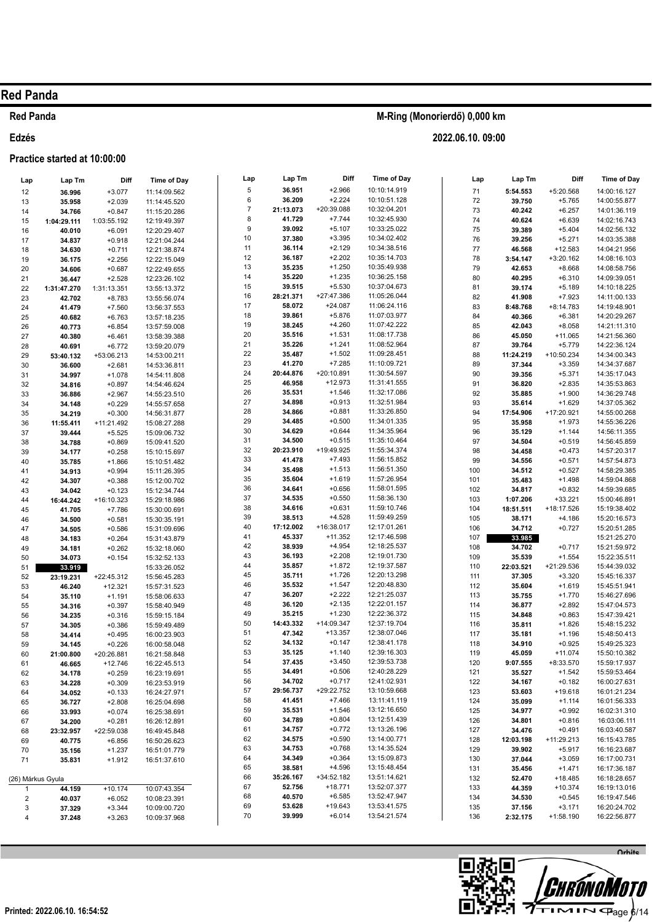### **Red Panda**

#### Edzés

### Practice started at 10:00:00

| Lap                     | Lap Tm      | Diff        | <b>Time of Day</b> | Lap              | Lap Tm    | Diff       | <b>Time of Day</b> | Lap     | Lap Tm    | Diff        | Time of Day  |
|-------------------------|-------------|-------------|--------------------|------------------|-----------|------------|--------------------|---------|-----------|-------------|--------------|
| 12                      | 36.996      | $+3.077$    | 11:14:09.562       | 5                | 36.951    | $+2.966$   | 10:10:14.919       | 71      | 5:54.553  | +5:20.568   | 14:00:16.127 |
| 13                      | 35.958      | $+2.039$    | 11:14:45.520       | 6                | 36.209    | $+2.224$   | 10:10:51.128       | 72      | 39.750    | $+5.765$    | 14:00:55.877 |
| 14                      | 34.766      | $+0.847$    | 11:15:20.286       | $\boldsymbol{7}$ | 21:13.073 | +20:39.088 | 10:32:04.201       | 73      | 40.242    | $+6.257$    | 14:01:36.119 |
| 15                      | 1:04:29.111 | 1:03:55.192 | 12:19:49.397       | 8                | 41.729    | $+7.744$   | 10:32:45.930       | 74      | 40.624    | $+6.639$    | 14:02:16.743 |
| 16                      | 40.010      | $+6.091$    | 12:20:29.407       | 9                | 39.092    | $+5.107$   | 10:33:25.022       | 75      | 39.389    | $+5.404$    | 14:02:56.132 |
| 17                      | 34.837      | $+0.918$    | 12:21:04.244       | 10               | 37.380    | $+3.395$   | 10:34:02.402       | 76      | 39.256    | $+5.271$    | 14:03:35.388 |
| 18                      | 34.630      | $+0.711$    | 12:21:38.874       | 11               | 36.114    | $+2.129$   | 10:34:38.516       | $77 \,$ | 46.568    | $+12.583$   | 14:04:21.956 |
| 19                      | 36.175      | $+2.256$    | 12:22:15.049       | 12               | 36.187    | $+2.202$   | 10:35:14.703       | 78      | 3:54.147  | $+3:20.162$ | 14:08:16.103 |
| 20                      | 34.606      | $+0.687$    | 12:22:49.655       | 13               | 35.235    | $+1.250$   | 10:35:49.938       | 79      | 42.653    | $+8.668$    | 14:08:58.756 |
| 21                      | 36.447      | $+2.528$    | 12:23:26.102       | 14               | 35.220    | $+1.235$   | 10:36:25.158       | 80      | 40.295    | $+6.310$    | 14:09:39.051 |
| 22                      | 1:31:47.270 | 1:31:13.351 | 13:55:13.372       | 15               | 39.515    | $+5.530$   | 10:37:04.673       | 81      | 39.174    | $+5.189$    | 14:10:18.225 |
| 23                      | 42.702      | $+8.783$    | 13:55:56.074       | 16               | 28:21.371 | +27:47.386 | 11:05:26.044       | 82      | 41.908    | $+7.923$    | 14:11:00.133 |
| 24                      | 41.479      | $+7.560$    | 13:56:37.553       | 17               | 58.072    | $+24.087$  | 11:06:24.116       | 83      | 8:48.768  | $+8:14.783$ | 14:19:48.901 |
| 25                      | 40.682      | $+6.763$    | 13:57:18.235       | 18               | 39.861    | $+5.876$   | 11:07:03.977       | 84      | 40.366    | $+6.381$    | 14:20:29.267 |
| 26                      | 40.773      | $+6.854$    | 13:57:59.008       | 19               | 38.245    | $+4.260$   | 11:07:42.222       | 85      | 42.043    | $+8.058$    | 14:21:11.310 |
| 27                      | 40.380      | $+6.461$    | 13:58:39.388       | 20               | 35.516    | $+1.531$   | 11:08:17.738       | 86      | 45.050    | $+11.065$   | 14:21:56.360 |
| 28                      | 40.691      | $+6.772$    | 13:59:20.079       | 21               | 35.226    | $+1.241$   | 11:08:52.964       | 87      | 39.764    | $+5.779$    | 14:22:36.124 |
| 29                      | 53:40.132   | +53:06.213  | 14:53:00.211       | 22               | 35.487    | $+1.502$   | 11:09:28.451       | 88      | 11:24.219 | +10:50.234  | 14:34:00.343 |
| 30                      | 36.600      | $+2.681$    | 14:53:36.811       | 23               | 41.270    | $+7.285$   | 11:10:09.721       | 89      | 37.344    | $+3.359$    | 14:34:37.687 |
| 31                      | 34.997      | $+1.078$    | 14:54:11.808       | 24               | 20:44.876 | +20:10.891 | 11:30:54.597       | 90      | 39.356    | $+5.371$    | 14:35:17.043 |
| 32                      | 34.816      | $+0.897$    | 14:54:46.624       | 25               | 46.958    | $+12.973$  | 11:31:41.555       | 91      | 36.820    | $+2.835$    | 14:35:53.863 |
| 33                      | 36.886      | $+2.967$    | 14:55:23.510       | 26               | 35.531    | $+1.546$   | 11:32:17.086       | 92      | 35.885    | $+1.900$    | 14:36:29.748 |
| 34                      | 34.148      | $+0.229$    | 14:55:57.658       | 27               | 34.898    | $+0.913$   | 11:32:51.984       | 93      | 35.614    | $+1.629$    | 14:37:05.362 |
| 35                      | 34.219      | $+0.300$    | 14:56:31.877       | 28               | 34.866    | $+0.881$   | 11:33:26.850       | 94      | 17:54.906 | +17:20.921  | 14:55:00.268 |
| 36                      | 11:55.411   | +11:21.492  | 15:08:27.288       | 29               | 34.485    | $+0.500$   | 11:34:01.335       | 95      | 35.958    | $+1.973$    | 14:55:36.226 |
| 37                      | 39.444      | $+5.525$    | 15:09:06.732       | 30               | 34.629    | $+0.644$   | 11:34:35.964       | 96      | 35.129    | $+1.144$    | 14:56:11.355 |
| 38                      | 34.788      | $+0.869$    | 15:09:41.520       | 31               | 34.500    | $+0.515$   | 11:35:10.464       | 97      | 34.504    | $+0.519$    | 14:56:45.859 |
| 39                      | 34.177      | $+0.258$    | 15:10:15.697       | 32               | 20:23.910 | +19:49.925 | 11:55:34.374       | 98      | 34.458    | $+0.473$    | 14:57:20.317 |
| 40                      | 35.785      | $+1.866$    | 15:10:51.482       | 33               | 41.478    | $+7.493$   | 11:56:15.852       | 99      | 34.556    | $+0.571$    | 14:57:54.873 |
| 41                      | 34.913      | $+0.994$    | 15:11:26.395       | 34               | 35.498    | $+1.513$   | 11:56:51.350       | 100     | 34.512    | $+0.527$    | 14:58:29.385 |
| 42                      | 34.307      | $+0.388$    | 15:12:00.702       | 35               | 35.604    | $+1.619$   | 11:57:26.954       | 101     | 35.483    | $+1.498$    | 14:59:04.868 |
| 43                      | 34.042      | $+0.123$    | 15:12:34.744       | 36               | 34.641    | $+0.656$   | 11:58:01.595       | 102     | 34.817    | $+0.832$    | 14:59:39.685 |
| 44                      | 16:44.242   | +16:10.323  | 15:29:18.986       | 37               | 34.535    | $+0.550$   | 11:58:36.130       | 103     | 1:07.206  | $+33.221$   | 15:00:46.891 |
| 45                      | 41.705      | $+7.786$    | 15:30:00.691       | 38               | 34.616    | $+0.631$   | 11:59:10.746       | 104     | 18:51.511 | +18:17.526  | 15:19:38.402 |
| 46                      | 34.500      | $+0.581$    | 15:30:35.191       | 39               | 38.513    | $+4.528$   | 11:59:49.259       | 105     | 38.171    | $+4.186$    | 15:20:16.573 |
| 47                      | 34.505      | $+0.586$    | 15:31:09.696       | 40               | 17:12.002 | +16:38.017 | 12:17:01.261       | 106     | 34.712    | $+0.727$    | 15:20:51.285 |
| 48                      | 34.183      | $+0.264$    | 15:31:43.879       | 41               | 45.337    | $+11.352$  | 12:17:46.598       | 107     | 33.985    |             | 15:21:25.270 |
| 49                      | 34.181      | $+0.262$    | 15:32:18.060       | 42               | 38.939    | $+4.954$   | 12:18:25.537       | 108     | 34.702    | $+0.717$    | 15:21:59.972 |
| 50                      | 34.073      | $+0.154$    | 15:32:52.133       | 43               | 36.193    | $+2.208$   | 12:19:01.730       | 109     | 35.539    | $+1.554$    | 15:22:35.511 |
| 51                      | 33.919      |             | 15:33:26.052       | 44               | 35.857    | $+1.872$   | 12:19:37.587       | 110     | 22:03.521 | +21:29.536  | 15:44:39.032 |
| 52                      | 23:19.231   | +22:45.312  | 15:56:45.283       | 45               | 35.711    | $+1.726$   | 12:20:13.298       | 111     | 37.305    | $+3.320$    | 15:45:16.337 |
| 53                      | 46.240      | $+12.321$   | 15:57:31.523       | 46               | 35.532    | $+1.547$   | 12:20:48.830       | 112     | 35.604    | $+1.619$    | 15:45:51.941 |
| 54                      | 35.110      | $+1.191$    | 15:58:06.633       | 47               | 36.207    | $+2.222$   | 12:21:25.037       | 113     | 35.755    | $+1.770$    | 15:46:27.696 |
| 55                      | 34.316      | $+0.397$    | 15:58:40.949       | 48               | 36.120    | $+2.135$   | 12:22:01.157       | 114     | 36.877    | $+2.892$    | 15:47:04.573 |
| 56                      | 34.235      | $+0.316$    | 15:59:15.184       | 49               | 35.215    | $+1.230$   | 12:22:36.372       | 115     | 34.848    | $+0.863$    | 15:47:39.421 |
| 57                      | 34.305      | $+0.386$    | 15:59:49.489       | 50               | 14:43.332 | +14:09.347 | 12:37:19.704       | 116     | 35.811    | $+1.826$    | 15:48:15.232 |
| 58                      | 34.414      | $+0.495$    | 16:00:23.903       | 51               | 47.342    | $+13.357$  | 12:38:07.046       | 117     | 35.181    | $+1.196$    | 15:48:50.413 |
| 59                      | 34.145      | $+0.226$    | 16:00:58.048       | 52               | 34.132    | $+0.147$   | 12:38:41.178       | 118     | 34.910    | $+0.925$    | 15:49:25.323 |
| 60                      | 21:00.800   | +20:26.881  | 16:21:58.848       | 53               | 35.125    | $+1.140$   | 12:39:16.303       | 119     | 45.059    | $+11.074$   | 15:50:10.382 |
| 61                      | 46.665      | $+12.746$   | 16:22:45.513       | 54               | 37.435    | $+3.450$   | 12:39:53.738       | 120     | 9:07.555  | +8:33.570   | 15:59:17.937 |
| 62                      | 34.178      | $+0.259$    | 16:23:19.691       | 55               | 34.491    | $+0.506$   | 12:40:28.229       | 121     | 35.527    | $+1.542$    | 15:59:53.464 |
| 63                      | 34.228      | $+0.309$    | 16:23:53.919       | 56               | 34.702    | $+0.717$   | 12:41:02.931       | 122     | 34.167    | $+0.182$    | 16:00:27.631 |
| 64                      | 34.052      | $+0.133$    | 16:24:27.971       | 57               | 29:56.737 | +29:22.752 | 13:10:59.668       | 123     | 53.603    | +19.618     | 16:01:21.234 |
| 65                      | 36.727      | $+2.808$    | 16:25:04.698       | 58               | 41.451    | $+7.466$   | 13:11:41.119       | 124     | 35.099    | $+1.114$    | 16:01:56.333 |
| 66                      | 33.993      | $+0.074$    | 16:25:38.691       | 59               | 35.531    | $+1.546$   | 13:12:16.650       | 125     | 34.977    | $+0.992$    | 16:02:31.310 |
| 67                      | 34.200      | $+0.281$    | 16:26:12.891       | 60               | 34.789    | $+0.804$   | 13:12:51.439       | 126     | 34.801    | $+0.816$    | 16:03:06.111 |
| 68                      | 23:32.957   | +22:59.038  | 16:49:45.848       | 61               | 34.757    | $+0.772$   | 13:13:26.196       | 127     | 34.476    | $+0.491$    | 16:03:40.587 |
| 69                      | 40.775      | $+6.856$    | 16:50:26.623       | 62               | 34.575    | $+0.590$   | 13:14:00.771       | 128     | 12:03.198 | +11:29.213  | 16:15:43.785 |
| 70                      | 35.156      | $+1.237$    | 16:51:01.779       | 63               | 34.753    | $+0.768$   | 13:14:35.524       | 129     | 39.902    | $+5.917$    | 16:16:23.687 |
| 71                      | 35.831      | $+1.912$    | 16:51:37.610       | 64               | 34.349    | $+0.364$   | 13:15:09.873       | 130     | 37.044    | $+3.059$    | 16:17:00.731 |
|                         |             |             |                    | 65               | 38.581    | $+4.596$   | 13:15:48.454       | 131     | 35.456    | $+1.471$    | 16:17:36.187 |
| (26) Márkus Gyula       |             |             |                    | 66               | 35:26.167 | +34:52.182 | 13:51:14.621       | 132     | 52.470    | $+18.485$   | 16:18:28.657 |
| 1                       | 44.159      | $+10.174$   | 10:07:43.354       | 67               | 52.756    | $+18.771$  | 13:52:07.377       | 133     | 44.359    | $+10.374$   | 16:19:13.016 |
| $\overline{\mathbf{c}}$ | 40.037      | $+6.052$    | 10:08:23.391       | 68               | 40.570    | $+6.585$   | 13:52:47.947       | 134     | 34.530    | $+0.545$    | 16:19:47.546 |
| 3                       | 37.329      | $+3.344$    | 10:09:00.720       | 69               | 53.628    | $+19.643$  | 13:53:41.575       | 135     | 37.156    | $+3.171$    | 16:20:24.702 |
| 4                       | 37.248      | $+3.263$    | 10:09:37.968       | 70               | 39.999    | $+6.014$   | 13:54:21.574       | 136     | 2:32.175  | $+1:58.190$ | 16:22:56.877 |
|                         |             |             |                    |                  |           |            |                    |         |           |             |              |

M-Ring (Monorierdő) 0,000 km

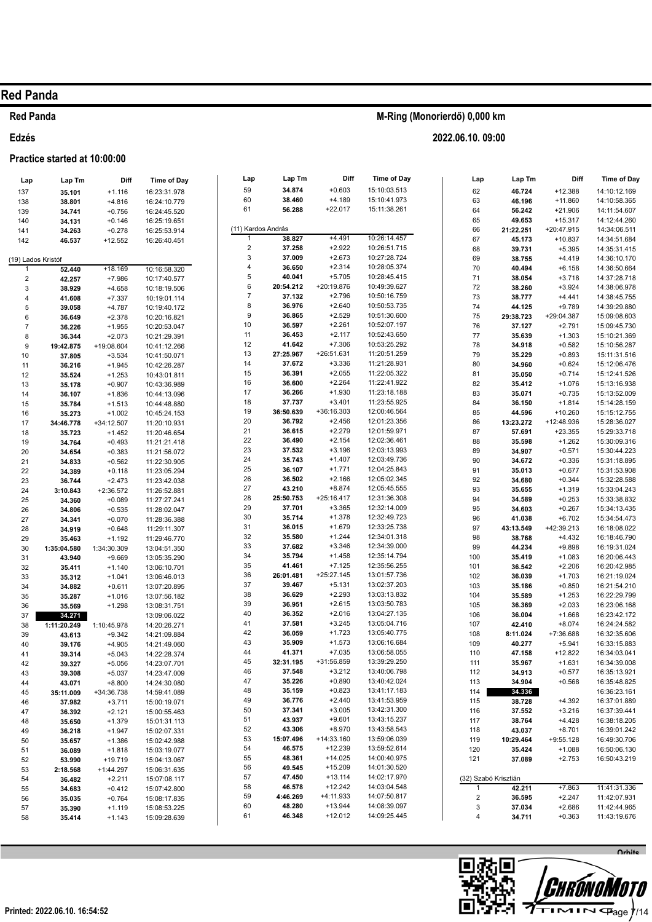#### **Red Panda**

### Edzés

#### Practice started at 10:00:00

## M-Ring (Monorierdő) 0,000 km

2022.06.10.09:00

| Lap                | Lap Tm           | Diff                    | <b>Time of Day</b>           | Lap                     | Lap Tm           | Diff                 | <b>Time of Day</b>           | Lap                     | Lap Tm               | Diff                 | Time of Day                  |
|--------------------|------------------|-------------------------|------------------------------|-------------------------|------------------|----------------------|------------------------------|-------------------------|----------------------|----------------------|------------------------------|
| 137                | 35.101           | $+1.116$                | 16:23:31.978                 | 59                      | 34.874           | $+0.603$             | 15:10:03.513                 | 62                      | 46.724               | $+12.388$            | 14:10:12.169                 |
| 138                | 38.801           | $+4.816$                | 16:24:10.779                 | 60                      | 38.460           | $+4.189$             | 15:10:41.973                 | 63                      | 46.196               | $+11.860$            | 14:10:58.365                 |
| 139                | 34.741           | $+0.756$                | 16:24:45.520                 | 61                      | 56.288           | $+22.017$            | 15:11:38.261                 | 64                      | 56.242               | $+21.906$            | 14:11:54.607                 |
| 140                | 34.131           | $+0.146$                | 16:25:19.651                 |                         |                  |                      |                              | 65                      | 49.653               | $+15.317$            | 14:12:44.260                 |
| 141                | 34.263           | $+0.278$                | 16:25:53.914                 | (11) Kardos András      |                  |                      |                              | 66                      | 21:22.251            | +20:47.915           | 14:34:06.511                 |
| 142                | 46.537           | $+12.552$               | 16:26:40.451                 | $\mathbf{1}$            | 38.827           | $+4.491$             | 10:26:14.457                 | 67                      | 45.173               | $+10.837$            | 14:34:51.684                 |
|                    |                  |                         |                              | $\overline{\mathbf{c}}$ | 37.258           | $+2.922$             | 10:26:51.715                 | 68                      | 39.731               | $+5.395$             | 14:35:31.415                 |
| (19) Lados Kristóf |                  |                         |                              | 3                       | 37.009           | $+2.673$             | 10:27:28.724                 | 69                      | 38.755               | $+4.419$             | 14:36:10.170                 |
| 1                  | 52.440           | $+18.169$               | 10:16:58.320                 | $\overline{4}$          | 36.650           | $+2.314$             | 10:28:05.374                 | 70                      | 40.494               | $+6.158$             | 14:36:50.664                 |
| $\sqrt{2}$         | 42.257           | $+7.986$                | 10:17:40.577                 | 5                       | 40.041           | $+5.705$             | 10:28:45.415                 | 71                      | 38.054               | $+3.718$             | 14:37:28.718                 |
| 3                  | 38.929           | $+4.658$                | 10:18:19.506                 | 6                       | 20:54.212        | +20:19.876           | 10:49:39.627                 | 72                      | 38.260               | $+3.924$             | 14:38:06.978                 |
| $\overline{4}$     | 41.608           | $+7.337$                | 10:19:01.114                 | $\overline{7}$          | 37.132           | $+2.796$             | 10:50:16.759                 | 73                      | 38.777               | $+4.441$             | 14:38:45.755                 |
| 5                  | 39.058           | $+4.787$                | 10:19:40.172                 | 8                       | 36.976           | $+2.640$             | 10:50:53.735                 | 74                      | 44.125               | $+9.789$             | 14:39:29.880                 |
| $\,6$              | 36.649           | $+2.378$                | 10:20:16.821                 | 9                       | 36.865           | $+2.529$             | 10:51:30.600                 | 75                      | 29:38.723            | +29:04.387           | 15:09:08.603                 |
| $\overline{7}$     | 36.226           | $+1.955$                | 10:20:53.047                 | 10                      | 36.597           | $+2.261$             | 10:52:07.197                 | 76                      | 37.127               | $+2.791$             | 15:09:45.730                 |
| 8                  | 36.344           | $+2.073$                | 10:21:29.391                 | 11                      | 36.453           | $+2.117$             | 10:52:43.650                 | 77                      | 35.639               | $+1.303$             | 15:10:21.369                 |
| $\boldsymbol{9}$   | 19:42.875        | +19:08.604              | 10:41:12.266                 | 12                      | 41.642           | $+7.306$             | 10:53:25.292                 | 78                      | 34.918               | $+0.582$             | 15:10:56.287                 |
| 10                 | 37.805           | $+3.534$                | 10:41:50.071                 | 13                      | 27:25.967        | +26:51.631           | 11:20:51.259                 | 79                      | 35.229               | $+0.893$             | 15:11:31.516                 |
| 11                 | 36.216           | $+1.945$                | 10:42:26.287                 | 14                      | 37.672           | $+3.336$             | 11:21:28.931                 | 80                      | 34.960               | $+0.624$             | 15:12:06.476                 |
| 12                 | 35.524           | $+1.253$                | 10:43:01.811                 | 15                      | 36.391           | $+2.055$             | 11:22:05.322                 | 81                      | 35.050               | $+0.714$             | 15:12:41.526                 |
| 13                 | 35.178           | $+0.907$                | 10:43:36.989                 | 16                      | 36.600           | $+2.264$             | 11:22:41.922                 | 82                      | 35.412               | $+1.076$             | 15:13:16.938                 |
| 14                 | 36.107           | $+1.836$                | 10:44:13.096                 | 17                      | 36.266           | $+1.930$             | 11:23:18.188                 | 83                      | 35.071               | $+0.735$             | 15:13:52.009                 |
| 15                 | 35.784           | $+1.513$                | 10:44:48.880                 | 18                      | 37.737           | $+3.401$             | 11:23:55.925                 | 84                      | 36.150               | $+1.814$             | 15:14:28.159                 |
| 16                 | 35.273           | $+1.002$                | 10:45:24.153                 | 19                      | 36:50.639        | +36:16.303           | 12:00:46.564                 | 85                      | 44.596               | $+10.260$            | 15:15:12.755                 |
| 17                 | 34:46.778        | +34:12.507              | 11:20:10.931                 | 20                      | 36.792           | $+2.456$             | 12:01:23.356                 | 86                      | 13:23.272            | +12:48.936           | 15:28:36.027                 |
| 18                 | 35.723           | $+1.452$                | 11:20:46.654                 | 21                      | 36.615           | $+2.279$             | 12:01:59.971                 | 87                      | 57.691               | $+23.355$            | 15:29:33.718                 |
| 19                 | 34.764           | $+0.493$                | 11:21:21.418                 | 22                      | 36.490           | $+2.154$             | 12:02:36.461                 | 88                      | 35.598               | $+1.262$             | 15:30:09.316                 |
| 20                 | 34.654           | $+0.383$                | 11:21:56.072                 | 23                      | 37.532           | $+3.196$             | 12:03:13.993                 | 89                      | 34.907               | $+0.571$             | 15:30:44.223                 |
| 21                 | 34.833           | $+0.562$                | 11:22:30.905                 | 24                      | 35.743           | $+1.407$             | 12:03:49.736                 | 90                      | 34.672               | $+0.336$             | 15:31:18.895                 |
| 22                 | 34.389           | $+0.118$                | 11:23:05.294                 | 25                      | 36.107           | $+1.771$             | 12:04:25.843                 | 91                      | 35.013               | $+0.677$             | 15:31:53.908                 |
| 23                 | 36.744           | $+2.473$                | 11:23:42.038                 | 26                      | 36.502           | $+2.166$             | 12:05:02.345                 | 92                      | 34.680               | $+0.344$             | 15:32:28.588                 |
| 24                 | 3:10.843         | $+2:36.572$             | 11:26:52.881                 | 27                      | 43.210           | $+8.874$             | 12:05:45.555                 | 93                      | 35.655               | $+1.319$             | 15:33:04.243                 |
| 25                 | 34.360           | $+0.089$                | 11:27:27.241                 | 28                      | 25:50.753        | +25:16.417           | 12:31:36.308                 | 94                      | 34.589               | $+0.253$             | 15:33:38.832                 |
| 26                 | 34.806           | $+0.535$                | 11:28:02.047                 | 29                      | 37.701           | $+3.365$             | 12:32:14.009                 | 95                      | 34.603               | $+0.267$             | 15:34:13.435                 |
| 27                 | 34.341           | $+0.070$                | 11:28:36.388                 | 30                      | 35.714           | $+1.378$             | 12:32:49.723                 | 96                      | 41.038               | $+6.702$             | 15:34:54.473                 |
| 28                 | 34.919           | $+0.648$                | 11:29:11.307                 | 31                      | 36.015           | $+1.679$             | 12:33:25.738                 | 97                      | 43:13.549            | +42:39.213           | 16:18:08.022                 |
| 29                 | 35.463           | $+1.192$                | 11:29:46.770                 | 32                      | 35.580           | $+1.244$<br>$+3.346$ | 12:34:01.318                 | 98                      | 38.768               | $+4.432$             | 16:18:46.790                 |
| 30                 | 1:35:04.580      | 1:34:30.309             | 13:04:51.350                 | 33<br>34                | 37.682<br>35.794 | $+1.458$             | 12:34:39.000<br>12:35:14.794 | 99                      | 44.234               | $+9.898$             | 16:19:31.024                 |
| 31                 | 43.940           | $+9.669$                | 13:05:35.290                 | 35                      | 41.461           | $+7.125$             | 12:35:56.255                 | 100                     | 35.419               | $+1.083$             | 16:20:06.443                 |
| 32                 | 35.411           | $+1.140$                | 13:06:10.701                 | 36                      | 26:01.481        | $+25:27.145$         | 13:01:57.736                 | 101                     | 36.542               | $+2.206$             | 16:20:42.985                 |
| 33                 | 35.312           | $+1.041$                | 13:06:46.013                 | 37                      | 39.467           | $+5.131$             | 13:02:37.203                 | 102<br>103              | 36.039               | $+1.703$<br>$+0.850$ | 16:21:19.024                 |
| 34                 | 34.882           | $+0.611$                | 13:07:20.895                 | 38                      | 36.629           | $+2.293$             | 13:03:13.832                 | 104                     | 35.186               | $+1.253$             | 16:21:54.210                 |
| 35                 | 35.287           | $+1.016$                | 13:07:56.182                 | 39                      | 36.951           | $+2.615$             | 13:03:50.783                 | 105                     | 35.589               | $+2.033$             | 16:22:29.799<br>16:23:06.168 |
| 36                 | 35.569           | $+1.298$                | 13:08:31.751                 | 40                      | 36.352           | $+2.016$             | 13:04:27.135                 | 106                     | 36.369<br>36.004     | $+1.668$             | 16:23:42.172                 |
| 37                 | 34.271           |                         | 13:09:06.022                 | 41                      | 37.581           | $+3.245$             | 13:05:04.716                 | 107                     | 42.410               | $+8.074$             | 16:24:24.582                 |
| 38                 | 1:11:20.249      | 1:10:45.978<br>$+9.342$ | 14:20:26.271<br>14:21:09.884 | 42                      | 36.059           | $+1.723$             | 13:05:40.775                 | 108                     | 8:11.024             | +7:36.688            | 16:32:35.606                 |
| 39<br>40           | 43.613<br>39.176 | $+4.905$                | 14:21:49.060                 | 43                      | 35.909           | $+1.573$             | 13:06:16.684                 | 109                     | 40.277               | $+5.941$             | 16:33:15.883                 |
| 41                 | 39.314           | $+5.043$                | 14:22:28.374                 | 44                      | 41.371           | $+7.035$             | 13:06:58.055                 | 110                     | 47.158               | $+12.822$            | 16:34:03.041                 |
| 42                 | 39.327           | $+5.056$                | 14:23:07.701                 | 45                      | 32:31.195        | +31:56.859           | 13:39:29.250                 | 111                     | 35.967               | $+1.631$             | 16:34:39.008                 |
| 43                 | 39.308           | $+5.037$                | 14:23:47.009                 | 46                      | 37.548           | $+3.212$             | 13:40:06.798                 | 112                     | 34.913               | $+0.577$             | 16:35:13.921                 |
| 44                 | 43.071           | $+8.800$                | 14:24:30.080                 | 47                      | 35.226           | $+0.890$             | 13:40:42.024                 | 113                     | 34.904               | $+0.568$             | 16:35:48.825                 |
| 45                 | 35:11.009        | +34:36.738              | 14:59:41.089                 | 48                      | 35.159           | $+0.823$             | 13:41:17.183                 | 114                     | 34.336               |                      | 16:36:23.161                 |
| 46                 | 37.982           | $+3.711$                | 15:00:19.071                 | 49                      | 36.776           | $+2.440$             | 13:41:53.959                 | 115                     | 38.728               | $+4.392$             | 16:37:01.889                 |
| 47                 | 36.392           | $+2.121$                | 15:00:55.463                 | 50                      | 37.341           | $+3.005$             | 13:42:31.300                 | 116                     | 37.552               | $+3.216$             | 16:37:39.441                 |
| 48                 | 35.650           | $+1.379$                | 15:01:31.113                 | 51                      | 43.937           | $+9.601$             | 13:43:15.237                 | 117                     | 38.764               | $+4.428$             | 16:38:18.205                 |
| 49                 | 36.218           | $+1.947$                | 15:02:07.331                 | 52                      | 43.306           | $+8.970$             | 13:43:58.543                 | 118                     | 43.037               | $+8.701$             | 16:39:01.242                 |
| 50                 | 35.657           | $+1.386$                | 15:02:42.988                 | 53                      | 15:07.496        | +14:33.160           | 13:59:06.039                 | 119                     | 10:29.464            | $+9:55.128$          | 16:49:30.706                 |
| 51                 | 36.089           | $+1.818$                | 15:03:19.077                 | 54                      | 46.575           | $+12.239$            | 13:59:52.614                 | 120                     | 35.424               | $+1.088$             | 16:50:06.130                 |
| 52                 | 53.990           | $+19.719$               | 15:04:13.067                 | 55                      | 48.361           | $+14.025$            | 14:00:40.975                 | 121                     | 37.089               | $+2.753$             | 16:50:43.219                 |
| 53                 | 2:18.568         | $+1:44.297$             | 15:06:31.635                 | 56                      | 49.545           | $+15.209$            | 14:01:30.520                 |                         |                      |                      |                              |
| 54                 | 36.482           | $+2.211$                | 15:07:08.117                 | 57                      | 47.450           | $+13.114$            | 14:02:17.970                 |                         | (32) Szabó Krisztián |                      |                              |
| 55                 | 34.683           | $+0.412$                | 15:07:42.800                 | 58                      | 46.578           | $+12.242$            | 14:03:04.548                 | $\mathbf{1}$            | 42.211               | $+7.863$             | 11:41:31.336                 |
| 56                 | 35.035           | $+0.764$                | 15:08:17.835                 | 59                      | 4:46.269         | +4:11.933            | 14:07:50.817                 | $\overline{\mathbf{c}}$ | 36.595               | $+2.247$             | 11:42:07.931                 |
| 57                 | 35.390           | $+1.119$                | 15:08:53.225                 | 60                      | 48.280           | $+13.944$            | 14:08:39.097                 | 3                       | 37.034               | $+2.686$             | 11:42:44.965                 |
| 58                 | 35.414           | $+1.143$                | 15:09:28.639                 | 61                      | 46.348           | $+12.012$            | 14:09:25.445                 | $\overline{4}$          | 34.711               | $+0.363$             | 11:43:19.676                 |
|                    |                  |                         |                              |                         |                  |                      |                              |                         |                      |                      |                              |

Lap Lap Tm

**Diff** 

**Time of Day** 

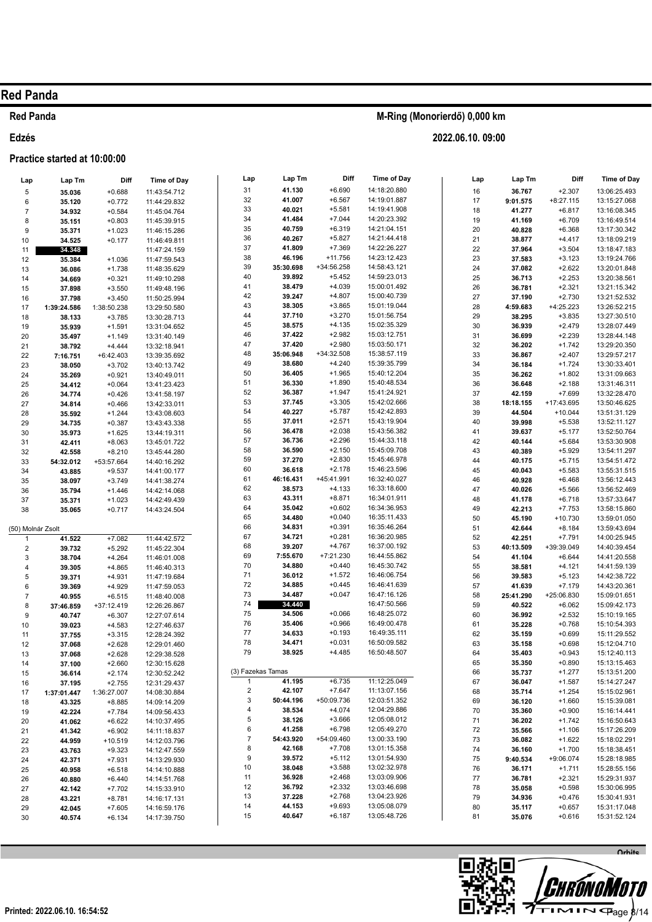## **Red Panda**

### Edzés

### Practice started at 10:00:00

| Lap               | Lap Tm           | Diff                  | <b>Time of Day</b>           | Lap                     | Lap Tm           | Diff                  | Time of Day                  | Lap      | Lap Tm           | Diff                  | Time of Day                  |
|-------------------|------------------|-----------------------|------------------------------|-------------------------|------------------|-----------------------|------------------------------|----------|------------------|-----------------------|------------------------------|
| 5                 | 35.036           | $+0.688$              | 11:43:54.712                 | 31                      | 41.130           | $+6.690$              | 14:18:20.880                 | 16       | 36.767           | $+2.307$              | 13:06:25.493                 |
| 6                 | 35.120           | $+0.772$              | 11:44:29.832                 | 32                      | 41.007           | $+6.567$              | 14:19:01.887                 | 17       | 9:01.575         | $+8:27.115$           | 13:15:27.068                 |
| $\overline{7}$    | 34.932           | $+0.584$              | 11:45:04.764                 | 33                      | 40.021           | $+5.581$              | 14:19:41.908                 | 18       | 41.277           | $+6.817$              | 13:16:08.345                 |
| 8                 | 35.151           | $+0.803$              | 11:45:39.915                 | 34                      | 41.484           | $+7.044$              | 14:20:23.392                 | 19       | 41.169           | $+6.709$              | 13:16:49.514                 |
| 9                 | 35.371           | $+1.023$              | 11:46:15.286                 | 35                      | 40.759           | $+6.319$              | 14:21:04.151                 | 20       | 40.828           | $+6.368$              | 13:17:30.342                 |
| 10                | 34.525           | $+0.177$              | 11:46:49.811                 | 36                      | 40.267           | $+5.827$              | 14:21:44.418                 | 21       | 38.877           | $+4.417$              | 13:18:09.219                 |
| 11                | 34.348           |                       | 11:47:24.159                 | 37<br>38                | 41.809<br>46.196 | $+7.369$<br>$+11.756$ | 14:22:26.227<br>14:23:12.423 | 22       | 37.964           | $+3.504$              | 13:18:47.183                 |
| 12                | 35.384           | $+1.036$              | 11:47:59.543                 | 39                      | 35:30.698        | +34:56.258            | 14:58:43.121                 | 23<br>24 | 37.583<br>37.082 | $+3.123$<br>$+2.622$  | 13:19:24.766<br>13:20:01.848 |
| 13<br>14          | 36.086<br>34.669 | $+1.738$<br>$+0.321$  | 11:48:35.629<br>11:49:10.298 | 40                      | 39.892           | $+5.452$              | 14:59:23.013                 | 25       | 36.713           | $+2.253$              | 13:20:38.561                 |
| 15                | 37.898           | $+3.550$              | 11:49:48.196                 | 41                      | 38.479           | $+4.039$              | 15:00:01.492                 | 26       | 36.781           | $+2.321$              | 13:21:15.342                 |
| 16                | 37.798           | $+3.450$              | 11:50:25.994                 | 42                      | 39.247           | $+4.807$              | 15:00:40.739                 | 27       | 37.190           | $+2.730$              | 13:21:52.532                 |
| 17                | 1:39:24.586      | 1:38:50.238           | 13:29:50.580                 | 43                      | 38.305           | $+3.865$              | 15:01:19.044                 | 28       | 4:59.683         | $+4:25.223$           | 13:26:52.215                 |
| 18                | 38.133           | $+3.785$              | 13:30:28.713                 | 44                      | 37.710           | $+3.270$              | 15:01:56.754                 | 29       | 38.295           | $+3.835$              | 13:27:30.510                 |
| 19                | 35.939           | $+1.591$              | 13:31:04.652                 | 45                      | 38.575           | $+4.135$              | 15:02:35.329                 | 30       | 36.939           | $+2.479$              | 13:28:07.449                 |
| 20                | 35.497           | $+1.149$              | 13:31:40.149                 | 46                      | 37.422           | $+2.982$              | 15:03:12.751                 | 31       | 36.699           | $+2.239$              | 13:28:44.148                 |
| 21                | 38.792           | $+4.444$              | 13:32:18.941                 | 47                      | 37.420           | $+2.980$              | 15:03:50.171                 | 32       | 36.202           | $+1.742$              | 13:29:20.350                 |
| 22                | 7:16.751         | +6:42.403             | 13:39:35.692                 | 48                      | 35:06.948        | +34:32.508            | 15:38:57.119                 | 33       | 36.867           | $+2.407$              | 13:29:57.217                 |
| 23                | 38.050           | $+3.702$              | 13:40:13.742                 | 49                      | 38.680           | $+4.240$              | 15:39:35.799                 | 34       | 36.184           | $+1.724$              | 13:30:33.401                 |
| 24                | 35.269           | $+0.921$              | 13:40:49.011                 | 50<br>51                | 36.405<br>36.330 | $+1.965$<br>$+1.890$  | 15:40:12.204<br>15:40:48.534 | 35       | 36.262           | $+1.802$              | 13:31:09.663                 |
| 25                | 34.412           | $+0.064$              | 13:41:23.423                 | 52                      | 36.387           | $+1.947$              | 15:41:24.921                 | 36<br>37 | 36.648<br>42.159 | $+2.188$<br>$+7.699$  | 13:31:46.311<br>13:32:28.470 |
| 26                | 34.774           | $+0.426$<br>$+0.466$  | 13:41:58.197<br>13:42:33.011 | 53                      | 37.745           | $+3.305$              | 15:42:02.666                 | 38       | 18:18.155        | +17:43.695            | 13:50:46.625                 |
| 27<br>28          | 34.814<br>35.592 | $+1.244$              | 13:43:08.603                 | 54                      | 40.227           | $+5.787$              | 15:42:42.893                 | 39       | 44.504           | $+10.044$             | 13:51:31.129                 |
| 29                | 34.735           | $+0.387$              | 13:43:43.338                 | 55                      | 37.011           | $+2.571$              | 15:43:19.904                 | 40       | 39.998           | $+5.538$              | 13:52:11.127                 |
| 30                | 35.973           | $+1.625$              | 13:44:19.311                 | 56                      | 36.478           | $+2.038$              | 15:43:56.382                 | 41       | 39.637           | $+5.177$              | 13:52:50.764                 |
| 31                | 42.411           | $+8.063$              | 13:45:01.722                 | 57                      | 36.736           | $+2.296$              | 15:44:33.118                 | 42       | 40.144           | $+5.684$              | 13:53:30.908                 |
| 32                | 42.558           | $+8.210$              | 13:45:44.280                 | 58                      | 36.590           | $+2.150$              | 15:45:09.708                 | 43       | 40.389           | $+5.929$              | 13:54:11.297                 |
| 33                | 54:32.012        | +53:57.664            | 14:40:16.292                 | 59                      | 37.270           | $+2.830$              | 15:45:46.978                 | 44       | 40.175           | $+5.715$              | 13:54:51.472                 |
| 34                | 43.885           | $+9.537$              | 14:41:00.177                 | 60                      | 36.618           | $+2.178$              | 15:46:23.596                 | 45       | 40.043           | $+5.583$              | 13:55:31.515                 |
| 35                | 38.097           | $+3.749$              | 14:41:38.274                 | 61                      | 46:16.431        | +45:41.991            | 16:32:40.027                 | 46       | 40.928           | $+6.468$              | 13:56:12.443                 |
| 36                | 35.794           | $+1.446$              | 14:42:14.068                 | 62                      | 38.573<br>43.311 | $+4.133$              | 16:33:18.600                 | 47       | 40.026           | $+5.566$              | 13:56:52.469                 |
| 37                | 35.371           | $+1.023$              | 14:42:49.439                 | 63<br>64                | 35.042           | $+8.871$<br>$+0.602$  | 16:34:01.911<br>16:34:36.953 | 48       | 41.178           | $+6.718$              | 13:57:33.647                 |
| 38                | 35.065           | $+0.717$              | 14:43:24.504                 | 65                      | 34.480           | $+0.040$              | 16:35:11.433                 | 49<br>50 | 42.213<br>45.190 | $+7.753$<br>$+10.730$ | 13:58:15.860<br>13:59:01.050 |
| (50) Molnár Zsolt |                  |                       |                              | 66                      | 34.831           | $+0.391$              | 16:35:46.264                 | 51       | 42.644           | $+8.184$              | 13:59:43.694                 |
| 1                 | 41.522           | $+7.082$              | 11:44:42.572                 | 67                      | 34.721           | $+0.281$              | 16:36:20.985                 | 52       | 42.251           | $+7.791$              | 14:00:25.945                 |
| $\overline{2}$    | 39.732           | $+5.292$              | 11:45:22.304                 | 68                      | 39.207           | $+4.767$              | 16:37:00.192                 | 53       | 40:13.509        | +39:39.049            | 14:40:39.454                 |
| $\mathsf 3$       | 38.704           | $+4.264$              | 11:46:01.008                 | 69                      | 7:55.670         | +7:21.230             | 16:44:55.862                 | 54       | 41.104           | $+6.644$              | 14:41:20.558                 |
| $\overline{4}$    | 39.305           | $+4.865$              | 11:46:40.313                 | 70                      | 34.880           | $+0.440$              | 16:45:30.742                 | 55       | 38.581           | $+4.121$              | 14:41:59.139                 |
| $\sqrt{5}$        | 39.371           | $+4.931$              | 11:47:19.684                 | 71                      | 36.012           | $+1.572$              | 16:46:06.754                 | 56       | 39.583           | $+5.123$              | 14:42:38.722                 |
| 6                 | 39.369           | $+4.929$              | 11:47:59.053                 | 72                      | 34.885           | $+0.445$              | 16:46:41.639                 | 57       | 41.639           | $+7.179$              | 14:43:20.361                 |
| $\overline{7}$    | 40.955           | $+6.515$              | 11:48:40.008                 | 73                      | 34.487           | $+0.047$              | 16:47:16.126                 | 58       | 25:41.290        | +25:06.830            | 15:09:01.651                 |
| 8                 | 37:46.859        | +37:12.419            | 12:26:26.867                 | 74<br>${\bf 75}$        | 34.440<br>34.506 | $+0.066$              | 16:47:50.566<br>16:48:25.072 | 59       | 40.522           | $+6.062$              | 15:09:42.173                 |
| 9                 | 40.747           | $+6.307$              | 12:27:07.614                 | 76                      | 35.406           | $+0.966$              | 16:49:00.478                 | 60<br>61 | 36.992<br>35.228 | $+2.532$<br>$+0.768$  | 15:10:19.165<br>15:10:54.393 |
| 10                | 39.023<br>37.755 | $+4.583$<br>$+3.315$  | 12:27:46.637<br>12:28:24.392 | 77                      | 34.633           | $+0.193$              | 16:49:35.111                 | 62       | 35.159           | $+0.699$              | 15:11:29.552                 |
| 11<br>12          | 37.068           | $+2.628$              | 12:29:01.460                 | 78                      | 34.471           | $+0.031$              | 16:50:09.582                 | 63       | 35.158           | $+0.698$              | 15:12:04.710                 |
| 13                | 37.068           | $+2.628$              | 12:29:38.528                 | 79                      | 38.925           | $+4.485$              | 16:50:48.507                 | 64       | 35.403           | $+0.943$              | 15:12:40.113                 |
| 14                | 37.100           | $+2.660$              | 12:30:15.628                 |                         |                  |                       |                              | 65       | 35.350           | $+0.890$              | 15:13:15.463                 |
| 15                | 36.614           | $+2.174$              | 12:30:52.242                 | (3) Fazekas Tamas       |                  |                       |                              | 66       | 35.737           | $+1.277$              | 15:13:51.200                 |
| 16                | 37.195           | $+2.755$              | 12:31:29.437                 | $\mathbf{1}$            | 41.195           | $+6.735$              | 11:12:25.049                 | 67       | 36.047           | $+1.587$              | 15:14:27.247                 |
| 17                | 1:37:01.447      | 1:36:27.007           | 14:08:30.884                 | $\overline{\mathbf{c}}$ | 42.107           | $+7.647$              | 11:13:07.156                 | 68       | 35.714           | $+1.254$              | 15:15:02.961                 |
| 18                | 43.325           | $+8.885$              | 14:09:14.209                 | 3                       | 50:44.196        | +50:09.736            | 12:03:51.352                 | 69       | 36.120           | $+1.660$              | 15:15:39.081                 |
| 19                | 42.224           | $+7.784$              | 14:09:56.433                 | 4                       | 38.534           | $+4.074$              | 12:04:29.886<br>12:05:08.012 | 70       | 35.360           | $+0.900$              | 15:16:14.441                 |
| 20                | 41.062           | $+6.622$              | 14:10:37.495                 | 5<br>6                  | 38.126<br>41.258 | $+3.666$<br>$+6.798$  | 12:05:49.270                 | 71       | 36.202           | $+1.742$              | 15:16:50.643<br>15:17:26.209 |
| 21                | 41.342           | $+6.902$              | 14:11:18.837                 | $\overline{7}$          | 54:43.920        | +54:09.460            | 13:00:33.190                 | 72<br>73 | 35.566<br>36.082 | $+1.106$<br>$+1.622$  | 15:18:02.291                 |
| 22<br>23          | 44.959<br>43.763 | $+10.519$<br>$+9.323$ | 14:12:03.796<br>14:12:47.559 | 8                       | 42.168           | $+7.708$              | 13:01:15.358                 | 74       | 36.160           | $+1.700$              | 15:18:38.451                 |
| 24                | 42.371           | $+7.931$              | 14:13:29.930                 | 9                       | 39.572           | $+5.112$              | 13:01:54.930                 | 75       | 9:40.534         | +9:06.074             | 15:28:18.985                 |
| 25                | 40.958           | $+6.518$              | 14:14:10.888                 | 10                      | 38.048           | $+3.588$              | 13:02:32.978                 | 76       | 36.171           | $+1.711$              | 15:28:55.156                 |
| 26                | 40.880           | $+6.440$              | 14:14:51.768                 | 11                      | 36.928           | $+2.468$              | 13:03:09.906                 | 77       | 36.781           | $+2.321$              | 15:29:31.937                 |
| 27                | 42.142           | $+7.702$              | 14:15:33.910                 | 12                      | 36.792           | $+2.332$              | 13:03:46.698                 | 78       | 35.058           | $+0.598$              | 15:30:06.995                 |
| 28                | 43.221           | $+8.781$              | 14:16:17.131                 | 13                      | 37.228           | $+2.768$              | 13:04:23.926                 | 79       | 34.936           | $+0.476$              | 15:30:41.931                 |
| 29                | 42.045           | $+7.605$              | 14:16:59.176                 | 14                      | 44.153           | $+9.693$              | 13:05:08.079                 | 80       | 35.117           | $+0.657$              | 15:31:17.048                 |
| 30                | 40.574           | $+6.134$              | 14:17:39.750                 | 15                      | 40.647           | $+6.187$              | 13:05:48.726                 | 81       | 35.076           | $+0.616$              | 15:31:52.124                 |

M-Ring (Monorierdő) 0,000 km

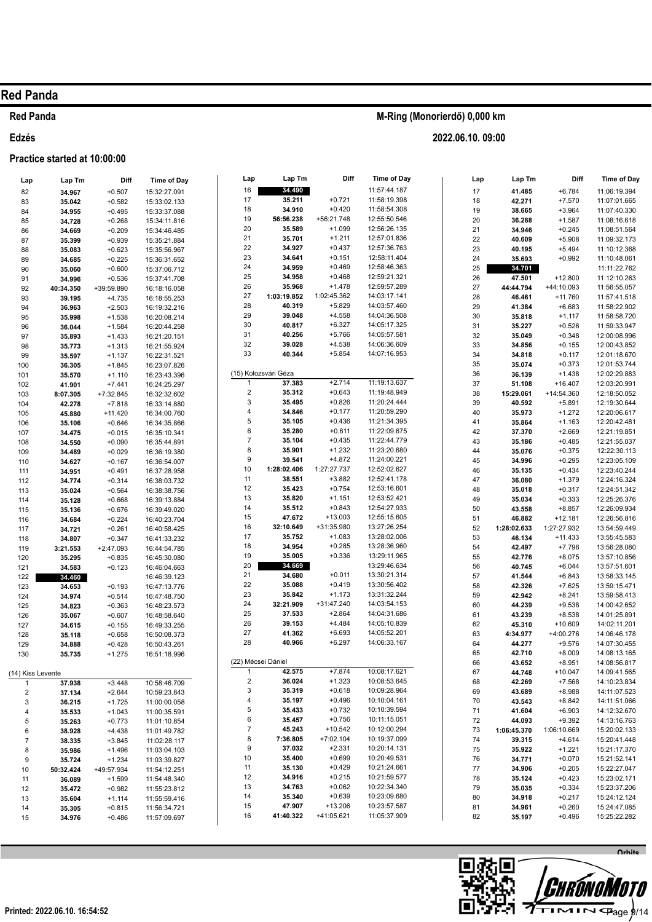### **Red Panda**

#### Edzés

## Practice started at 10:00:00

| Lap               | Lap Tm           | Diff                 | <b>Time of Day</b>           |
|-------------------|------------------|----------------------|------------------------------|
| 82                | 34.967           | $+0.507$             | 15:32:27.091                 |
| 83                | 35.042           | $+0.582$             | 15:33:02.133                 |
| 84                | 34.955           | $+0.495$             | 15:33:37.088                 |
| 85                | 34.728           | $+0.268$             | 15:34:11.816                 |
| 86                | 34.669           | $+0.209$             | 15:34:46.485                 |
| 87<br>88          | 35.399<br>35.083 | $+0.939$<br>$+0.623$ | 15:35:21.884<br>15:35:56.967 |
| 89                | 34.685           | $+0.225$             | 15:36:31.652                 |
| 90                | 35.060           | $+0.600$             | 15:37:06.712                 |
| 91                | 34.996           | $+0.536$             | 15:37:41.708                 |
| 92                | 40:34.350        | +39:59.890           | 16:18:16.058                 |
| 93                | 39.195           | $+4.735$             | 16:18:55.253                 |
| 94                | 36.963           | $+2.503$             | 16:19:32.216                 |
| 95                | 35.998           | $+1.538$             | 16:20:08.214                 |
| 96                | 36.044           | $+1.584$             | 16:20:44.258                 |
| 97                | 35.893           | $+1.433$             | 16:21:20.151                 |
| 98<br>99          | 35.773<br>35.597 | $+1.313$<br>$+1.137$ | 16:21:55.924<br>16:22:31.521 |
| 100               | 36.305           | $+1.845$             | 16:23:07.826                 |
| 101               | 35.570           | $+1.110$             | 16:23:43.396                 |
| 102               | 41.901           | $+7.441$             | 16:24:25.297                 |
| 103               | 8:07.305         | +7:32.845            | 16:32:32.602                 |
| 104               | 42.278           | $+7.818$             | 16:33:14.880                 |
| 105               | 45.880           | +11.420              | 16:34:00.760                 |
| 106               | 35.106           | $+0.646$             | 16:34:35.866                 |
| 107               | 34.475           | $+0.015$             | 16:35:10.341                 |
| 108               | 34.550           | $+0.090$             | 16:35:44.891                 |
| 109               | 34.489           | $+0.029$             | 16:36:19.380                 |
| 110<br>111        | 34.627           | $+0.167$             | 16:36:54.007<br>16:37:28.958 |
| 112               | 34.951<br>34.774 | $+0.491$<br>$+0.314$ | 16:38:03.732                 |
| 113               | 35.024           | $+0.564$             | 16:38:38.756                 |
| 114               | 35.128           | $+0.668$             | 16:39:13.884                 |
| 115               | 35.136           | $+0.676$             | 16:39:49.020                 |
| 116               | 34.684           | $+0.224$             | 16:40:23.704                 |
| 117               | 34.721           | $+0.261$             | 16:40:58.425                 |
| 118               | 34.807           | $+0.347$             | 16:41:33.232                 |
| 119               | 3:21.553         | $+2:47.093$          | 16:44:54.785                 |
| 120               | 35.295           | $+0.835$             | 16:45:30.080                 |
| 121<br>122        | 34.583<br>34.460 | $+0.123$             | 16:46:04.663<br>16:46:39.123 |
| 123               | 34.653           | $+0.193$             | 16:47:13.776                 |
| 124               | 34.974           | $+0.514$             | 16:47:48.750                 |
| 125               | 34.823           | $+0.363$             | 16:48:23.573                 |
| 126               | 35.067           | $+0.607$             | 16:48:58.640                 |
| 127               | 34.615           | $+0.155$             | 16:49:33.255                 |
| 128               | 35.118           | $+0.658$             | 16:50:08.373                 |
| 129               | 34.888           | $+0.428$             | 16:50:43.261                 |
| 130               | 35.735           | $+1.275$             | 16:51:18.996                 |
| (14) Kiss Levente |                  |                      |                              |
| 1                 | 37.938           | $+3.448$             | 10:58:46.709                 |
| 2                 | 37.134           | $+2.644$             | 10:59:23.843                 |
| 3                 | 36.215           | $+1.725$             | 11:00:00.058                 |
| 4                 | 35.533           | $+1.043$             | 11:00:35.591                 |
| 5                 | 35.263           | $+0.773$             | 11:01:10.854                 |
| 6<br>7            | 38.928           | $+4.438$<br>$+3.845$ | 11:01:49.782<br>11:02:28.117 |
| 8                 | 38.335<br>35.986 | $+1.496$             | 11:03:04.103                 |
| 9                 | 35.724           | $+1.234$             | 11:03:39.827                 |
| 10                | 50:32.424        | +49:57.934           | 11:54:12.251                 |
| 11                | 36.089           | $+1.599$             | 11:54:48.340                 |
| 12                | 35.472           | $+0.982$             | 11:55:23.812                 |
| 13                | 35.604           | $+1.114$             | 11:55:59.416                 |
| 14                | 35.305           | $+0.815$             | 11:56:34.721                 |
| 15                | 34.976           | $+0.486$             | 11:57:09.697                 |

| Lap                | Lap Tm               | Diff                 | <b>Time of Day</b>           |
|--------------------|----------------------|----------------------|------------------------------|
| 16                 | 34.490               |                      | 11:57:44.187                 |
| 17                 | 35.211               | $+0.721$             | 11:58:19.398                 |
| 18                 | 34.910               | $+0.420$             | 11:58:54.308                 |
| 19                 | 56:56.238            | +56:21.748           | 12:55:50.546                 |
| 20                 | 35.589               | $+1.099$             | 12:56:26.135                 |
| 21                 | 35.701               | $+1.211$             | 12:57:01.836                 |
| 22                 | 34.927               | $+0.437$             | 12:57:36.763                 |
| 23                 | 34.641               | $+0.151$             | 12:58:11.404                 |
| 24                 | 34.959               | $+0.469$             | 12:58:46.363                 |
| 25                 | 34.958               | $+0.468$             | 12:59:21.321                 |
| 26                 | 35.968               | $+1.478$             | 12:59:57.289                 |
| 27                 | 1:03:19.852          | 1:02:45.362          | 14:03:17.141                 |
| 28                 | 40.319               | $+5.829$             | 14:03:57.460                 |
| 29                 | 39.048               | $+4.558$             | 14:04:36.508                 |
| 30                 | 40.817               | $+6.327$             | 14:05:17.325                 |
| 31                 | 40.256               | $+5.766$             | 14:05:57.581                 |
| 32                 | 39.028               | $+4.538$             | 14:06:36.609                 |
| 33                 | 40.344               | $+5.854$             | 14:07:16.953                 |
|                    | (15) Kolozsvári Géza |                      |                              |
| 1                  | 37.383               | $+2.714$             | 11:19:13.637                 |
| 2                  | 35.312               | $+0.643$             | 11:19:48.949                 |
| 3                  | 35.495               | $+0.826$             | 11:20:24.444                 |
| 4                  | 34.846               | $+0.177$             | 11:20:59.290                 |
| 5                  | 35.105               | $+0.436$             | 11:21:34.395                 |
| 6                  | 35.280               | $+0.611$             | 11:22:09.675                 |
| 7                  | 35.104               | $+0.435$             | 11:22:44.779                 |
| 8                  | 35.901               | $+1.232$             | 11:23:20.680                 |
| 9                  | 39.541               | $+4.872$             | 11:24:00.221                 |
| 10                 | 1:28:02.406          | 1:27:27.737          | 12:52:02.627                 |
| 11                 | 38.551               | $+3.882$             | 12:52:41.178                 |
| 12                 | 35.423               | $+0.754$             | 12:53:16.601                 |
| 13                 | 35.820               | $+1.151$             | 12:53:52.421                 |
| 14                 | 35.512               | $+0.843$             | 12:54:27.933                 |
| 15                 | 47.672               | $+13.003$            | 12:55:15.605                 |
| 16                 | 32:10.649            | +31:35.980           | 13:27:26.254                 |
| 17                 | 35.752               | $+1.083$             | 13:28:02.006                 |
| 18                 | 34.954               | $+0.285$             | 13:28:36.960                 |
| 19                 | 35.005               | $+0.336$             | 13:29:11.965                 |
| 20                 | 34.669               |                      | 13:29:46.634                 |
| 21                 | 34.680               | $+0.011$             | 13:30:21.314                 |
| 22                 | 35.088               | $+0.419$             | 13:30:56.402                 |
| 23                 | 35.842               | $+1.173$             | 13:31:32.244                 |
| 24                 | 32:21.909            | +31:47.240           | 14:03:54.153                 |
| 25                 | 37.533               | $+2.864$             | 14:04:31.686                 |
| 26<br>27           | 39.153               | $+4.484$<br>$+6.693$ | 14:05:10.839<br>14:05:52.201 |
| 28                 | 41.362<br>40.966     | $+6.297$             | 14:06:33.167                 |
|                    |                      |                      |                              |
| (22) Mécsei Dániel |                      |                      |                              |
| 1                  | 42.575               | $+7.874$             | 10:08:17.621                 |
| $\overline{c}$     | 36.024               | $+1.323$             | 10:08:53.645                 |
| 3                  | 35.319               | $+0.618$             | 10:09:28.964                 |
| 4                  | 35.197               | $+0.496$             | 10:10:04.161                 |
| 5                  | 35.433               | $+0.732$             | 10:10:39.594<br>10:11:15.051 |
| 6                  | 35.457               | $+0.756$             |                              |
| 7                  | 45.243               | $+10.542$            | 10:12:00.294                 |
| 8                  | 7:36.805             | +7:02.104            | 10:19:37.099                 |
| 9                  | 37.032               | $+2.331$             | 10:20:14.131                 |
| 10<br>11           | 35.400<br>35.130     | $+0.699$<br>$+0.429$ | 10:20:49.531<br>10:21:24.661 |
| 12                 | 34.916               | $+0.215$             | 10:21:59.577                 |
| 13                 | 34.763               | $+0.062$             | 10:22:34.340                 |
| 14                 | 35.340               | $+0.639$             | 10:23:09.680                 |
| 15                 | 47.907               | +13.206              | 10:23:57.587                 |
| 16                 | 41:40.322            | +41:05.621           | 11:05:37.909                 |
|                    |                      |                      |                              |

## M-Ring (Monorierdő) 0,000 km

| Lap | ∟ap im      | υm          | <b>⊓me or ∪ay</b> |
|-----|-------------|-------------|-------------------|
| 17  | 41.485      | +6.784      | 11:06:19.394      |
| 18  | 42.271      | $+7.570$    | 11:07:01.665      |
| 19  | 38.665      | $+3.964$    | 11:07:40.330      |
| 20  | 36.288      | $+1.587$    | 11:08:16.618      |
|     |             |             |                   |
| 21  | 34.946      | $+0.245$    | 11:08:51.564      |
| 22  | 40.609      | $+5.908$    | 11:09:32.173      |
| 23  | 40.195      | $+5.494$    | 11:10:12.368      |
| 24  | 35.693      | $+0.992$    | 11:10:48.061      |
| 25  | 34.701      |             | 11:11:22.762      |
| 26  | 47.501      | +12.800     | 11:12:10.263      |
| 27  | 44:44.794   | +44:10.093  | 11:56:55.057      |
| 28  | 46.461      | $+11.760$   | 11:57:41.518      |
| 29  | 41.384      | $+6.683$    | 11:58:22.902      |
|     |             | $+1.117$    |                   |
| 30  | 35.818      |             | 11:58:58.720      |
| 31  | 35.227      | $+0.526$    | 11:59:33.947      |
| 32  | 35.049      | $+0.348$    | 12:00:08.996      |
| 33  | 34.856      | $+0.155$    | 12:00:43.852      |
| 34  | 34.818      | $+0.117$    | 12:01:18.670      |
| 35  | 35.074      | $+0.373$    | 12:01:53.744      |
| 36  | 36.139      | +1.438      | 12:02:29.883      |
| 37  | 51.108      | $+16.407$   | 12:03:20.991      |
| 38  | 15:29.061   | +14:54.360  | 12:18:50.052      |
| 39  | 40.592      | $+5.891$    | 12:19:30.644      |
| 40  | 35.973      | $+1.272$    | 12:20:06.617      |
|     |             |             |                   |
| 41  | 35.864      | $+1.163$    | 12:20:42.481      |
| 42  | 37.370      | $+2.669$    | 12:21:19.851      |
| 43  | 35.186      | $+0.485$    | 12:21:55.037      |
| 44  | 35.076      | $+0.375$    | 12:22:30.113      |
| 45  | 34.996      | $+0.295$    | 12:23:05.109      |
| 46  | 35.135      | $+0.434$    | 12:23:40.244      |
| 47  | 36.080      | +1.379      | 12:24:16.324      |
| 48  | 35.018      | $+0.317$    | 12:24:51.342      |
| 49  | 35.034      | $+0.333$    | 12:25:26.376      |
| 50  | 43.558      | $+8.857$    | 12:26:09.934      |
| 51  | 46.882      | +12.181     | 12:26:56.816      |
| 52  | 1:28:02.633 | 1:27:27.932 | 13:54:59.449      |
| 53  | 46.134      | $+11.433$   | 13:55:45.583      |
| 54  |             | +7.796      | 13:56:28.080      |
|     | 42.497      |             |                   |
| 55  | 42.776      | $+8.075$    | 13:57:10.856      |
| 56  | 40.745      | $+6.044$    | 13:57:51.601      |
| 57  | 41.544      | $+6.843$    | 13:58:33.145      |
| 58  | 42.326      | $+7.625$    | 13:59:15.471      |
| 59  | 42.942      | $+8.241$    | 13:59:58.413      |
| 60  | 44.239      | $+9.538$    | 14:00:42.652      |
| 61  | 43.239      | $+8.538$    | 14:01:25.891      |
| 62  | 45.310      | $+10.609$   | 14:02:11.201      |
| 63  | 4:34.977    | +4:00.276   | 14:06:46.178      |
| 64  | 44.277      | $+9.576$    | 14:07:30.455      |
| 65  | 42.710      | $+8.009$    | 14:08:13.165      |
| 66  | 43.652      | $+8.951$    | 14:08:56.817      |
| 67  | 44.748      | $+10.047$   | 14:09:41.565      |
| 68  | 42.269      | $+7.568$    | 14:10:23.834      |
| 69  | 43.689      | $+8.988$    | 14:11:07.523      |
| 70  | 43.543      | $+8.842$    | 14:11:51.066      |
|     | 41.604      |             |                   |
| 71  |             | $+6.903$    | 14:12:32.670      |
| 72  | 44.093      | $+9.392$    | 14:13:16.763      |
| 73  | 1:06:45.370 | 1:06:10.669 | 15:20:02.133      |
| 74  | 39.315      | $+4.614$    | 15:20:41.448      |
| 75  | 35.922      | $+1.221$    | 15:21:17.370      |
| 76  | 34.771      | $+0.070$    | 15:21:52.141      |
| 77  | 34.906      | $+0.205$    | 15:22:27.047      |
| 78  | 35.124      | $+0.423$    | 15:23:02.171      |
| 79  | 35.035      | $+0.334$    | 15:23:37.206      |
| 80  | 34.918      | $+0.217$    | 15:24:12.124      |
| 81  | 34.961      | $+0.260$    | 15:24:47.085      |
| 82  | 35.197      | $+0.496$    | 15:25:22.282      |
|     |             |             |                   |

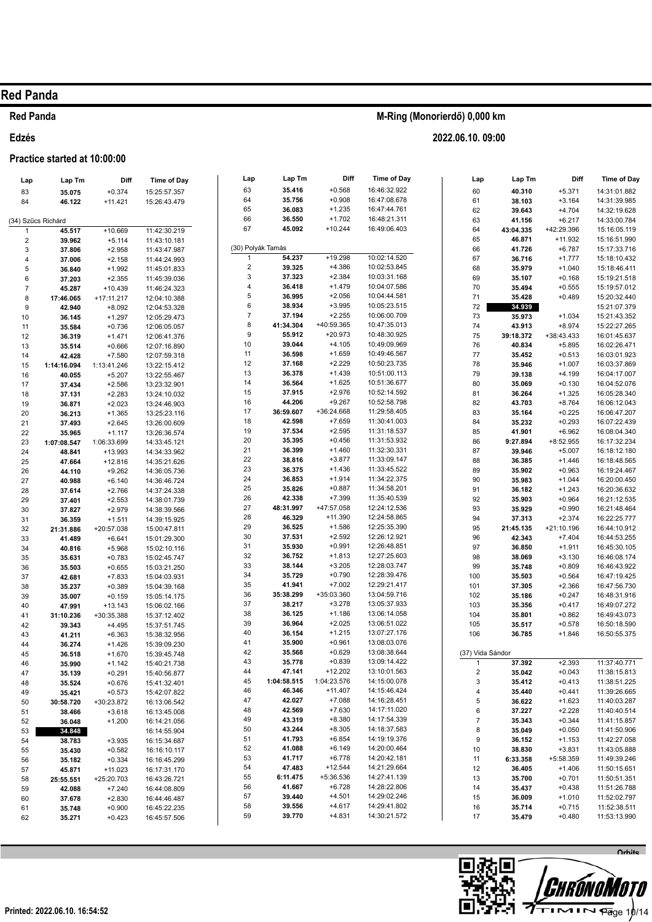#### **Red Panda**

Edzés

#### Practice started at 10:00:00

| M-Ring (Monorierdő) 0,000 km |  |
|------------------------------|--|
| 2022.06.10.09:00             |  |

| Lap                | Lap Tm              | Diff                    | <b>Time of Day</b>           | Lap                     | Lap Tm              | Diff                   | Time of Day                  | Lap                     | Lap Tm             | Diff                  | Time of Day                  |
|--------------------|---------------------|-------------------------|------------------------------|-------------------------|---------------------|------------------------|------------------------------|-------------------------|--------------------|-----------------------|------------------------------|
| 83                 | 35.075              | $+0.374$                | 15:25:57.357                 | 63                      | 35.416              | $+0.568$               | 16:46:32.922                 | 60                      | 40.310             | $+5.371$              | 14:31:01.882                 |
| 84                 | 46.122              | $+11.421$               | 15:26:43.479                 | 64                      | 35.756              | $+0.908$               | 16:47:08.678                 | 61                      | 38.103             | $+3.164$              | 14:31:39.985                 |
|                    |                     |                         |                              | 65                      | 36.083              | $+1.235$               | 16:47:44.761                 | 62                      | 39.643             | $+4.704$              | 14:32:19.628                 |
| (34) Szűcs Richárd |                     |                         |                              | 66                      | 36.550              | $+1.702$               | 16:48:21.311                 | 63                      | 41.156             | $+6.217$              | 14:33:00.784                 |
| $\overline{1}$     | 45.517              | $+10.669$               | 11:42:30.219                 | 67                      | 45.092              | $+10.244$              | 16:49:06.403                 | 64                      | 43:04.335          | +42:29.396            | 15:16:05.119                 |
| 2                  | 39.962              | $+5.114$                | 11:43:10.181                 |                         |                     |                        |                              | 65                      | 46.871             | $+11.932$             | 15:16:51.990                 |
| 3                  | 37.806              | $+2.958$                | 11:43:47.987                 |                         | (30) Polyák Tamás   |                        |                              | 66                      | 41.726             | $+6.787$              | 15:17:33.716                 |
| 4                  | 37.006              | $+2.158$                | 11:44:24.993                 | -1                      | 54.237              | $+19.298$              | 10:02:14.520                 | 67                      | 36.716             | $+1.777$              | 15:18:10.432                 |
| 5                  | 36.840              | $+1.992$                | 11:45:01.833                 | $\overline{\mathbf{c}}$ | 39.325              | $+4.386$               | 10:02:53.845                 | 68                      | 35.979             | $+1.040$              | 15:18:46.411                 |
| 6                  | 37.203              | $+2.355$                | 11:45:39.036                 | 3                       | 37.323              | $+2.384$               | 10:03:31.168                 | 69                      | 35.107             | $+0.168$              | 15:19:21.518                 |
| $\overline{7}$     | 45.287              | $+10.439$               | 11:46:24.323                 | 4<br>5                  | 36.418<br>36.995    | $+1.479$<br>$+2.056$   | 10:04:07.586<br>10:04:44.581 | 70                      | 35.494             | $+0.555$              | 15:19:57.012                 |
| 8                  | 17:46.065           | +17:11.217              | 12:04:10.388                 | 6                       | 38.934              | $+3.995$               | 10:05:23.515                 | 71                      | 35.428             | $+0.489$              | 15:20:32.440<br>15:21:07.379 |
| 9                  | 42.940              | $+8.092$                | 12:04:53.328                 | $\overline{7}$          | 37.194              | $+2.255$               | 10:06:00.709                 | 72<br>73                | 34.939<br>35.973   | $+1.034$              | 15:21:43.352                 |
| $10$               | 36.145              | $+1.297$<br>$+0.736$    | 12:05:29.473                 | 8                       | 41:34.304           | +40:59.365             | 10:47:35.013                 | 74                      | 43.913             | $+8.974$              | 15:22:27.265                 |
| 11<br>12           | 35.584<br>36.319    | $+1.471$                | 12:06:05.057<br>12:06:41.376 | 9                       | 55.912              | $+20.973$              | 10:48:30.925                 | 75                      | 39:18.372          | +38:43.433            | 16:01:45.637                 |
| 13                 | 35.514              | $+0.666$                | 12:07:16.890                 | 10                      | 39.044              | $+4.105$               | 10:49:09.969                 | 76                      | 40.834             | $+5.895$              | 16:02:26.471                 |
| 14                 | 42.428              | $+7.580$                | 12:07:59.318                 | 11                      | 36.598              | $+1.659$               | 10:49:46.567                 | 77                      | 35.452             | $+0.513$              | 16:03:01.923                 |
| 15                 | 1:14:16.094         | 1:13:41.246             | 13:22:15.412                 | 12                      | 37.168              | $+2.229$               | 10:50:23.735                 | 78                      | 35.946             | $+1.007$              | 16:03:37.869                 |
| 16                 | 40.055              | $+5.207$                | 13:22:55.467                 | 13                      | 36.378              | $+1.439$               | 10:51:00.113                 | 79                      | 39.138             | $+4.199$              | 16:04:17.007                 |
| 17                 | 37.434              | $+2.586$                | 13:23:32.901                 | 14                      | 36.564              | $+1.625$               | 10:51:36.677                 | 80                      | 35.069             | $+0.130$              | 16:04:52.076                 |
| 18                 | 37.131              | $+2.283$                | 13:24:10.032                 | 15                      | 37.915              | $+2.976$               | 10:52:14.592                 | 81                      | 36.264             | $+1.325$              | 16:05:28.340                 |
| 19                 | 36.871              | $+2.023$                | 13:24:46.903                 | 16                      | 44.206              | $+9.267$               | 10:52:58.798                 | 82                      | 43.703             | $+8.764$              | 16:06:12.043                 |
| 20                 | 36.213              | $+1.365$                | 13:25:23.116                 | 17                      | 36:59.607           | +36:24.668             | 11:29:58.405                 | 83                      | 35.164             | $+0.225$              | 16:06:47.207                 |
| 21                 | 37.493              | $+2.645$                | 13:26:00.609                 | 18                      | 42.598              | $+7.659$               | 11:30:41.003                 | 84                      | 35.232             | $+0.293$              | 16:07:22.439                 |
| 22                 | 35.965              | $+1.117$                | 13:26:36.574                 | 19                      | 37.534              | $+2.595$               | 11:31:18.537                 | 85                      | 41.901             | $+6.962$              | 16:08:04.340                 |
| 23                 | 1:07:08.547         | 1:06:33.699             | 14:33:45.121                 | 20                      | 35.395              | $+0.456$               | 11:31:53.932                 | 86                      | 9:27.894           | $+8:52.955$           | 16:17:32.234                 |
| ${\bf 24}$         | 48.841              | $+13.993$               | 14:34:33.962                 | 21<br>22                | 36.399<br>38.816    | $+1.460$<br>$+3.877$   | 11:32:30.331<br>11:33:09.147 | 87                      | 39.946             | $+5.007$              | 16:18:12.180                 |
| 25                 | 47.664              | $+12.816$               | 14:35:21.626                 | 23                      | 36.375              | $+1.436$               | 11:33:45.522                 | 88<br>89                | 36.385<br>35.902   | $+1.446$<br>$+0.963$  | 16:18:48.565<br>16:19:24.467 |
| 26<br>27           | 44.110<br>40.988    | $+9.262$<br>$+6.140$    | 14:36:05.736<br>14:36:46.724 | 24                      | 36.853              | $+1.914$               | 11:34:22.375                 | 90                      | 35.983             | $+1.044$              | 16:20:00.450                 |
| 28                 | 37.614              | $+2.766$                | 14:37:24.338                 | 25                      | 35.826              | $+0.887$               | 11:34:58.201                 | 91                      | 36.182             | $+1.243$              | 16:20:36.632                 |
| 29                 | 37.401              | $+2.553$                | 14:38:01.739                 | 26                      | 42.338              | $+7.399$               | 11:35:40.539                 | 92                      | 35.903             | $+0.964$              | 16:21:12.535                 |
| $30\,$             | 37.827              | $+2.979$                | 14:38:39.566                 | 27                      | 48:31.997           | +47:57.058             | 12:24:12.536                 | 93                      | 35.929             | $+0.990$              | 16:21:48.464                 |
| 31                 | 36.359              | $+1.511$                | 14:39:15.925                 | 28                      | 46.329              | $+11.390$              | 12:24:58.865                 | 94                      | 37.313             | $+2.374$              | 16:22:25.777                 |
| 32                 | 21:31.886           | +20:57.038              | 15:00:47.811                 | 29                      | 36.525              | $+1.586$               | 12:25:35.390                 | 95                      | 21:45.135          | +21:10.196            | 16:44:10.912                 |
| 33                 | 41.489              | $+6.641$                | 15:01:29.300                 | 30                      | 37.531              | $+2.592$               | 12:26:12.921                 | 96                      | 42.343             | $+7.404$              | 16:44:53.255                 |
| 34                 | 40.816              | $+5.968$                | 15:02:10.116                 | 31                      | 35.930              | $+0.991$               | 12:26:48.851                 | 97                      | 36.850             | $+1.911$              | 16:45:30.105                 |
| 35                 | 35.631              | $+0.783$                | 15:02:45.747                 | 32                      | 36.752              | $+1.813$               | 12:27:25.603                 | 98                      | 38.069             | $+3.130$              | 16:46:08.174                 |
| 36                 | 35.503              | $+0.655$                | 15:03:21.250                 | 33                      | 38.144              | $+3.205$               | 12:28:03.747                 | 99                      | 35.748             | $+0.809$              | 16:46:43.922                 |
| 37                 | 42.681              | $+7.833$                | 15:04:03.931                 | 34                      | 35.729              | $+0.790$               | 12:28:39.476                 | 100                     | 35.503             | $+0.564$              | 16:47:19.425                 |
| 38                 | 35.237              | $+0.389$                | 15:04:39.168                 | 35<br>36                | 41.941              | $+7.002$<br>+35:03.360 | 12:29:21.417<br>13:04:59.716 | 101                     | 37.305             | $+2.366$              | 16:47:56.730                 |
| 39                 | 35.007              | $+0.159$                | 15:05:14.175                 | 37                      | 35:38.299<br>38.217 | $+3.278$               | 13:05:37.933                 | 102                     | 35.186<br>35.356   | $+0.247$              | 16:48:31.916<br>16:49:07.272 |
| 40                 | 47.991              | $+13.143$               | 15:06:02.166                 | 38                      | 36.125              | $+1.186$               | 13:06:14.058                 | 103<br>104              | 35.801             | $+0.417$<br>$+0.862$  | 16:49:43.073                 |
| 41<br>42           | 31:10.236<br>39.343 | +30:35.388<br>$+4.495$  | 15:37:12.402<br>15:37:51.745 | 39                      | 36.964              | $+2.025$               | 13:06:51.022                 | 105                     | 35.517             | $+0.578$              | 16:50:18.590                 |
| 43                 | 41.211              | $+6.363$                | 15:38:32.956                 | 40                      | 36.154              | $+1.215$               | 13:07:27.176                 | 106                     | 36.785             | $+1.846$              | 16:50:55.375                 |
| 44                 | 36.274              | $+1.426$                | 15:39:09.230                 | 41                      | 35.900              | $+0.961$               | 13:08:03.076                 |                         |                    |                       |                              |
| 45                 | 36.518              | $+1.670$                | 15:39:45.748                 | 42                      | 35.568              | $+0.629$               | 13:08:38.644                 |                         | (37) Vida Sándor   |                       |                              |
| 46                 | 35.990              | $+1.142$                | 15:40:21.738                 | 43                      | 35.778              | $+0.839$               | 13:09:14.422                 |                         | 37.392             | $+2.393$              | 11:37:40.771                 |
| 47                 | 35.139              | $+0.291$                | 15:40:56.877                 | 44                      | 47.141              | $+12.202$              | 13:10:01.563                 | $\overline{\mathbf{c}}$ | 35.042             | $+0.043$              | 11:38:15.813                 |
| 48                 | 35.524              | $+0.676$                | 15:41:32.401                 | 45                      | 1:04:58.515         | 1:04:23.576            | 14:15:00.078                 | 3                       | 35.412             | $+0.413$              | 11:38:51.225                 |
| 49                 | 35.421              | $+0.573$                | 15:42:07.822                 | 46                      | 46.346              | $+11.407$              | 14:15:46.424                 | 4                       | 35.440             | $+0.441$              | 11:39:26.665                 |
| 50                 | 30:58.720           | +30:23.872              | 16:13:06.542                 | 47                      | 42.027              | $+7.088$               | 14:16:28.451                 | 5                       | 36.622             | $+1.623$              | 11:40:03.287                 |
| 51                 | 38.466              | $+3.618$                | 16:13:45.008                 | 48                      | 42.569              | $+7.630$               | 14:17:11.020                 | 6                       | 37.227             | $+2.228$              | 11:40:40.514                 |
| 52                 | 36.048              | $+1.200$                | 16:14:21.056                 | 49                      | 43.319              | $+8.380$               | 14:17:54.339                 | $\overline{7}$          | 35.343             | $+0.344$              | 11:41:15.857                 |
| 53                 | 34.848              |                         | 16:14:55.904                 | 50                      | 43.244              | $+8.305$<br>$+6.854$   | 14:18:37.583                 | 8                       | 35.049             | $+0.050$              | 11:41:50.906                 |
| 54                 | 38.783              | $+3.935$                | 16:15:34.687                 | 51<br>52                | 41.793<br>41.088    | $+6.149$               | 14:19:19.376<br>14:20:00.464 | 9                       | 36.152             | $+1.153$              | 11:42:27.058                 |
| 55                 | 35.430              | $+0.582$                | 16:16:10.117                 | 53                      | 41.717              | $+6.778$               | 14:20:42.181                 | 10                      | 38.830             | $+3.831$              | 11:43:05.888<br>11:49:39.246 |
| 56                 | 35.182              | $+0.334$                | 16:16:45.299                 | 54                      | 47.483              | $+12.544$              | 14:21:29.664                 | 11<br>12                | 6:33.358<br>36.405 | +5:58.359<br>$+1.406$ | 11:50:15.651                 |
| 57<br>58           | 45.871<br>25:55.551 | $+11.023$<br>+25:20.703 | 16:17:31.170<br>16:43:26.721 | 55                      | 6:11.475            | +5:36.536              | 14:27:41.139                 | 13                      | 35.700             | $+0.701$              | 11:50:51.351                 |
| 59                 | 42.088              | $+7.240$                | 16:44:08.809                 | 56                      | 41.667              | $+6.728$               | 14:28:22.806                 | 14                      | 35.437             | $+0.438$              | 11:51:26.788                 |
| 60                 | 37.678              | $+2.830$                | 16:44:46.487                 | 57                      | 39.440              | $+4.501$               | 14:29:02.246                 | 15                      | 36.009             | $+1.010$              | 11:52:02.797                 |
| 61                 | 35.748              | $+0.900$                | 16:45:22.235                 | 58                      | 39.556              | $+4.617$               | 14:29:41.802                 | 16                      | 35.714             | $+0.715$              | 11:52:38.511                 |
| 62                 | 35.271              | $+0.423$                | 16:45:57.506                 | 59                      | 39.770              | $+4.831$               | 14:30:21.572                 | 17                      | 35.479             | $+0.480$              | 11:53:13.990                 |
|                    |                     |                         |                              |                         |                     |                        |                              |                         |                    |                       |                              |

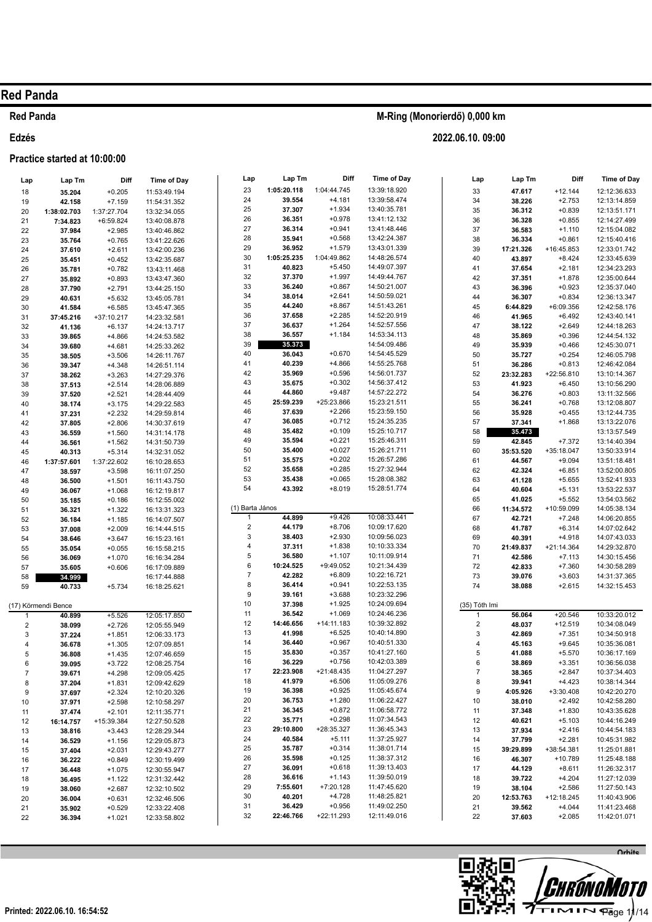#### **Red Panda**

#### Edzés

#### Practice started at 10:00:00

| Lap          | Lap Tm              | Diff                 | <b>Time of Day</b>           | Lap             | Lap Tm              | Diff                   |  |
|--------------|---------------------|----------------------|------------------------------|-----------------|---------------------|------------------------|--|
| 18           | 35.204              | $+0.205$             | 11:53:49.194                 | 23              | 1:05:20.118         | 1:04:44.745            |  |
| 19           | 42.158              | $+7.159$             | 11:54:31.352                 | 24              | 39.554              | $+4.181$               |  |
| 20           | 1:38:02.703         | 1:37:27.704          | 13:32:34.055                 | 25              | 37.307              | $+1.934$               |  |
| 21           | 7:34.823            | +6:59.824            | 13:40:08.878                 | 26              | 36.351              | $+0.978$               |  |
| 22           | 37.984              | $+2.985$             | 13:40:46.862                 | 27              | 36.314              | $+0.941$               |  |
| 23           | 35.764              | $+0.765$             | 13:41:22.626                 | 28              | 35.941              | $+0.568$               |  |
| 24           | 37.610              | $+2.611$             | 13:42:00.236                 | 29              | 36.952              | $+1.579$               |  |
| 25           | 35.451              | $+0.452$             | 13:42:35.687                 | 30              | 1:05:25.235         | 1:04:49.862            |  |
| 26           | 35.781              | $+0.782$             | 13:43:11.468                 | 31              | 40.823              | $+5.450$               |  |
| 27           | 35.892              | $+0.893$             | 13:43:47.360                 | 32              | 37.370              | $+1.997$               |  |
| 28           | 37.790              | $+2.791$             | 13:44:25.150                 | 33              | 36.240              | $+0.867$               |  |
| 29           | 40.631              | $+5.632$             | 13:45:05.781                 | 34<br>35        | 38.014              | $+2.641$               |  |
| 30           | 41.584              | $+6.585$             | 13:45:47.365                 | 36              | 44.240<br>37.658    | $+8.867$<br>$+2.285$   |  |
| 31           | 37:45.216           | +37:10.217           | 14:23:32.581                 | 37              | 36.637              | $+1.264$               |  |
| 32           | 41.136              | $+6.137$             | 14:24:13.717                 | 38              | 36.557              | $+1.184$               |  |
| 33<br>34     | 39.865              | $+4.866$<br>$+4.681$ | 14:24:53.582<br>14:25:33.262 | 39              | 35.373              |                        |  |
| 35           | 39.680<br>38.505    | $+3.506$             | 14:26:11.767                 | 40              | 36.043              | $+0.670$               |  |
| 36           | 39.347              | $+4.348$             | 14:26:51.114                 | 41              | 40.239              | $+4.866$               |  |
| 37           | 38.262              | $+3.263$             | 14:27:29.376                 | 42              | 35.969              | $+0.596$               |  |
| 38           | 37.513              | $+2.514$             | 14:28:06.889                 | 43              | 35.675              | $+0.302$               |  |
| 39           | 37.520              | $+2.521$             | 14:28:44.409                 | 44              | 44.860              | $+9.487$               |  |
| 40           | 38.174              | $+3.175$             | 14:29:22.583                 | 45              | 25:59.239           | +25:23.866             |  |
| 41           | 37.231              | $+2.232$             | 14:29:59.814                 | 46              | 37.639              | $+2.266$               |  |
| 42           | 37.805              | $+2.806$             | 14:30:37.619                 | 47              | 36.085              | $+0.712$               |  |
| 43           | 36.559              | $+1.560$             | 14:31:14.178                 | 48              | 35.482              | $+0.109$               |  |
| 44           | 36.561              | $+1.562$             | 14:31:50.739                 | 49              | 35.594              | $+0.221$               |  |
| 45           | 40.313              | $+5.314$             | 14:32:31.052                 | 50              | 35.400              | $+0.027$               |  |
| 46           | 1:37:57.601         | 1:37:22.602          | 16:10:28.653                 | 51<br>52        | 35.575<br>35.658    | $+0.202$<br>$+0.285$   |  |
| 47           | 38.597              | $+3.598$             | 16:11:07.250<br>16:11:43.750 | 53              | 35.438              | $+0.065$               |  |
| 48<br>49     | 36.500<br>36.067    | $+1.501$<br>$+1.068$ | 16:12:19.817                 | 54              | 43.392              | $+8.019$               |  |
| 50           | 35.185              | $+0.186$             | 16:12:55.002                 |                 |                     |                        |  |
| 51           | 36.321              | $+1.322$             | 16:13:31.323                 | (1) Barta János |                     |                        |  |
| 52           | 36.184              | $+1.185$             | 16:14:07.507                 | 1               | 44.899              | $+9.426$               |  |
| 53           | 37.008              | $+2.009$             | 16:14:44.515                 | $\overline{2}$  | 44.179              | $+8.706$               |  |
| 54           | 38.646              | $+3.647$             | 16:15:23.161                 | 3               | 38.403              | $+2.930$               |  |
| 55           | 35.054              | $+0.055$             | 16:15:58.215                 | 4               | 37.311              | $+1.838$               |  |
| 56           | 36.069              | $+1.070$             | 16:16:34.284                 | 5               | 36.580              | $+1.107$               |  |
| 57           | 35.605              | $+0.606$             | 16:17:09.889                 | 6               | 10:24.525           | +9:49.052              |  |
| 58           | 34.999              |                      | 16:17:44.888                 | 7               | 42.282              | $+6.809$               |  |
| 59           | 40.733              | $+5.734$             | 16:18:25.621                 | 8<br>9          | 36.414              | $+0.941$               |  |
|              |                     |                      |                              | 10              | 39.161<br>37.398    | $+3.688$<br>$+1.925$   |  |
| $\mathbf{1}$ | (17) Körmendi Bence |                      |                              | 11              | 36.542              | $+1.069$               |  |
| 2            | 40.899<br>38.099    | $+5.526$<br>$+2.726$ | 12:05:17.850<br>12:05:55.949 | 12              | 14:46.656           | $+14:11.183$           |  |
| 3            | 37.224              | $+1.851$             | 12:06:33.173                 | 13              | 41.998              | $+6.525$               |  |
| 4            | 36.678              | $+1.305$             | 12:07:09.851                 | 14              | 36.440              | $+0.967$               |  |
| 5            | 36.808              | $+1.435$             | 12:07:46.659                 | 15              | 35.830              | $+0.357$               |  |
| 6            | 39.095              | $+3.722$             | 12:08:25.754                 | 16              | 36.229              | $+0.756$               |  |
| 7            | 39.671              | +4.298               | 12:09:05.425                 | 17              | 22:23.908           | +21:48.435             |  |
| 8            | 37.204              | $+1.831$             | 12:09:42.629                 | 18              | 41.979              | $+6.506$               |  |
| 9            | 37.697              | $+2.324$             | 12:10:20.326                 | 19              | 36.398              | $+0.925$               |  |
| 10           | 37.971              | $+2.598$             | 12:10:58.297                 | 20              | 36.753              | $+1.280$               |  |
| 11           | 37.474              | $+2.101$             | 12:11:35.771                 | 21              | 36.345              | $+0.872$               |  |
| 12           | 16:14.757           | +15:39.384           | 12:27:50.528                 | 22              | 35.771<br>29:10.800 | $+0.298$               |  |
| 13           | 38.816              | $+3.443$             | 12:28:29.344                 | 23<br>24        | 40.584              | +28:35.327<br>$+5.111$ |  |
| 14           | 36.529              | $+1.156$             | 12:29:05.873                 | 25              | 35.787              | $+0.314$               |  |
| 15           | 37.404              | $+2.031$             | 12:29:43.277                 | 26              | 35.598              | $+0.125$               |  |
| 16<br>17     | 36.222<br>36.448    | $+0.849$<br>$+1.075$ | 12:30:19.499<br>12:30:55.947 | 27              | 36.091              | $+0.618$               |  |
| 18           | 36.495              | $+1.122$             | 12:31:32.442                 | 28              | 36.616              | $+1.143$               |  |
| 19           | 38.060              | $+2.687$             | 12:32:10.502                 | 29              | 7:55.601            | +7:20.128              |  |
| 20           |                     |                      |                              |                 |                     |                        |  |
|              |                     |                      |                              | 30              | 40.201              | +4.728                 |  |
|              | 36.004              | $+0.631$             | 12:32:46.506<br>12:33:22.408 | 31              | 36.429              | $+0.956$               |  |
| 21<br>22     | 35.902<br>36.394    | $+0.529$<br>$+1.021$ | 12:33:58.802                 | 32              | 22:46.766           | +22:11.293             |  |

| M-Ring (Monorierdő) 0,000 km |
|------------------------------|
|------------------------------|

Time of Day

13:39:18.920 13:39:58.474 13:40:35.781 13:41:12.132 13:41:48 446 13:42:24.387 13:43:01.339 14:48:26.574 14:49:07.397 14:49:44.767 14:50:21.007 14:50:59.021 14:51:43.261 14:52:20.919 14:52:57.556 14:53:34.113 14:54:09.486 14:54:45.529 14:55:25.768 14:56:01 737 14:56:37.412 14:57:22.272 15:23:21.511 15:23:59.150 15:24:35.235 15:25:10.717 15:25:46.311 15:26:21.711 15:26:57.286 15:27:32.944 15:28:08.382 15:28:51.774

10:08:33.441 10:09:17.620 10:09:56.023 10:10:33.334 10:11:09.914 10:21:34.439 10:22:16.721 10:22:53.135 10:23:32.296 10:24:09.694 10:24:46.236 10:39:32.892 10:40:14.890 10:40:51.330 10:41:27.160 10:42:03.389 11:04:27.297 11:05:09.276 11:05:45.674 11:06:22.427 11:06:58.772 11:07:34.543 11:36:45.343 11:37:25.927 11:38:01.714 11:38:37.312 11:39:13.403 11:39:50.019 11:47:45.620 11:48:25.821 11:49:02.250 12:11:49.016

2022.06.10.09:00

 $\overline{1}$ 

 $1.66$  Tm

 $n<sub>1</sub>$ 

 $Time of Draw$ 

| ∟aμ           | гар ш     | ייש         | illile vi Day |
|---------------|-----------|-------------|---------------|
| 33            | 47.617    | $+12.144$   | 12:12:36.633  |
| 34            | 38.226    | $+2.753$    | 12:13:14.859  |
| 35            | 36.312    | $+0.839$    | 12:13:51.171  |
| 36            | 36.328    | $+0.855$    | 12:14:27.499  |
| 37            | 36.583    | $+1.110$    | 12:15:04.082  |
| 38            | 36.334    | $+0.861$    | 12:15:40.416  |
| 39            | 17:21.326 | +16:45.853  | 12:33:01.742  |
| 40            |           | $+8.424$    | 12:33:45.639  |
|               | 43.897    |             |               |
| 41            | 37.654    | $+2.181$    | 12:34:23.293  |
| 42            | 37.351    | $+1.878$    | 12:35:00.644  |
| 43            | 36.396    | $+0.923$    | 12:35:37.040  |
| 44            | 36.307    | $+0.834$    | 12:36:13.347  |
| 45            | 6:44.829  | $+6:09.356$ | 12:42:58.176  |
| 46            | 41.965    | $+6.492$    | 12:43:40.141  |
| 47            | 38.122    | $+2.649$    | 12:44:18.263  |
| 48            | 35.869    | $+0.396$    | 12:44:54.132  |
| 49            | 35.939    | $+0.466$    | 12:45:30.071  |
| 50            | 35.727    | $+0.254$    | 12:46:05.798  |
| 51            | 36.286    | $+0.813$    | 12:46:42.084  |
| 52            | 23:32.283 | +22:56.810  | 13:10:14.367  |
| 53            | 41.923    | $+6.450$    | 13:10:56.290  |
|               | 36.276    |             | 13:11:32.566  |
| 54            |           | $+0.803$    |               |
| 55            | 36.241    | $+0.768$    | 13:12:08.807  |
| 56            | 35.928    | $+0.455$    | 13:12:44.735  |
| 57            | 37.341    | $+1.868$    | 13:13:22.076  |
| 58            | 35.473    |             | 13:13:57.549  |
| 59            | 42.845    | +7.372      | 13:14:40.394  |
| 60            | 35:53.520 | +35:18.047  | 13:50:33.914  |
| 61            | 44.567    | $+9.094$    | 13:51:18.481  |
| 62            | 42.324    | $+6.851$    | 13:52:00.805  |
| 63            | 41.128    | $+5.655$    | 13:52:41.933  |
| 64            | 40.604    | $+5.131$    | 13:53:22.537  |
| 65            | 41.025    | $+5.552$    | 13:54:03.562  |
| 66            | 11:34.572 | +10:59.099  | 14:05:38.134  |
| 67            | 42.721    | $+7.248$    | 14:06:20.855  |
| 68            | 41.787    | $+6.314$    | 14:07:02.642  |
| 69            | 40.391    | $+4.918$    | 14:07:43.033  |
| 70            | 21:49.837 | +21:14.364  | 14:29:32.870  |
| 71            |           |             |               |
|               | 42.586    | $+7.113$    | 14:30:15.456  |
| 72            | 42.833    | $+7.360$    | 14:30:58.289  |
| 73            | 39.076    | $+3.603$    | 14:31:37.365  |
| 74            | 38.088    | $+2.615$    | 14:32:15.453  |
|               |           |             |               |
| (35) Tóth Imi |           |             |               |
| 1             | 56.064    | $+20.546$   | 10:33:20.012  |
| 2             | 48.037    | $+12.519$   | 10:34:08.049  |
| 3             | 42.869    | $+7.351$    | 10:34:50.918  |
| 4             | 45.163    | $+9.645$    | 10:35:36.081  |
| 5             | 41.088    | $+5.570$    | 10:36:17.169  |
| 6             | 38.869    | $+3.351$    | 10:36:56.038  |
| 7             | 38.365    | $+2.847$    | 10:37:34.403  |
| 8             | 39.941    | +4.423      | 10:38:14.344  |
| 9             | 4:05.926  | $+3:30.408$ | 10:42:20.270  |
| 10            | 38.010    | $+2.492$    | 10:42:58.280  |
| 11            | 37.348    | $+1.830$    | 10:43:35.628  |
| 12            | 40.621    | $+5.103$    | 10:44:16.249  |
| 13            | 37.934    | $+2.416$    | 10:44:54.183  |
| 14            | 37.799    | $+2.281$    | 10:45:31.982  |
| 15            | 39:29.899 | +38:54.381  | 11:25:01.881  |
| 16            | 46.307    | +10.789     | 11:25:48.188  |
|               |           |             |               |
| 17            | 44.129    | $+8.611$    | 11:26:32.317  |
| 18            | 39.722    | $+4.204$    | 11:27:12.039  |
| 19            | 38.104    | $+2.586$    | 11:27:50.143  |
| 20            | 12:53.763 | +12:18.245  | 11:40:43.906  |
| 21            | 39.562    | $+4.044$    | 11:41:23.468  |
| 22            | 37.603    | $+2.085$    | 11:42:01.071  |

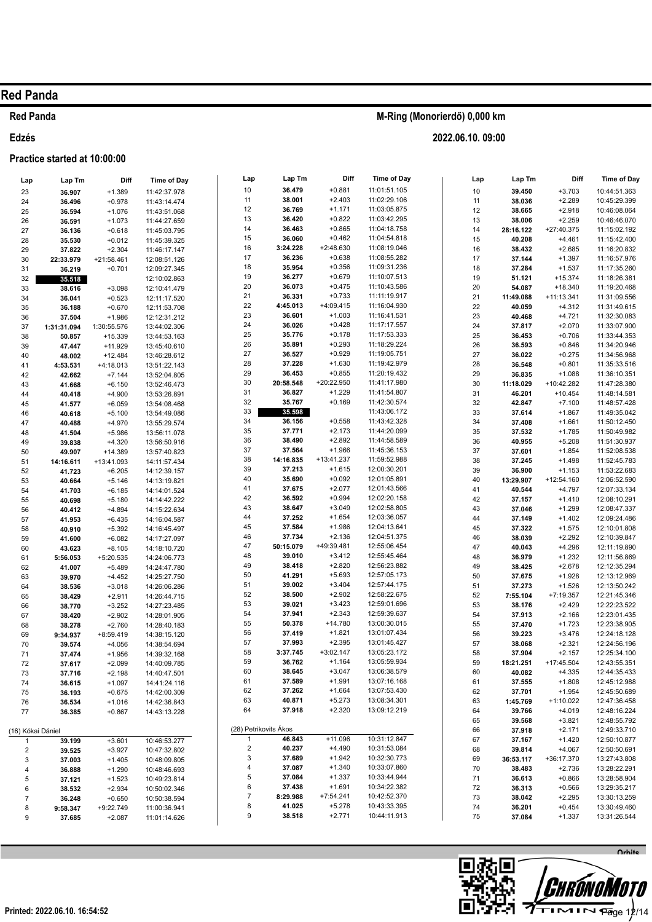## **Red Panda**

### Edzés

#### Practice started at 10:00:00

M-Ring (Monorierdő) 0,000 km

| Lap                     | Lap Tm           | Diff                 | <b>Time of Day</b>           | Lap                   | Lap Tm           | Diff                  | Time of Day                  | Lap      | Lap Tm           | Diff                    | Time of Day                  |
|-------------------------|------------------|----------------------|------------------------------|-----------------------|------------------|-----------------------|------------------------------|----------|------------------|-------------------------|------------------------------|
| 23                      | 36.907           | $+1.389$             | 11:42:37.978                 | 10                    | 36.479           | $+0.881$              | 11:01:51.105                 | $10$     | 39.450           | $+3.703$                | 10:44:51.363                 |
| 24                      | 36.496           | $+0.978$             | 11:43:14.474                 | 11                    | 38.001           | $+2.403$              | 11:02:29.106                 | 11       | 38.036           | $+2.289$                | 10:45:29.399                 |
| 25                      | 36.594           | $+1.076$             | 11:43:51.068                 | 12                    | 36.769           | $+1.171$              | 11:03:05.875                 | 12       | 38.665           | $+2.918$                | 10:46:08.064                 |
| 26                      | 36.591           | $+1.073$             | 11:44:27.659                 | 13                    | 36.420           | $+0.822$              | 11:03:42.295                 | 13       | 38.006           | $+2.259$                | 10:46:46.070                 |
| 27                      | 36.136           | $+0.618$             | 11:45:03.795                 | 14                    | 36.463           | $+0.865$              | 11:04:18.758                 | 14       | 28:16.122        | +27:40.375              | 11:15:02.192                 |
| 28                      | 35.530           | $+0.012$             | 11:45:39.325                 | 15                    | 36.060           | $+0.462$              | 11:04:54.818                 | 15       | 40.208           | $+4.461$                | 11:15:42.400                 |
| 29                      | 37.822           | $+2.304$             | 11:46:17.147                 | 16                    | 3:24.228         | $+2:48.630$           | 11:08:19.046                 | 16       | 38.432           | $+2.685$                | 11:16:20.832                 |
| 30                      | 22:33.979        | +21:58.461           | 12:08:51.126                 | 17                    | 36.236           | $+0.638$              | 11:08:55.282                 | 17       | 37.144           | $+1.397$                | 11:16:57.976                 |
| 31                      | 36.219           | $+0.701$             | 12:09:27.345                 | 18                    | 35.954           | $+0.356$              | 11:09:31.236                 | 18       | 37.284           | $+1.537$                | 11:17:35.260                 |
| 32                      | 35.518           |                      | 12:10:02.863                 | 19                    | 36.277           | $+0.679$              | 11:10:07.513                 | 19       | 51.121           | $+15.374$               | 11:18:26.381                 |
| 33                      | 38.616           | $+3.098$             | 12:10:41.479                 | 20                    | 36.073           | $+0.475$              | 11:10:43.586                 | 20       | 54.087           | $+18.340$               | 11:19:20.468                 |
| 34                      | 36.041           | $+0.523$             | 12:11:17.520                 | 21                    | 36.331           | $+0.733$              | 11:11:19.917                 | 21       | 11:49.088        | $+11:13.341$            | 11:31:09.556                 |
| 35                      | 36.188           | $+0.670$             | 12:11:53.708                 | 22                    | 4:45.013         | $+4:09.415$           | 11:16:04.930                 | 22       | 40.059           | $+4.312$                | 11:31:49.615                 |
| 36                      | 37.504           | $+1.986$             | 12:12:31.212                 | 23                    | 36.601           | $+1.003$              | 11:16:41.531                 | 23       | 40.468           | $+4.721$                | 11:32:30.083                 |
| 37                      | 1:31:31.094      | 1:30:55.576          | 13:44:02.306                 | 24                    | 36.026           | $+0.428$              | 11:17:17.557                 | 24       | 37.817           | $+2.070$                | 11:33:07.900                 |
| 38                      | 50.857           | $+15.339$            | 13:44:53.163                 | 25                    | 35.776           | $+0.178$              | 11:17:53.333                 | 25       | 36.453           | $+0.706$                | 11:33:44.353                 |
| 39                      | 47.447           | $+11.929$            | 13:45:40.610                 | 26                    | 35.891           | $+0.293$              | 11:18:29.224                 | 26       | 36.593           | $+0.846$                | 11:34:20.946                 |
| 40                      | 48.002           | $+12.484$            | 13:46:28.612                 | 27                    | 36.527           | $+0.929$              | 11:19:05.751                 | 27       | 36.022           | $+0.275$                | 11:34:56.968                 |
| 41                      | 4:53.531         | +4:18.013            | 13:51:22.143                 | 28<br>29              | 37.228<br>36.453 | $+1.630$<br>$+0.855$  | 11:19:42.979<br>11:20:19.432 | 28       | 36.548           | $+0.801$                | 11:35:33.516                 |
| 42                      | 42.662           | $+7.144$             | 13:52:04.805                 | 30                    | 20:58.548        | +20:22.950            | 11:41:17.980                 | 29       | 36.835           | $+1.088$                | 11:36:10.351                 |
| 43                      | 41.668           | $+6.150$             | 13:52:46.473                 | 31                    | 36.827           | $+1.229$              | 11:41:54.807                 | 30<br>31 | 11:18.029        | +10:42.282<br>$+10.454$ | 11:47:28.380<br>11:48:14.581 |
| 44                      | 40.418           | $+4.900$             | 13:53:26.891                 | 32                    | 35.767           | $+0.169$              | 11:42:30.574                 | 32       | 46.201<br>42.847 | $+7.100$                | 11:48:57.428                 |
| 45                      | 41.577           | $+6.059$             | 13:54:08.468                 | 33                    | 35.598           |                       | 11:43:06.172                 | 33       | 37.614           | $+1.867$                | 11:49:35.042                 |
| 46<br>47                | 40.618           | $+5.100$<br>$+4.970$ | 13:54:49.086<br>13:55:29.574 | 34                    | 36.156           | $+0.558$              | 11:43:42.328                 | 34       | 37.408           | $+1.661$                | 11:50:12.450                 |
| 48                      | 40.488<br>41.504 | $+5.986$             | 13:56:11.078                 | 35                    | 37.771           | $+2.173$              | 11:44:20.099                 | 35       | 37.532           | $+1.785$                | 11:50:49.982                 |
| 49                      | 39.838           | $+4.320$             | 13:56:50.916                 | 36                    | 38.490           | $+2.892$              | 11:44:58.589                 | 36       | 40.955           | $+5.208$                | 11:51:30.937                 |
| 50                      | 49.907           | $+14.389$            | 13:57:40.823                 | 37                    | 37.564           | $+1.966$              | 11:45:36.153                 | 37       | 37.601           | $+1.854$                | 11:52:08.538                 |
| 51                      | 14:16.611        | +13:41.093           | 14:11:57.434                 | 38                    | 14:16.835        | +13:41.237            | 11:59:52.988                 | 38       | 37.245           | $+1.498$                | 11:52:45.783                 |
| 52                      | 41.723           | $+6.205$             | 14:12:39.157                 | 39                    | 37.213           | $+1.615$              | 12:00:30.201                 | 39       | 36.900           | $+1.153$                | 11:53:22.683                 |
| 53                      | 40.664           | $+5.146$             | 14:13:19.821                 | 40                    | 35.690           | $+0.092$              | 12:01:05.891                 | 40       | 13:29.907        | +12:54.160              | 12:06:52.590                 |
| 54                      | 41.703           | $+6.185$             | 14:14:01.524                 | 41                    | 37.675           | $+2.077$              | 12:01:43.566                 | 41       | 40.544           | $+4.797$                | 12:07:33.134                 |
| 55                      | 40.698           | $+5.180$             | 14:14:42.222                 | 42                    | 36.592           | $+0.994$              | 12:02:20.158                 | 42       | 37.157           | $+1.410$                | 12:08:10.291                 |
| 56                      | 40.412           | $+4.894$             | 14:15:22.634                 | 43                    | 38.647           | $+3.049$              | 12:02:58.805                 | 43       | 37.046           | $+1.299$                | 12:08:47.337                 |
| 57                      | 41.953           | $+6.435$             | 14:16:04.587                 | 44                    | 37.252           | $+1.654$              | 12:03:36.057                 | 44       | 37.149           | $+1.402$                | 12:09:24.486                 |
| 58                      | 40.910           | $+5.392$             | 14:16:45.497                 | 45                    | 37.584           | $+1.986$              | 12:04:13.641                 | 45       | 37.322           | $+1.575$                | 12:10:01.808                 |
| 59                      | 41.600           | $+6.082$             | 14:17:27.097                 | 46                    | 37.734           | $+2.136$              | 12:04:51.375                 | 46       | 38.039           | $+2.292$                | 12:10:39.847                 |
| 60                      | 43.623           | $+8.105$             | 14:18:10.720                 | 47                    | 50:15.079        | +49:39.481            | 12:55:06.454                 | 47       | 40.043           | $+4.296$                | 12:11:19.890                 |
| 61                      | 5:56.053         | +5:20.535            | 14:24:06.773                 | 48                    | 39.010           | $+3.412$              | 12:55:45.464                 | 48       | 36.979           | $+1.232$                | 12:11:56.869                 |
| 62                      | 41.007           | $+5.489$             | 14:24:47.780                 | 49                    | 38.418           | $+2.820$              | 12:56:23.882                 | 49       | 38.425           | $+2.678$                | 12:12:35.294                 |
| 63                      | 39.970           | $+4.452$             | 14:25:27.750                 | 50                    | 41.291           | $+5.693$              | 12:57:05.173                 | 50       | 37.675           | $+1.928$                | 12:13:12.969                 |
| 64                      | 38.536           | $+3.018$             | 14:26:06.286                 | 51                    | 39.002           | $+3.404$              | 12:57:44.175                 | 51       | 37.273           | $+1.526$                | 12:13:50.242                 |
| 65                      | 38.429           | $+2.911$             | 14:26:44.715                 | 52                    | 38.500           | $+2.902$              | 12:58:22.675                 | 52       | 7:55.104         | $+7:19.357$             | 12:21:45.346                 |
| 66                      | 38.770           | $+3.252$             | 14:27:23.485                 | 53                    | 39.021           | $+3.423$              | 12:59:01.696                 | 53       | 38.176           | $+2.429$                | 12:22:23.522                 |
| 67                      | 38.420           | $+2.902$             | 14:28:01.905                 | 54<br>55              | 37.941           | $+2.343$<br>$+14.780$ | 12:59:39.637<br>13:00:30.015 | 54       | 37.913           | $+2.166$                | 12:23:01.435                 |
| 68                      | 38.278           | $+2.760$             | 14:28:40.183                 | 56                    | 50.378<br>37.419 | $+1.821$              | 13:01:07.434                 | 55       | 37.470           | $+1.723$                | 12:23:38.905                 |
| 69                      | 9:34.937         | $+8:59.419$          | 14:38:15.120                 | 57                    | 37.993           | $+2.395$              | 13:01:45.427                 | 56<br>57 | 39.223<br>38.068 | $+3.476$<br>$+2.321$    | 12:24:18.128<br>12:24:56.196 |
| 70                      | 39.574           | $+4.056$             | 14:38:54.694                 | 58                    | 3:37.745         | $+3:02.147$           | 13:05:23.172                 | 58       | 37.904           | $+2.157$                | 12:25:34.100                 |
| 71<br>72                | 37.474<br>37.617 | $+1.956$<br>$+2.099$ | 14:39:32.168<br>14:40:09.785 | 59                    | 36.762           | $+1.164$              | 13:05:59.934                 | 59       | 18:21.251        | +17:45.504              | 12:43:55.351                 |
| 73                      | 37.716           | $+2.198$             | 14:40:47.501                 | 60                    | 38.645           | $+3.047$              | 13:06:38.579                 | 60       | 40.082           | $+4.335$                | 12:44:35.433                 |
| 74                      | 36.615           | $+1.097$             | 14:41:24.116                 | 61                    | 37.589           | $+1.991$              | 13:07:16.168                 | 61       | 37.555           | $+1.808$                | 12:45:12.988                 |
| 75                      | 36.193           | $+0.675$             | 14:42:00.309                 | 62                    | 37.262           | $+1.664$              | 13:07:53.430                 | 62       | 37.701           | $+1.954$                | 12:45:50.689                 |
| 76                      | 36.534           | $+1.016$             | 14:42:36.843                 | 63                    | 40.871           | $+5.273$              | 13:08:34.301                 | 63       | 1:45.769         | +1:10.022               | 12:47:36.458                 |
| 77                      | 36.385           | $+0.867$             | 14:43:13.228                 | 64                    | 37.918           | $+2.320$              | 13:09:12.219                 | 64       | 39.766           | $+4.019$                | 12:48:16.224                 |
|                         |                  |                      |                              |                       |                  |                       |                              | 65       | 39.568           | $+3.821$                | 12:48:55.792                 |
| (16) Kókai Dániel       |                  |                      |                              | (28) Petrikovits Ákos |                  |                       |                              | 66       | 37.918           | $+2.171$                | 12:49:33.710                 |
| 1                       | 39.199           | $+3.601$             | 10:46:53.277                 |                       | 46.843           | $+11.096$             | 10:31:12.847                 | 67       | 37.167           | $+1.420$                | 12:50:10.877                 |
| $\overline{\mathbf{c}}$ | 39.525           | $+3.927$             | 10:47:32.802                 | 2                     | 40.237           | $+4.490$              | 10:31:53.084                 | 68       | 39.814           | $+4.067$                | 12:50:50.691                 |
| 3                       | 37.003           | $+1.405$             | 10:48:09.805                 | 3                     | 37.689           | $+1.942$              | 10:32:30.773                 | 69       | 36:53.117        | +36:17.370              | 13:27:43.808                 |
| 4                       | 36.888           | $+1.290$             | 10:48:46.693                 | 4                     | 37.087           | $+1.340$              | 10:33:07.860                 | 70       | 38.483           | $+2.736$                | 13:28:22.291                 |
| 5                       | 37.121           | $+1.523$             | 10:49:23.814                 | 5                     | 37.084           | $+1.337$              | 10:33:44.944                 | 71       | 36.613           | $+0.866$                | 13:28:58.904                 |
| 6                       | 38.532           | $+2.934$             | 10:50:02.346                 | 6                     | 37.438           | $+1.691$              | 10:34:22.382                 | 72       | 36.313           | $+0.566$                | 13:29:35.217                 |
| $\overline{7}$          | 36.248           | $+0.650$             | 10:50:38.594                 | 7                     | 8:29.988         | +7:54.241             | 10:42:52.370                 | 73       | 38.042           | $+2.295$                | 13:30:13.259                 |
| 8                       | 9:58.347         | +9:22.749            | 11:00:36.941                 | 8                     | 41.025           | $+5.278$              | 10:43:33.395                 | 74       | 36.201           | $+0.454$                | 13:30:49.460                 |
| 9                       | 37.685           | $+2.087$             | 11:01:14.626                 | 9                     | 38.518           | $+2.771$              | 10:44:11.913                 | 75       | 37.084           | $+1.337$                | 13:31:26.544                 |

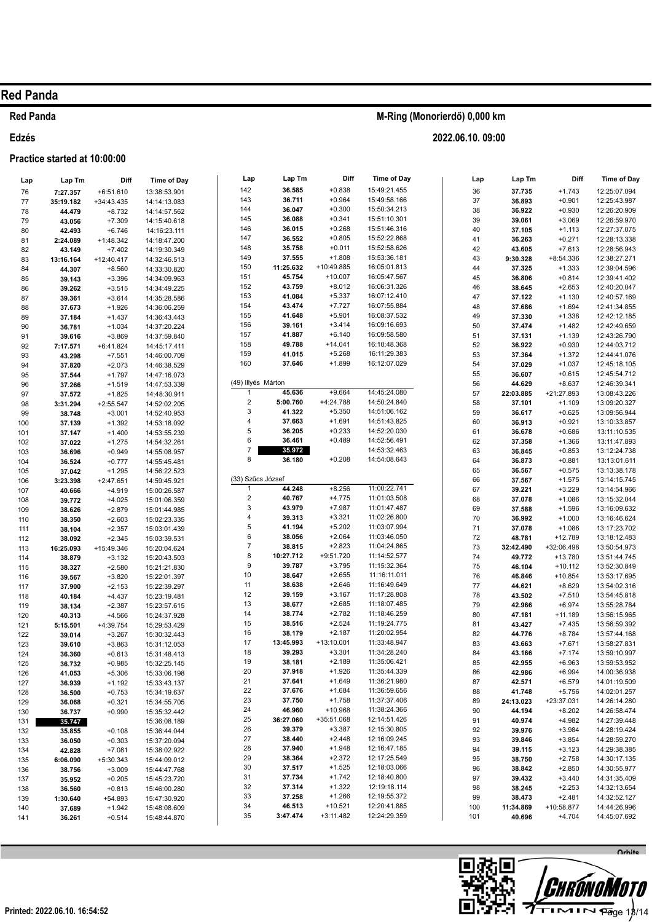### **Red Panda**

### **Edzés**

### **Practice started at 10:00:00**

| Lap        | Lap Tm              | Diff                  | <b>Time of Day</b>           | Lap                          | Lap Tm           | Diff                 | <b>Time of Day</b>           | Lap      | Lap Tm              | Diff                   | <b>Time of Day</b>           |
|------------|---------------------|-----------------------|------------------------------|------------------------------|------------------|----------------------|------------------------------|----------|---------------------|------------------------|------------------------------|
| 76         | 7:27.357            | $+6:51.610$           | 13:38:53.901                 | 142                          | 36.585           | $+0.838$             | 15:49:21.455                 | 36       | 37.735              | $+1.743$               | 12:25:07.094                 |
| 77         | 35:19.182           | +34:43.435            | 14:14:13.083                 | 143                          | 36.711           | $+0.964$             | 15:49:58.166                 | 37       | 36.893              | $+0.901$               | 12:25:43.987                 |
| 78         | 44.479              | $+8.732$              | 14:14:57.562                 | 144                          | 36.047           | $+0.300$             | 15:50:34.213                 | 38       | 36.922              | $+0.930$               | 12:26:20.909                 |
| 79         | 43.056              | $+7.309$              | 14:15:40.618                 | 145                          | 36.088           | $+0.341$             | 15:51:10.301                 | 39       | 39.061              | $+3.069$               | 12:26:59.970                 |
| 80         | 42.493              | $+6.746$              | 14:16:23.111                 | 146                          | 36.015           | $+0.268$             | 15:51:46.316                 | 40       | 37.105              | $+1.113$               | 12:27:37.075                 |
| 81         | 2:24.089            | +1:48.342             | 14:18:47.200                 | 147                          | 36.552           | $+0.805$             | 15:52:22.868                 | 41       | 36.263              | $+0.271$               | 12:28:13.338                 |
| 82         | 43.149              | $+7.402$              | 14:19:30.349                 | 148                          | 35.758           | $+0.011$             | 15:52:58.626                 | 42       | 43.605              | $+7.613$               | 12:28:56.943                 |
| 83         | 13:16.164           | +12:40.417            | 14:32:46.513                 | 149                          | 37.555           | $+1.808$             | 15:53:36.181                 | 43       | 9:30.328            | $+8:54.336$            | 12:38:27.271                 |
| 84         | 44.307              | $+8.560$              | 14:33:30.820                 | 150                          | 11:25.632        | +10:49.885           | 16:05:01.813                 | 44       | 37.325              | $+1.333$               | 12:39:04.596                 |
| 85         | 39.143              | $+3.396$              | 14:34:09.963                 | 151                          | 45.754           | $+10.007$            | 16:05:47.567                 | 45       | 36.806              | $+0.814$               | 12:39:41.402                 |
| 86         | 39.262              | $+3.515$              | 14:34:49.225                 | 152                          | 43.759           | $+8.012$<br>$+5.337$ | 16:06:31.326<br>16:07:12.410 | 46       | 38.645              | $+2.653$               | 12:40:20.047                 |
| 87         | 39.361              | $+3.614$              | 14:35:28.586                 | 153<br>154                   | 41.084<br>43.474 | $+7.727$             | 16:07:55.884                 | 47       | 37.122              | $+1.130$               | 12:40:57.169                 |
| 88         | 37.673              | $+1.926$              | 14:36:06.259                 | 155                          | 41.648           | $+5.901$             | 16:08:37.532                 | 48       | 37.686              | $+1.694$               | 12:41:34.855                 |
| 89         | 37.184              | $+1.437$              | 14:36:43.443                 | 156                          | 39.161           | $+3.414$             | 16:09:16.693                 | 49<br>50 | 37.330<br>37.474    | $+1.338$<br>$+1.482$   | 12:42:12.185<br>12:42:49.659 |
| 90         | 36.781              | $+1.034$              | 14:37:20.224                 | 157                          | 41.887           | $+6.140$             | 16:09:58.580                 | 51       | 37.131              | $+1.139$               | 12:43:26.790                 |
| 91<br>92   | 39.616              | $+3.869$<br>+6:41.824 | 14:37:59.840<br>14:45:17.411 | 158                          | 49.788           | $+14.041$            | 16:10:48.368                 | 52       | 36.922              | $+0.930$               | 12:44:03.712                 |
| 93         | 7:17.571<br>43.298  | $+7.551$              | 14:46:00.709                 | 159                          | 41.015           | $+5.268$             | 16:11:29.383                 | 53       | 37.364              | $+1.372$               | 12:44:41.076                 |
| 94         | 37.820              | $+2.073$              | 14:46:38.529                 | 160                          | 37.646           | $+1.899$             | 16:12:07.029                 | 54       | 37.029              | $+1.037$               | 12:45:18.105                 |
| 95         | 37.544              | $+1.797$              | 14:47:16.073                 |                              |                  |                      |                              | 55       | 36.607              | $+0.615$               | 12:45:54.712                 |
| 96         | 37.266              | $+1.519$              | 14:47:53.339                 | (49) Illyés Márton           |                  |                      |                              | 56       | 44.629              | $+8.637$               | 12:46:39.341                 |
| 97         | 37.572              | $+1.825$              | 14:48:30.911                 | 1                            | 45.636           | $+9.664$             | 14:45:24.080                 | 57       | 22:03.885           | +21:27.893             | 13:08:43.226                 |
| 98         | 3:31.294            | $+2:55.547$           | 14:52:02.205                 | $\overline{\mathbf{c}}$      | 5:00.760         | +4:24.788            | 14:50:24.840                 | 58       | 37.101              | $+1.109$               | 13:09:20.327                 |
| 99         | 38.748              | $+3.001$              | 14:52:40.953                 | 3                            | 41.322           | $+5.350$             | 14:51:06.162                 | 59       | 36.617              | $+0.625$               | 13:09:56.944                 |
| 100        | 37.139              | $+1.392$              | 14:53:18.092                 | 4                            | 37.663           | $+1.691$             | 14:51:43.825                 | 60       | 36.913              | $+0.921$               | 13:10:33.857                 |
| 101        | 37.147              | $+1.400$              | 14:53:55.239                 | 5                            | 36.205           | $+0.233$             | 14:52:20.030                 | 61       | 36.678              | $+0.686$               | 13:11:10.535                 |
| 102        | 37.022              | $+1.275$              | 14:54:32.261                 | 6                            | 36.461           | $+0.489$             | 14:52:56.491                 | 62       | 37.358              | $+1.366$               | 13:11:47.893                 |
| 103        | 36.696              | $+0.949$              | 14:55:08.957                 | $\overline{7}$               | 35.972           |                      | 14:53:32.463                 | 63       | 36.845              | $+0.853$               | 13:12:24.738                 |
| 104        | 36.524              | $+0.777$              | 14:55:45.481                 | 8                            | 36.180           | $+0.208$             | 14:54:08.643                 | 64       | 36.873              | $+0.881$               | 13:13:01.611                 |
| 105        | 37.042              | $+1.295$              | 14:56:22.523                 |                              |                  |                      |                              | 65       | 36.567              | $+0.575$               | 13:13:38.178                 |
| 106        | 3:23.398            | $+2:47.651$           | 14:59:45.921                 | (33) Szűcs József            |                  |                      |                              | 66       | 37.567              | $+1.575$               | 13:14:15.745                 |
| 107        | 40.666              | $+4.919$              | 15:00:26.587                 | 1                            | 44.248           | $+8.256$             | 11:00:22.741                 | 67       | 39.221              | $+3.229$               | 13:14:54.966                 |
| 108        | 39.772              | $+4.025$              | 15:01:06.359                 | $\overline{\mathbf{c}}$<br>3 | 40.767<br>43.979 | $+4.775$<br>$+7.987$ | 11:01:03.508<br>11:01:47.487 | 68       | 37.078              | $+1.086$               | 13:15:32.044                 |
| 109        | 38.626              | $+2.879$              | 15:01:44.985                 | 4                            | 39.313           | $+3.321$             | 11:02:26.800                 | 69       | 37.588              | $+1.596$               | 13:16:09.632                 |
| 110        | 38.350              | $+2.603$              | 15:02:23.335                 | 5                            | 41.194           | $+5.202$             | 11:03:07.994                 | 70<br>71 | 36.992<br>37.078    | $+1.000$<br>$+1.086$   | 13:16:46.624<br>13:17:23.702 |
| 111<br>112 | 38.104              | $+2.357$<br>$+2.345$  | 15:03:01.439<br>15:03:39.531 | 6                            | 38.056           | $+2.064$             | 11:03:46.050                 | 72       | 48.781              | +12.789                | 13:18:12.483                 |
| 113        | 38.092<br>16:25.093 | +15:49.346            | 15:20:04.624                 | $\boldsymbol{7}$             | 38.815           | $+2.823$             | 11:04:24.865                 | 73       | 32:42.490           | +32:06.498             | 13:50:54.973                 |
| 114        | 38.879              | $+3.132$              | 15:20:43.503                 | 8                            | 10:27.712        | +9:51.720            | 11:14:52.577                 | 74       | 49.772              | +13.780                | 13:51:44.745                 |
| 115        | 38.327              | $+2.580$              | 15:21:21.830                 | 9                            | 39.787           | $+3.795$             | 11:15:32.364                 | 75       | 46.104              | $+10.112$              | 13:52:30.849                 |
| 116        | 39.567              | $+3.820$              | 15:22:01.397                 | $10$                         | 38.647           | $+2.655$             | 11:16:11.011                 | 76       | 46.846              | $+10.854$              | 13:53:17.695                 |
| 117        | 37.900              | $+2.153$              | 15:22:39.297                 | 11                           | 38.638           | $+2.646$             | 11:16:49.649                 | $77 \,$  | 44.621              | $+8.629$               | 13:54:02.316                 |
| 118        | 40.184              | $+4.437$              | 15:23:19.481                 | 12                           | 39.159           | $+3.167$             | 11:17:28.808                 | 78       | 43.502              | $+7.510$               | 13:54:45.818                 |
| 119        | 38.134              | $+2.387$              | 15:23:57.615                 | 13                           | 38.677           | $+2.685$             | 11:18:07.485                 | 79       | 42.966              | $+6.974$               | 13:55:28.784                 |
| 120        | 40.313              | $+4.566$              | 15:24:37.928                 | 14                           | 38.774           | $+2.782$             | 11:18:46.259                 | 80       | 47.181              | $+11.189$              | 13:56:15.965                 |
| 121        | 5:15.501            | +4:39.754             | 15:29:53.429                 | 15                           | 38.516           | $+2.524$             | 11:19:24.775                 | 81       | 43.427              | $+7.435$               | 13:56:59.392                 |
| 122        | 39.014              | $+3.267$              | 15:30:32.443                 | 16                           | 38.179           | $+2.187$             | 11:20:02.954                 | 82       | 44.776              | $+8.784$               | 13:57:44.168                 |
| 123        | 39.610              | $+3.863$              | 15:31:12.053                 | 17                           | 13:45.993        | $+13:10.001$         | 11:33:48.947                 | 83       | 43.663              | $+7.671$               | 13:58:27.831                 |
| 124        | 36.360              | $+0.613$              | 15:31:48.413                 | 18                           | 39.293           | $+3.301$             | 11:34:28.240                 | 84       | 43.166              | $+7.174$               | 13:59:10.997                 |
| 125        | 36.732              | $+0.985$              | 15:32:25.145                 | 19                           | 38.181           | $+2.189$             | 11:35:06.421                 | 85       | 42.955              | $+6.963$               | 13:59:53.952                 |
| 126        | 41.053              | $+5.306$              | 15:33:06.198                 | 20<br>21                     | 37.918<br>37.641 | $+1.926$<br>$+1.649$ | 11:35:44.339<br>11:36:21.980 | 86       | 42.986              | $+6.994$               | 14:00:36.938                 |
| 127        | 36.939              | $+1.192$              | 15:33:43.137                 | 22                           | 37.676           | $+1.684$             | 11:36:59.656                 | 87       | 42.571              | $+6.579$               | 14:01:19.509<br>14:02:01.257 |
| 128        | 36.500              | $+0.753$              | 15:34:19.637                 | 23                           | 37.750           | $+1.758$             | 11:37:37.406                 | 88<br>89 | 41.748<br>24:13.023 | $+5.756$<br>+23:37.031 | 14:26:14.280                 |
| 129<br>130 | 36.068              | $+0.321$<br>$+0.990$  | 15:34:55.705<br>15:35:32.442 | 24                           | 46.960           | +10.968              | 11:38:24.366                 | 90       | 44.194              | $+8.202$               | 14:26:58.474                 |
|            | 36.737<br>35.747    |                       | 15:36:08.189                 | 25                           | 36:27.060        | +35:51.068           | 12:14:51.426                 | 91       | 40.974              | $+4.982$               | 14:27:39.448                 |
| 131<br>132 | 35.855              | $+0.108$              | 15:36:44.044                 | 26                           | 39.379           | $+3.387$             | 12:15:30.805                 | 92       | 39.976              | $+3.984$               | 14:28:19.424                 |
| 133        | 36.050              | $+0.303$              | 15:37:20.094                 | 27                           | 38.440           | $+2.448$             | 12:16:09.245                 | 93       | 39.846              | $+3.854$               | 14:28:59.270                 |
| 134        | 42.828              | $+7.081$              | 15:38:02.922                 | 28                           | 37.940           | $+1.948$             | 12:16:47.185                 | 94       | 39.115              | $+3.123$               | 14:29:38.385                 |
| 135        | 6:06.090            | $+5:30.343$           | 15:44:09.012                 | 29                           | 38.364           | $+2.372$             | 12:17:25.549                 | 95       | 38.750              | $+2.758$               | 14:30:17.135                 |
| 136        | 38.756              | $+3.009$              | 15:44:47.768                 | 30                           | 37.517           | $+1.525$             | 12:18:03.066                 | 96       | 38.842              | $+2.850$               | 14:30:55.977                 |
| 137        | 35.952              | $+0.205$              | 15:45:23.720                 | 31                           | 37.734           | $+1.742$             | 12:18:40.800                 | 97       | 39.432              | $+3.440$               | 14:31:35.409                 |
| 138        | 36.560              | $+0.813$              | 15:46:00.280                 | 32                           | 37.314           | $+1.322$             | 12:19:18.114                 | 98       | 38.245              | $+2.253$               | 14:32:13.654                 |
| 139        | 1:30.640            | $+54.893$             | 15:47:30.920                 | 33                           | 37.258           | $+1.266$             | 12:19:55.372                 | 99       | 38.473              | $+2.481$               | 14:32:52.127                 |
| 140        | 37.689              | $+1.942$              | 15:48:08.609                 | 34                           | 46.513           | $+10.521$            | 12:20:41.885                 | 100      | 11:34.869           | +10:58.877             | 14:44:26.996                 |
| 141        | 36.261              | $+0.514$              | 15:48:44.870                 | 35                           | 3:47.474         | $+3:11.482$          | 12:24:29.359                 | 101      | 40.696              | $+4.704$               | 14:45:07.692                 |



# **M-Ring (Monorierdő) 0,000 km**